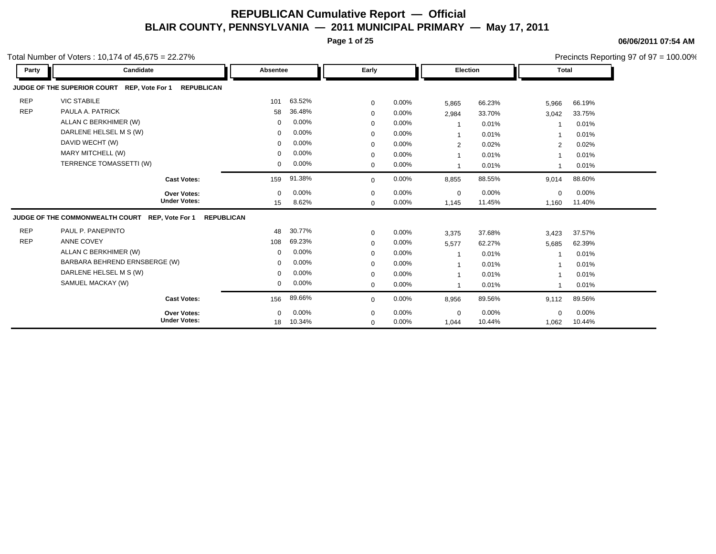**Page 1 of 25**

**06/06/2011 07:54 AM**

|            | otal Number of Voters: 10,174 of $45,675 = 22.27\%$                     |          |        |              |          |                 |        |                |          | Precincts Reporting 97 of 97 = 100.00% |
|------------|-------------------------------------------------------------------------|----------|--------|--------------|----------|-----------------|--------|----------------|----------|----------------------------------------|
| Party      | Candidate                                                               | Absentee |        | Early        |          | <b>Election</b> |        | <b>Total</b>   |          |                                        |
|            | JUDGE OF THE SUPERIOR COURT REP, Vote For 1<br><b>REPUBLICAN</b>        |          |        |              |          |                 |        |                |          |                                        |
| <b>REP</b> | <b>VIC STABILE</b>                                                      | 101      | 63.52% | 0            | $0.00\%$ | 5,865           | 66.23% | 5,966          | 66.19%   |                                        |
| <b>REP</b> | PAULA A. PATRICK                                                        | 58       | 36.48% | 0            | $0.00\%$ | 2,984           | 33.70% | 3,042          | 33.75%   |                                        |
|            | ALLAN C BERKHIMER (W)                                                   | $\Omega$ | 0.00%  | $\Omega$     | $0.00\%$ | $\mathbf 1$     | 0.01%  |                | 0.01%    |                                        |
|            | DARLENE HELSEL M S (W)                                                  | $\Omega$ | 0.00%  | 0            | $0.00\%$ | 1               | 0.01%  |                | 0.01%    |                                        |
|            | DAVID WECHT (W)                                                         | $\Omega$ | 0.00%  | 0            | $0.00\%$ | $\overline{2}$  | 0.02%  | $\overline{2}$ | 0.02%    |                                        |
|            | MARY MITCHELL (W)                                                       | $\Omega$ | 0.00%  | 0            | $0.00\%$ | 1               | 0.01%  |                | 0.01%    |                                        |
|            | TERRENCE TOMASSETTI (W)                                                 | $\Omega$ | 0.00%  | $\mathbf{0}$ | $0.00\%$ | $\mathbf{1}$    | 0.01%  | 1              | 0.01%    |                                        |
|            | <b>Cast Votes:</b>                                                      | 159      | 91.38% | $\Omega$     | $0.00\%$ | 8,855           | 88.55% | 9,014          | 88.60%   |                                        |
|            | Over Votes:                                                             | $\Omega$ | 0.00%  | $\Omega$     | $0.00\%$ | $\mathbf 0$     | 0.00%  | 0              | $0.00\%$ |                                        |
|            | <b>Under Votes:</b>                                                     | 15       | 8.62%  | 0            | $0.00\%$ | 1,145           | 11.45% | 1,160          | 11.40%   |                                        |
|            | JUDGE OF THE COMMONWEALTH COURT<br>REP, Vote For 1<br><b>REPUBLICAN</b> |          |        |              |          |                 |        |                |          |                                        |
| <b>REP</b> | PAUL P. PANEPINTO                                                       | 48       | 30.77% | 0            | $0.00\%$ | 3,375           | 37.68% | 3,423          | 37.57%   |                                        |
| <b>REP</b> | ANNE COVEY                                                              | 108      | 69.23% | $\Omega$     | $0.00\%$ | 5,577           | 62.27% | 5,685          | 62.39%   |                                        |
|            | ALLAN C BERKHIMER (W)                                                   | $\Omega$ | 0.00%  | 0            | $0.00\%$ | $\overline{1}$  | 0.01%  |                | 0.01%    |                                        |
|            | BARBARA BEHREND ERNSBERGE (W)                                           | $\Omega$ | 0.00%  | $\Omega$     | $0.00\%$ | 1               | 0.01%  |                | 0.01%    |                                        |
|            | DARLENE HELSEL M S (W)                                                  | $\Omega$ | 0.00%  | 0            | $0.00\%$ | $\mathbf{1}$    | 0.01%  |                | 0.01%    |                                        |
|            | SAMUEL MACKAY (W)                                                       | 0        | 0.00%  | 0            | $0.00\%$ | $\mathbf{1}$    | 0.01%  | $\overline{1}$ | 0.01%    |                                        |
|            | <b>Cast Votes:</b>                                                      | 156      | 89.66% | $\Omega$     | $0.00\%$ | 8,956           | 89.56% | 9,112          | 89.56%   |                                        |
|            | <b>Over Votes:</b>                                                      | $\Omega$ | 0.00%  | 0            | $0.00\%$ | $\mathbf 0$     | 0.00%  | 0              | 0.00%    |                                        |
|            | <b>Under Votes:</b>                                                     | 18       | 10.34% | $\Omega$     | $0.00\%$ | 1,044           | 10.44% | 1,062          | 10.44%   |                                        |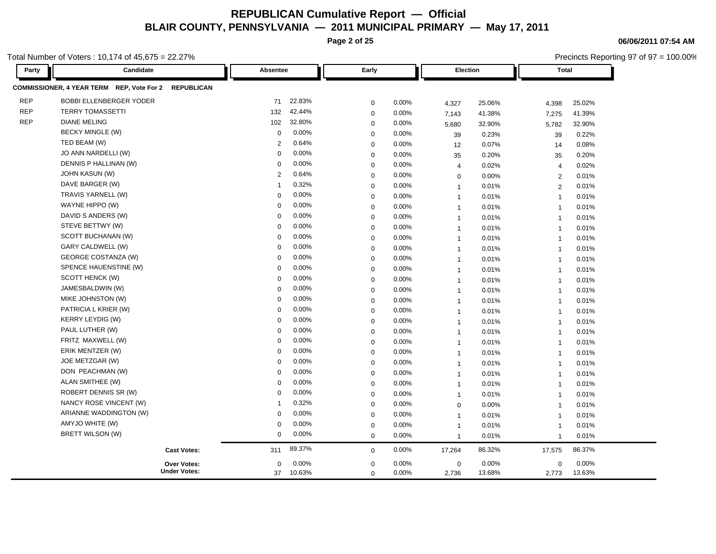**Page 2 of 25**

Total Number of Voters : 10,174 of 45,675 = 22.27%

| Party      | Candidate                                            | Absentee                          | Early       |          |                | <b>Election</b> | <b>Total</b>   |        |
|------------|------------------------------------------------------|-----------------------------------|-------------|----------|----------------|-----------------|----------------|--------|
|            | COMMISSIONER, 4 YEAR TERM REP, Vote For 2 REPUBLICAN |                                   |             |          |                |                 |                |        |
| <b>REP</b> | <b>BOBBI ELLENBERGER YODER</b>                       | 22.83%<br>71                      | $\mathbf 0$ | 0.00%    | 4,327          | 25.06%          | 4,398          | 25.02% |
| <b>REP</b> | <b>TERRY TOMASSETTI</b>                              | 42.44%<br>132                     | $\mathbf 0$ | 0.00%    | 7,143          | 41.38%          | 7,275          | 41.39% |
| <b>REP</b> | <b>DIANE MELING</b>                                  | 102<br>32.80%                     | $\mathbf 0$ | 0.00%    | 5,680          | 32.90%          | 5,782          | 32.90% |
|            | BECKY MINGLE (W)                                     | 0.00%<br>$\mathbf 0$              | $\mathbf 0$ | 0.00%    | 39             | 0.23%           | 39             | 0.22%  |
|            | TED BEAM (W)                                         | 0.64%<br>$\overline{2}$           | $\mathbf 0$ | 0.00%    | 12             | 0.07%           | 14             | 0.08%  |
|            | JO ANN NARDELLI (W)                                  | 0.00%<br>$\mathbf 0$              | $\mathbf 0$ | 0.00%    | 35             | 0.20%           | 35             | 0.20%  |
|            | DENNIS P HALLINAN (W)                                | 0.00%<br>$\Omega$                 | $\mathbf 0$ | 0.00%    | $\overline{4}$ | 0.02%           | $\overline{4}$ | 0.02%  |
|            | JOHN KASUN (W)                                       | 0.64%<br>$\overline{2}$           | $\mathbf 0$ | $0.00\%$ | 0              | 0.00%           | 2              | 0.01%  |
|            | DAVE BARGER (W)                                      | 0.32%<br>-1                       | $\mathbf 0$ | 0.00%    | $\overline{1}$ | 0.01%           | 2              | 0.01%  |
|            | TRAVIS YARNELL (W)                                   | 0.00%<br>$\Omega$                 | $\mathbf 0$ | $0.00\%$ | $\overline{1}$ | 0.01%           | $\overline{1}$ | 0.01%  |
|            | WAYNE HIPPO (W)                                      | 0.00%<br>$\Omega$                 | $\mathbf 0$ | 0.00%    | $\overline{1}$ | 0.01%           | $\overline{1}$ | 0.01%  |
|            | DAVID S ANDERS (W)                                   | 0.00%<br>$\Omega$                 | $\mathbf 0$ | 0.00%    | $\overline{1}$ | 0.01%           | $\overline{1}$ | 0.01%  |
|            | STEVE BETTWY (W)                                     | 0.00%<br>$\Omega$                 | $\mathbf 0$ | 0.00%    | $\overline{1}$ | 0.01%           | $\overline{1}$ | 0.01%  |
|            | SCOTT BUCHANAN (W)                                   | 0.00%<br>$\Omega$                 | $\mathbf 0$ | 0.00%    | $\overline{1}$ | 0.01%           | $\overline{1}$ | 0.01%  |
|            | GARY CALDWELL (W)                                    | 0.00%<br>$\mathbf 0$              | $\mathbf 0$ | 0.00%    | $\overline{1}$ | 0.01%           | $\overline{1}$ | 0.01%  |
|            | <b>GEORGE COSTANZA (W)</b>                           | 0.00%<br>$\Omega$                 | $\mathbf 0$ | 0.00%    | $\overline{1}$ | 0.01%           | $\overline{1}$ | 0.01%  |
|            | SPENCE HAUENSTINE (W)                                | 0.00%<br>$\Omega$                 | $\mathbf 0$ | 0.00%    | $\overline{1}$ | 0.01%           | $\overline{1}$ | 0.01%  |
|            | SCOTT HENCK (W)                                      | 0.00%<br>$\Omega$                 | $\mathbf 0$ | 0.00%    | $\overline{1}$ | 0.01%           | $\overline{1}$ | 0.01%  |
|            | JAMESBALDWIN (W)                                     | 0.00%<br>$\Omega$                 | $\mathbf 0$ | $0.00\%$ | $\overline{1}$ | 0.01%           | $\overline{1}$ | 0.01%  |
|            | MIKE JOHNSTON (W)                                    | 0.00%<br>$\Omega$                 | $\mathbf 0$ | 0.00%    | $\overline{1}$ | 0.01%           | $\overline{1}$ | 0.01%  |
|            | PATRICIA L KRIER (W)                                 | 0.00%<br>$\Omega$                 | $\mathbf 0$ | 0.00%    | $\overline{1}$ | 0.01%           | $\overline{1}$ | 0.01%  |
|            | <b>KERRY LEYDIG (W)</b>                              | 0.00%<br>$\Omega$                 | $\mathbf 0$ | 0.00%    | $\overline{1}$ | 0.01%           | $\overline{1}$ | 0.01%  |
|            | PAUL LUTHER (W)                                      | 0.00%<br>$\Omega$                 | $\mathbf 0$ | 0.00%    | $\overline{1}$ | 0.01%           | $\overline{1}$ | 0.01%  |
|            | FRITZ MAXWELL (W)                                    | 0.00%<br>$\Omega$                 | $\mathbf 0$ | 0.00%    | $\overline{1}$ | 0.01%           | $\overline{1}$ | 0.01%  |
|            | ERIK MENTZER (W)                                     | 0.00%<br>$\Omega$                 | $\mathbf 0$ | 0.00%    | $\overline{1}$ | 0.01%           | $\overline{1}$ | 0.01%  |
|            | JOE METZGAR (W)                                      | 0.00%<br>$\Omega$                 | $\mathbf 0$ | $0.00\%$ | $\overline{1}$ | 0.01%           | $\overline{1}$ | 0.01%  |
|            | DON PEACHMAN (W)                                     | 0.00%<br>$\mathbf 0$              | $\mathbf 0$ | 0.00%    | $\overline{1}$ | 0.01%           | $\overline{1}$ | 0.01%  |
|            | ALAN SMITHEE (W)                                     | 0.00%<br>$\Omega$                 | $\mathbf 0$ | 0.00%    | $\overline{1}$ | 0.01%           | $\overline{1}$ | 0.01%  |
|            | ROBERT DENNIS SR (W)                                 | 0.00%<br>$\Omega$                 | $\mathbf 0$ | 0.00%    | $\overline{1}$ | 0.01%           | $\overline{1}$ | 0.01%  |
|            | NANCY ROSE VINCENT (W)                               | 0.32%<br>$\overline{\phantom{a}}$ | $\mathbf 0$ | 0.00%    | 0              | 0.00%           | $\overline{1}$ | 0.01%  |
|            | ARIANNE WADDINGTON (W)                               | 0.00%<br>$\Omega$                 | $\mathbf 0$ | 0.00%    | $\overline{1}$ | 0.01%           | $\overline{1}$ | 0.01%  |
|            | AMYJO WHITE (W)                                      | 0.00%<br>$\Omega$                 | $\mathbf 0$ | 0.00%    | $\overline{1}$ | 0.01%           | $\overline{1}$ | 0.01%  |
|            | BRETT WILSON (W)                                     | 0.00%<br>$\mathbf 0$              | $\mathbf 0$ | 0.00%    | $\mathbf{1}$   | 0.01%           | $\overline{1}$ | 0.01%  |
|            | <b>Cast Votes:</b>                                   | 89.37%<br>311                     | $\mathbf 0$ | 0.00%    | 17,264         | 86.32%          | 17,575         | 86.37% |
|            | <b>Over Votes:</b>                                   | 0.00%<br>$\mathbf 0$              | $\mathbf 0$ | 0.00%    | $\mathbf 0$    | 0.00%           | $\mathbf 0$    | 0.00%  |
|            | <b>Under Votes:</b>                                  | 37<br>10.63%                      | $\mathbf 0$ | 0.00%    | 2,736          | 13.68%          | 2,773          | 13.63% |

**06/06/2011 07:54 AM**

Precincts Reporting 97 of 97 = 100.00%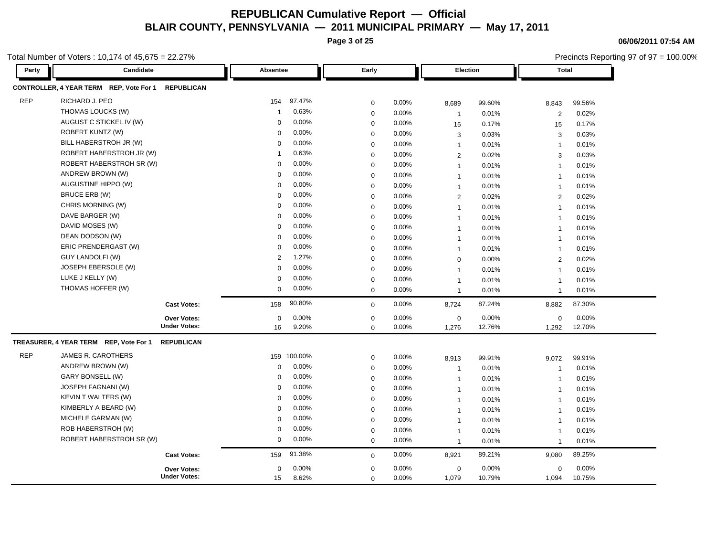**Page 3 of 25**

**06/06/2011 07:54 AM** Precincts Reporting 97 of 97 = 100.00%

| Party      | Candidate                               |                     | Absentee    |         | Early        |          |                | Election | <b>Total</b>            |        |
|------------|-----------------------------------------|---------------------|-------------|---------|--------------|----------|----------------|----------|-------------------------|--------|
|            | CONTROLLER, 4 YEAR TERM REP, Vote For 1 | <b>REPUBLICAN</b>   |             |         |              |          |                |          |                         |        |
| <b>REP</b> | RICHARD J. PEO                          |                     | 154         | 97.47%  | 0            | 0.00%    | 8,689          | 99.60%   | 8,843                   | 99.56% |
|            | THOMAS LOUCKS (W)                       |                     | -1          | 0.63%   | $\mathsf 0$  | 0.00%    | $\mathbf{1}$   | 0.01%    | 2                       | 0.02%  |
|            | AUGUST C STICKEL IV (W)                 |                     | $\mathbf 0$ | 0.00%   | $\mathbf 0$  | 0.00%    | 15             | 0.17%    | 15                      | 0.17%  |
|            | <b>ROBERT KUNTZ (W)</b>                 |                     | $\Omega$    | 0.00%   | 0            | 0.00%    | 3              | 0.03%    | 3                       | 0.03%  |
|            | BILL HABERSTROH JR (W)                  |                     | $\Omega$    | 0.00%   | $\mathsf 0$  | 0.00%    | $\mathbf{1}$   | 0.01%    | $\overline{1}$          | 0.01%  |
|            | ROBERT HABERSTROH JR (W)                |                     | -1          | 0.63%   | $\mathsf 0$  | 0.00%    | $\mathbf{2}$   | 0.02%    | 3                       | 0.03%  |
|            | ROBERT HABERSTROH SR (W)                |                     | $\mathbf 0$ | 0.00%   | 0            | 0.00%    | $\mathbf{1}$   | 0.01%    | $\overline{1}$          | 0.01%  |
|            | ANDREW BROWN (W)                        |                     | $\Omega$    | 0.00%   | $\mathsf 0$  | $0.00\%$ | $\mathbf{1}$   | 0.01%    | $\overline{1}$          | 0.01%  |
|            | AUGUSTINE HIPPO (W)                     |                     | 0           | 0.00%   | $\mathsf 0$  | 0.00%    | $\mathbf{1}$   | 0.01%    | $\overline{1}$          | 0.01%  |
|            | BRUCE ERB (W)                           |                     | $\mathbf 0$ | 0.00%   | $\mathsf 0$  | 0.00%    | $\mathbf{2}$   | 0.02%    | 2                       | 0.02%  |
|            | CHRIS MORNING (W)                       |                     | $\Omega$    | 0.00%   | $\mathbf 0$  | $0.00\%$ | $\mathbf{1}$   | 0.01%    | $\overline{1}$          | 0.01%  |
|            | DAVE BARGER (W)                         |                     | $\mathbf 0$ | 0.00%   | $\mathbf 0$  | 0.00%    | $\mathbf{1}$   | 0.01%    | $\overline{1}$          | 0.01%  |
|            | DAVID MOSES (W)                         |                     | $\mathbf 0$ | 0.00%   | 0            | 0.00%    | $\overline{1}$ | 0.01%    | $\overline{1}$          | 0.01%  |
|            | DEAN DODSON (W)                         |                     | $\Omega$    | 0.00%   | $\mathbf 0$  | 0.00%    | $\mathbf{1}$   | 0.01%    | $\overline{1}$          | 0.01%  |
|            | ERIC PRENDERGAST (W)                    |                     | 0           | 0.00%   | $\mathbf 0$  | 0.00%    | $\mathbf{1}$   | 0.01%    | $\overline{1}$          | 0.01%  |
|            | <b>GUY LANDOLFI (W)</b>                 |                     | 2           | 1.27%   | 0            | 0.00%    | $\mathbf 0$    | 0.00%    | $\overline{2}$          | 0.02%  |
|            | JOSEPH EBERSOLE (W)                     |                     | $\Omega$    | 0.00%   | $\mathsf 0$  | 0.00%    | $\mathbf{1}$   | 0.01%    | $\overline{1}$          | 0.01%  |
|            | LUKE J KELLY (W)                        |                     | $\mathbf 0$ | 0.00%   | $\pmb{0}$    | 0.00%    | $\mathbf{1}$   | 0.01%    | $\overline{1}$          | 0.01%  |
|            | THOMAS HOFFER (W)                       |                     | $\mathbf 0$ | 0.00%   | $\mathbf 0$  | 0.00%    | $\mathbf{1}$   | 0.01%    | $\overline{1}$          | 0.01%  |
|            |                                         | <b>Cast Votes:</b>  | 158         | 90.80%  | $\mathbf{0}$ | 0.00%    | 8,724          | 87.24%   | 8,882                   | 87.30% |
|            |                                         | Over Votes:         | $\mathbf 0$ | 0.00%   | 0            | 0.00%    | $\mathbf 0$    | 0.00%    | 0                       | 0.00%  |
|            |                                         | <b>Under Votes:</b> | 16          | 9.20%   | $\mathbf 0$  | 0.00%    | 1,276          | 12.76%   | 1,292                   | 12.70% |
|            | TREASURER, 4 YEAR TERM REP, Vote For 1  | <b>REPUBLICAN</b>   |             |         |              |          |                |          |                         |        |
| <b>REP</b> | <b>JAMES R. CAROTHERS</b>               |                     | 159         | 100.00% | 0            | 0.00%    | 8,913          | 99.91%   | 9,072                   | 99.91% |
|            | ANDREW BROWN (W)                        |                     | $\mathbf 0$ | 0.00%   | $\mathsf 0$  | 0.00%    | $\mathbf{1}$   | 0.01%    | $\overline{\mathbf{1}}$ | 0.01%  |
|            | GARY BONSELL (W)                        |                     | 0           | 0.00%   | $\mathsf 0$  | 0.00%    | $\mathbf{1}$   | 0.01%    | $\overline{1}$          | 0.01%  |
|            | JOSEPH FAGNANI (W)                      |                     | $\mathbf 0$ | 0.00%   | $\mathsf 0$  | 0.00%    | $\mathbf{1}$   | 0.01%    | $\overline{\mathbf{1}}$ | 0.01%  |
|            | <b>KEVIN T WALTERS (W)</b>              |                     | $\Omega$    | 0.00%   | $\mathbf 0$  | $0.00\%$ | $\mathbf{1}$   | 0.01%    | $\overline{1}$          | 0.01%  |
|            | KIMBERLY A BEARD (W)                    |                     | $\mathbf 0$ | 0.00%   | $\mathsf 0$  | 0.00%    | $\mathbf{1}$   | 0.01%    | $\overline{1}$          | 0.01%  |
|            | MICHELE GARMAN (W)                      |                     | $\mathbf 0$ | 0.00%   | 0            | 0.00%    | $\overline{1}$ | 0.01%    | $\overline{1}$          | 0.01%  |
|            | ROB HABERSTROH (W)                      |                     | $\mathbf 0$ | 0.00%   | $\mathbf 0$  | 0.00%    | $\mathbf{1}$   | 0.01%    | $\overline{\mathbf{1}}$ | 0.01%  |
|            | ROBERT HABERSTROH SR (W)                |                     | $\mathbf 0$ | 0.00%   | $\mathbf 0$  | 0.00%    | $\mathbf{1}$   | 0.01%    | $\overline{1}$          | 0.01%  |
|            |                                         | <b>Cast Votes:</b>  | 159         | 91.38%  | $\mathbf 0$  | 0.00%    | 8,921          | 89.21%   | 9,080                   | 89.25% |
|            |                                         | Over Votes:         | $\mathbf 0$ | 0.00%   | $\mathsf 0$  | 0.00%    | $\mathbf 0$    | 0.00%    | 0                       | 0.00%  |
|            |                                         | <b>Under Votes:</b> | 15          | 8.62%   | $\mathbf 0$  | 0.00%    | 1,079          | 10.79%   | 1,094                   | 10.75% |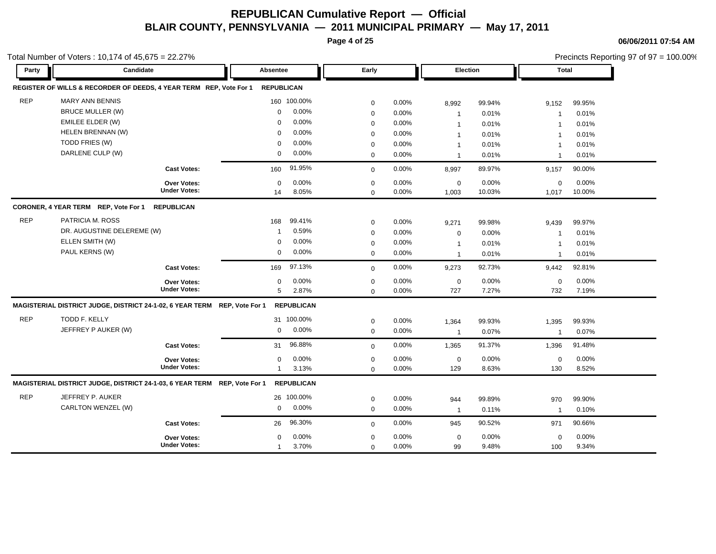**Page 4 of 25**

**06/06/2011 07:54 AM**

|            | otal Number of Voters: $10,174$ of $45,675 = 22.27\%$                     |                     |                   |                   |             |          |                |        |                |        | Precincts Reporting 97 of 97 = 100.00% |
|------------|---------------------------------------------------------------------------|---------------------|-------------------|-------------------|-------------|----------|----------------|--------|----------------|--------|----------------------------------------|
| Party      | Candidate                                                                 |                     | Absentee          |                   | Early       |          | Election       |        | <b>Total</b>   |        |                                        |
|            | REGISTER OF WILLS & RECORDER OF DEEDS, 4 YEAR TERM REP, Vote For 1        |                     | <b>REPUBLICAN</b> |                   |             |          |                |        |                |        |                                        |
| <b>REP</b> | <b>MARY ANN BENNIS</b>                                                    |                     |                   | 160 100.00%       | 0           | 0.00%    | 8,992          | 99.94% | 9,152          | 99.95% |                                        |
|            | <b>BRUCE MULLER (W)</b>                                                   |                     | $\mathbf 0$       | 0.00%             | 0           | 0.00%    | $\mathbf{1}$   | 0.01%  | $\overline{1}$ | 0.01%  |                                        |
|            | EMILEE ELDER (W)                                                          |                     | $\Omega$          | 0.00%             | 0           | 0.00%    | $\overline{1}$ | 0.01%  | $\overline{1}$ | 0.01%  |                                        |
|            | HELEN BRENNAN (W)                                                         |                     | $\Omega$          | 0.00%             | $\mathbf 0$ | 0.00%    | $\overline{1}$ | 0.01%  | $\overline{1}$ | 0.01%  |                                        |
|            | TODD FRIES (W)                                                            |                     | $\Omega$          | 0.00%             | 0           | 0.00%    | $\mathbf{1}$   | 0.01%  | $\mathbf{1}$   | 0.01%  |                                        |
|            | DARLENE CULP (W)                                                          |                     | 0                 | 0.00%             | $\mathbf 0$ | 0.00%    | $\overline{1}$ | 0.01%  | $\overline{1}$ | 0.01%  |                                        |
|            |                                                                           | <b>Cast Votes:</b>  | 160               | 91.95%            | $\mathbf 0$ | 0.00%    | 8,997          | 89.97% | 9,157          | 90.00% |                                        |
|            |                                                                           | <b>Over Votes:</b>  | $\Omega$          | 0.00%             | 0           | 0.00%    | $\mathbf 0$    | 0.00%  | 0              | 0.00%  |                                        |
|            |                                                                           | <b>Under Votes:</b> | 14                | 8.05%             | 0           | 0.00%    | 1,003          | 10.03% | 1,017          | 10.00% |                                        |
|            | CORONER, 4 YEAR TERM REP, Vote For 1                                      | <b>REPUBLICAN</b>   |                   |                   |             |          |                |        |                |        |                                        |
| <b>REP</b> | PATRICIA M. ROSS                                                          |                     | 168               | 99.41%            | 0           | 0.00%    | 9,271          | 99.98% | 9,439          | 99.97% |                                        |
|            | DR. AUGUSTINE DELEREME (W)                                                |                     | -1                | 0.59%             | 0           | 0.00%    | $\mathbf 0$    | 0.00%  | $\overline{1}$ | 0.01%  |                                        |
|            | ELLEN SMITH (W)                                                           |                     | $\Omega$          | 0.00%             | $\mathbf 0$ | $0.00\%$ | $\mathbf{1}$   | 0.01%  | -1             | 0.01%  |                                        |
|            | PAUL KERNS (W)                                                            |                     | $\mathbf 0$       | 0.00%             | $\mathbf 0$ | 0.00%    | $\mathbf{1}$   | 0.01%  | $\overline{1}$ | 0.01%  |                                        |
|            |                                                                           | <b>Cast Votes:</b>  | 169               | 97.13%            | 0           | 0.00%    | 9,273          | 92.73% | 9,442          | 92.81% |                                        |
|            |                                                                           | <b>Over Votes:</b>  | $\mathbf 0$       | 0.00%             | 0           | 0.00%    | $\mathbf 0$    | 0.00%  | $\mathbf 0$    | 0.00%  |                                        |
|            |                                                                           | <b>Under Votes:</b> | 5                 | 2.87%             | $\mathbf 0$ | 0.00%    | 727            | 7.27%  | 732            | 7.19%  |                                        |
|            | MAGISTERIAL DISTRICT JUDGE, DISTRICT 24-1-02, 6 YEAR TERM REP, Vote For 1 |                     |                   | <b>REPUBLICAN</b> |             |          |                |        |                |        |                                        |
| <b>REP</b> | TODD F. KELLY                                                             |                     |                   | 31 100.00%        | 0           | 0.00%    | 1,364          | 99.93% | 1,395          | 99.93% |                                        |
|            | JEFFREY P AUKER (W)                                                       |                     | $\mathbf 0$       | 0.00%             | 0           | 0.00%    | $\mathbf{1}$   | 0.07%  | $\mathbf{1}$   | 0.07%  |                                        |
|            |                                                                           | <b>Cast Votes:</b>  | 31                | 96.88%            | 0           | 0.00%    | 1,365          | 91.37% | 1,396          | 91.48% |                                        |
|            |                                                                           | Over Votes:         | $\Omega$          | 0.00%             | 0           | 0.00%    | $\mathbf 0$    | 0.00%  | $\mathbf 0$    | 0.00%  |                                        |
|            |                                                                           | <b>Under Votes:</b> | $\mathbf 1$       | 3.13%             | $\mathbf 0$ | 0.00%    | 129            | 8.63%  | 130            | 8.52%  |                                        |
|            | MAGISTERIAL DISTRICT JUDGE, DISTRICT 24-1-03, 6 YEAR TERM REP, Vote For 1 |                     |                   | <b>REPUBLICAN</b> |             |          |                |        |                |        |                                        |
| <b>REP</b> | JEFFREY P. AUKER                                                          |                     |                   | 26 100.00%        | 0           | 0.00%    | 944            | 99.89% | 970            | 99.90% |                                        |
|            | CARLTON WENZEL (W)                                                        |                     | $\mathbf 0$       | 0.00%             | $\mathbf 0$ | 0.00%    | $\mathbf{1}$   | 0.11%  | $\overline{1}$ | 0.10%  |                                        |
|            |                                                                           | <b>Cast Votes:</b>  | 26                | 96.30%            | 0           | 0.00%    | 945            | 90.52% | 971            | 90.66% |                                        |
|            |                                                                           | <b>Over Votes:</b>  | $\Omega$          | 0.00%             | 0           | 0.00%    | $\pmb{0}$      | 0.00%  | $\mathbf 0$    | 0.00%  |                                        |
|            |                                                                           | <b>Under Votes:</b> | -1                | 3.70%             | $\mathbf 0$ | 0.00%    | 99             | 9.48%  | 100            | 9.34%  |                                        |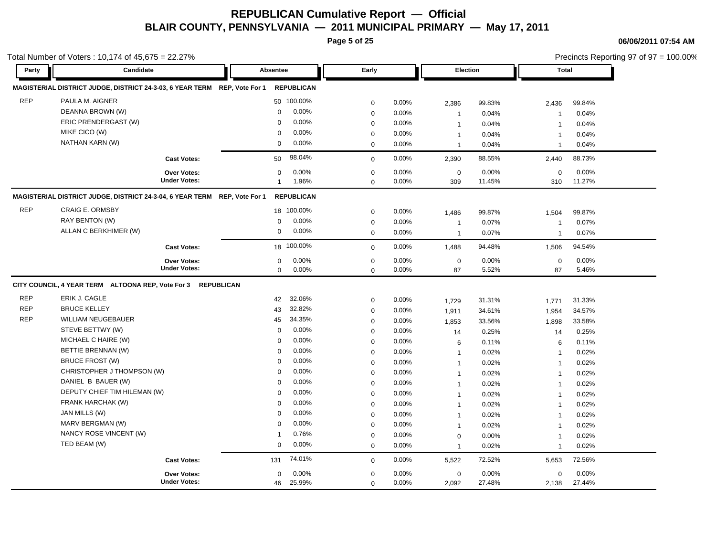**Page 5 of 25**

**06/06/2011 07:54 AM**

|            | otal Number of Voters: 10,174 of 45,675 = 22.27%                                             |                       |                      |                         | Precincts Reporting 97 of 97 = 100.00% |  |
|------------|----------------------------------------------------------------------------------------------|-----------------------|----------------------|-------------------------|----------------------------------------|--|
| Party      | Candidate                                                                                    | Absentee              | Early                | Election                | <b>Total</b>                           |  |
|            | MAGISTERIAL DISTRICT JUDGE, DISTRICT 24-3-03, 6 YEAR TERM REP, Vote For 1                    | <b>REPUBLICAN</b>     |                      |                         |                                        |  |
| <b>REP</b> | PAULA M. AIGNER                                                                              | 50 100.00%            | 0.00%<br>$\mathbf 0$ | 2,386<br>99.83%         | 99.84%<br>2,436                        |  |
|            | DEANNA BROWN (W)                                                                             | 0.00%<br>$\mathbf 0$  | 0.00%<br>$\mathbf 0$ | 0.04%<br>$\overline{1}$ | 0.04%<br>$\overline{\mathbf{1}}$       |  |
|            | ERIC PRENDERGAST (W)                                                                         | 0.00%<br>$\Omega$     | 0.00%<br>$\mathbf 0$ | 0.04%<br>$\overline{1}$ | 0.04%<br>$\overline{\mathbf{1}}$       |  |
|            | MIKE CICO (W)                                                                                | 0.00%<br>$\Omega$     | 0.00%<br>0           | $\mathbf{1}$<br>0.04%   | 0.04%<br>$\overline{\mathbf{1}}$       |  |
|            | NATHAN KARN (W)                                                                              | 0.00%<br>$\mathbf 0$  | 0.00%<br>$\mathbf 0$ | 0.04%<br>$\mathbf{1}$   | 0.04%<br>$\mathbf{1}$                  |  |
|            | <b>Cast Votes:</b>                                                                           | 98.04%<br>50          | 0.00%<br>$\mathbf 0$ | 88.55%<br>2,390         | 88.73%<br>2,440                        |  |
|            | <b>Over Votes:</b>                                                                           | 0.00%<br>$\mathbf 0$  | 0.00%<br>$\mathbf 0$ | 0.00%<br>$\mathbf 0$    | 0.00%<br>$\mathbf 0$                   |  |
|            | <b>Under Votes:</b>                                                                          | 1.96%<br>$\mathbf{1}$ | 0.00%<br>$\mathbf 0$ | 309<br>11.45%           | 11.27%<br>310                          |  |
|            | MAGISTERIAL DISTRICT JUDGE, DISTRICT 24-3-04, 6 YEAR TERM                    REP, Vote For 1 | <b>REPUBLICAN</b>     |                      |                         |                                        |  |
| <b>REP</b> | <b>CRAIG E. ORMSBY</b>                                                                       | 18 100.00%            | 0.00%<br>$\mathbf 0$ | 99.87%<br>1,486         | 99.87%<br>1,504                        |  |
|            | RAY BENTON (W)                                                                               | 0.00%<br>0            | $\mathbf 0$<br>0.00% | 0.07%<br>$\overline{1}$ | 0.07%<br>$\overline{\mathbf{1}}$       |  |
|            | ALLAN C BERKHIMER (W)                                                                        | 0.00%<br>0            | 0.00%<br>$\mathbf 0$ | 0.07%<br>$\overline{1}$ | 0.07%<br>$\overline{1}$                |  |
|            | <b>Cast Votes:</b>                                                                           | 18 100.00%            | 0.00%<br>$\mathbf 0$ | 94.48%<br>1,488         | 94.54%<br>1,506                        |  |
|            | <b>Over Votes:</b>                                                                           | 0.00%<br>0            | $\mathbf 0$<br>0.00% | $\mathbf 0$<br>0.00%    | $\mathbf 0$<br>0.00%                   |  |
|            | <b>Under Votes:</b>                                                                          | 0.00%<br>$\mathbf 0$  | 0.00%<br>$\mathbf 0$ | 5.52%<br>87             | 87<br>5.46%                            |  |
|            | CITY COUNCIL, 4 YEAR TERM ALTOONA REP, Vote For 3 REPUBLICAN                                 |                       |                      |                         |                                        |  |
| <b>REP</b> | ERIK J. CAGLE                                                                                | 32.06%<br>42          | $\mathbf 0$<br>0.00% | 31.31%<br>1,729         | 31.33%<br>1,771                        |  |
| <b>REP</b> | <b>BRUCE KELLEY</b>                                                                          | 32.82%<br>43          | 0.00%<br>$\mathbf 0$ | 34.61%<br>1,911         | 34.57%<br>1,954                        |  |
| <b>REP</b> | <b>WILLIAM NEUGEBAUER</b>                                                                    | 34.35%<br>45          | 0.00%<br>$\mathbf 0$ | 33.56%<br>1,853         | 33.58%<br>1,898                        |  |
|            | STEVE BETTWY (W)                                                                             | 0.00%<br>0            | 0.00%<br>$\mathbf 0$ | 0.25%<br>14             | 0.25%<br>14                            |  |
|            | MICHAEL C HAIRE (W)                                                                          | 0.00%<br>0            | 0.00%<br>$\mathbf 0$ | 0.11%<br>6              | 0.11%<br>6                             |  |
|            | BETTIE BRENNAN (W)                                                                           | 0.00%<br>$\mathbf 0$  | 0.00%<br>$\mathbf 0$ | 0.02%<br>$\mathbf{1}$   | 0.02%<br>$\overline{\mathbf{1}}$       |  |
|            | <b>BRUCE FROST (W)</b>                                                                       | 0.00%<br>$\Omega$     | 0.00%<br>$\mathbf 0$ | $\overline{1}$<br>0.02% | 0.02%<br>$\overline{1}$                |  |
|            | CHRISTOPHER J THOMPSON (W)                                                                   | 0.00%<br>$\mathbf 0$  | 0.00%<br>$\mathbf 0$ | 0.02%<br>$\mathbf{1}$   | 0.02%<br>$\overline{1}$                |  |
|            | DANIEL B BAUER (W)                                                                           | 0.00%<br>$\Omega$     | 0.00%<br>$\mathbf 0$ | 0.02%<br>$\overline{1}$ | 0.02%<br>$\overline{1}$                |  |
|            | DEPUTY CHIEF TIM HILEMAN (W)                                                                 | 0.00%<br>$\Omega$     | $\mathbf 0$<br>0.00% | 0.02%<br>$\mathbf{1}$   | 0.02%<br>-1                            |  |
|            | FRANK HARCHAK (W)                                                                            | 0.00%<br>$\mathbf 0$  | 0.00%<br>$\mathbf 0$ | 0.02%<br>$\overline{1}$ | 0.02%<br>$\overline{\mathbf{1}}$       |  |
|            | JAN MILLS (W)                                                                                | 0.00%<br>$\Omega$     | 0.00%<br>$\mathbf 0$ | $\overline{1}$<br>0.02% | 0.02%<br>$\overline{1}$                |  |
|            | MARV BERGMAN (W)                                                                             | 0.00%<br>$\mathbf 0$  | 0.00%<br>0           | 0.02%<br>$\mathbf{1}$   | 0.02%<br>$\overline{1}$                |  |
|            | NANCY ROSE VINCENT (W)                                                                       | 0.76%<br>-1           | 0.00%<br>$\mathbf 0$ | 0.00%<br>$\mathbf 0$    | 0.02%<br>$\overline{\mathbf{1}}$       |  |
|            | TED BEAM (W)                                                                                 | 0.00%<br>$\mathbf 0$  | $\mathbf 0$<br>0.00% | 0.02%<br>$\mathbf{1}$   | 0.02%<br>$\overline{1}$                |  |
|            | <b>Cast Votes:</b>                                                                           | 74.01%<br>131         | 0.00%<br>$\mathbf 0$ | 72.52%<br>5,522         | 72.56%<br>5,653                        |  |
|            | <b>Over Votes:</b>                                                                           | 0.00%<br>$\mathbf 0$  | 0.00%<br>$\mathbf 0$ | $\mathbf 0$<br>0.00%    | $\mathbf 0$<br>0.00%                   |  |
|            | <b>Under Votes:</b>                                                                          | 25.99%<br>46          | 0.00%<br>$\Omega$    | 2,092<br>27.48%         | 2,138<br>27.44%                        |  |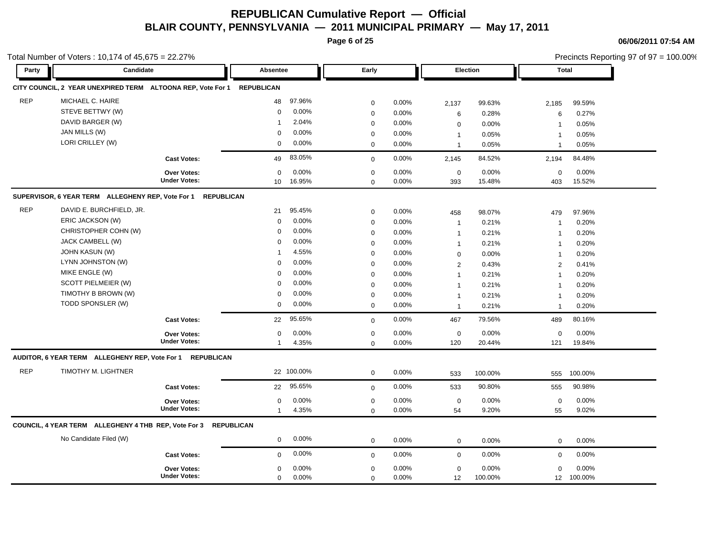**Page 6 of 25**

**06/06/2011 07:54 AM**

Precincts Reporting 97 of 97 = 100.00%

| Party      | Candidate                                                              |                     | Absentee          |            | Early       |       |                | Election | <b>Total</b>   |         |
|------------|------------------------------------------------------------------------|---------------------|-------------------|------------|-------------|-------|----------------|----------|----------------|---------|
|            | CITY COUNCIL, 2 YEAR UNEXPIRED TERM ALTOONA REP, Vote For 1 REPUBLICAN |                     |                   |            |             |       |                |          |                |         |
| <b>REP</b> | MICHAEL C. HAIRE                                                       |                     | 48                | 97.96%     | $\mathbf 0$ | 0.00% | 2,137          | 99.63%   | 2,185          | 99.59%  |
|            | STEVE BETTWY (W)                                                       |                     | $\mathbf 0$       | 0.00%      | $\mathbf 0$ | 0.00% | 6              | 0.28%    | $\,6$          | 0.27%   |
|            | DAVID BARGER (W)                                                       |                     | -1                | 2.04%      | $\mathbf 0$ | 0.00% | $\mathbf 0$    | 0.00%    | $\overline{1}$ | 0.05%   |
|            | JAN MILLS (W)                                                          |                     | $\Omega$          | 0.00%      | $\mathbf 0$ | 0.00% | $\overline{1}$ | 0.05%    | $\overline{1}$ | 0.05%   |
|            | LORI CRILLEY (W)                                                       |                     | $\mathbf 0$       | 0.00%      | $\mathbf 0$ | 0.00% | $\mathbf{1}$   | 0.05%    | $\overline{1}$ | 0.05%   |
|            |                                                                        | <b>Cast Votes:</b>  | 49                | 83.05%     | $\mathbf 0$ | 0.00% | 2,145          | 84.52%   | 2.194          | 84.48%  |
|            |                                                                        | Over Votes:         | $\mathbf 0$       | $0.00\%$   | $\mathbf 0$ | 0.00% | $\mathbf 0$    | 0.00%    | $\mathbf 0$    | 0.00%   |
|            |                                                                        | <b>Under Votes:</b> | 10 <sup>°</sup>   | 16.95%     | $\mathbf 0$ | 0.00% | 393            | 15.48%   | 403            | 15.52%  |
|            | SUPERVISOR, 6 YEAR TERM ALLEGHENY REP, Vote For 1                      | <b>REPUBLICAN</b>   |                   |            |             |       |                |          |                |         |
| <b>REP</b> | DAVID E. BURCHFIELD, JR.                                               |                     | 21                | 95.45%     | $\mathbf 0$ | 0.00% | 458            | 98.07%   | 479            | 97.96%  |
|            | ERIC JACKSON (W)                                                       |                     | $\mathbf 0$       | 0.00%      | $\mathbf 0$ | 0.00% | $\overline{1}$ | 0.21%    | $\overline{1}$ | 0.20%   |
|            | CHRISTOPHER COHN (W)                                                   |                     | $\mathbf 0$       | 0.00%      | $\mathbf 0$ | 0.00% | $\overline{1}$ | 0.21%    | $\overline{1}$ | 0.20%   |
|            | JACK CAMBELL (W)                                                       |                     | $\Omega$          | $0.00\%$   | $\mathbf 0$ | 0.00% | $\overline{1}$ | 0.21%    | $\overline{1}$ | 0.20%   |
|            | <b>JOHN KASUN (W)</b>                                                  |                     | 1                 | 4.55%      | $\mathbf 0$ | 0.00% | $\mathbf 0$    | 0.00%    | $\overline{1}$ | 0.20%   |
|            | LYNN JOHNSTON (W)                                                      |                     | $\mathbf 0$       | 0.00%      | $\mathbf 0$ | 0.00% | $\overline{2}$ | 0.43%    | 2              | 0.41%   |
|            | MIKE ENGLE (W)                                                         |                     | $\Omega$          | 0.00%      | $\mathbf 0$ | 0.00% | $\mathbf{1}$   | 0.21%    | $\overline{1}$ | 0.20%   |
|            | SCOTT PIELMEIER (W)                                                    |                     | $\Omega$          | 0.00%      | $\mathbf 0$ | 0.00% | $\mathbf{1}$   | 0.21%    | $\overline{1}$ | 0.20%   |
|            | TIMOTHY B BROWN (W)                                                    |                     | $\Omega$          | 0.00%      | $\mathbf 0$ | 0.00% | $\overline{1}$ | 0.21%    | $\overline{1}$ | 0.20%   |
|            | TODD SPONSLER (W)                                                      |                     | 0                 | 0.00%      | $\mathbf 0$ | 0.00% | $\overline{1}$ | 0.21%    | $\overline{1}$ | 0.20%   |
|            |                                                                        | <b>Cast Votes:</b>  | 22                | 95.65%     | $\Omega$    | 0.00% | 467            | 79.56%   | 489            | 80.16%  |
|            |                                                                        | Over Votes:         | $\Omega$          | 0.00%      | $\mathbf 0$ | 0.00% | $\mathbf 0$    | 0.00%    | $\mathbf 0$    | 0.00%   |
|            |                                                                        | <b>Under Votes:</b> | 1                 | 4.35%      | $\mathbf 0$ | 0.00% | 120            | 20.44%   | 121            | 19.84%  |
|            | AUDITOR, 6 YEAR TERM ALLEGHENY REP, Vote For 1 REPUBLICAN              |                     |                   |            |             |       |                |          |                |         |
| <b>REP</b> | TIMOTHY M. LIGHTNER                                                    |                     |                   | 22 100.00% | $\mathbf 0$ | 0.00% | 533            | 100.00%  | 555            | 100.00% |
|            |                                                                        | <b>Cast Votes:</b>  | 22                | 95.65%     | $\mathbf 0$ | 0.00% | 533            | 90.80%   | 555            | 90.98%  |
|            |                                                                        | <b>Over Votes:</b>  | $\mathbf 0$       | 0.00%      | $\mathbf 0$ | 0.00% | $\mathbf 0$    | 0.00%    | $\mathbf 0$    | 0.00%   |
|            |                                                                        | <b>Under Votes:</b> | $\mathbf{1}$      | 4.35%      | $\mathbf 0$ | 0.00% | 54             | 9.20%    | 55             | 9.02%   |
|            | COUNCIL, 4 YEAR TERM ALLEGHENY 4 THB REP, Vote For 3                   |                     | <b>REPUBLICAN</b> |            |             |       |                |          |                |         |
|            | No Candidate Filed (W)                                                 |                     | $\mathbf{0}$      | 0.00%      | $\mathbf 0$ | 0.00% | $\mathbf 0$    | 0.00%    | $\mathbf 0$    | 0.00%   |
|            |                                                                        | <b>Cast Votes:</b>  | $\mathbf 0$       | 0.00%      | $\mathbf 0$ | 0.00% | $\mathbf 0$    | 0.00%    | $\mathbf 0$    | 0.00%   |
|            |                                                                        | <b>Over Votes:</b>  | $\Omega$          | 0.00%      | $\mathbf 0$ | 0.00% | $\mathbf 0$    | 0.00%    | $\mathbf 0$    | 0.00%   |
|            |                                                                        | <b>Under Votes:</b> | $\mathbf 0$       | 0.00%      | $\mathbf 0$ | 0.00% | 12             | 100.00%  | 12             | 100.00% |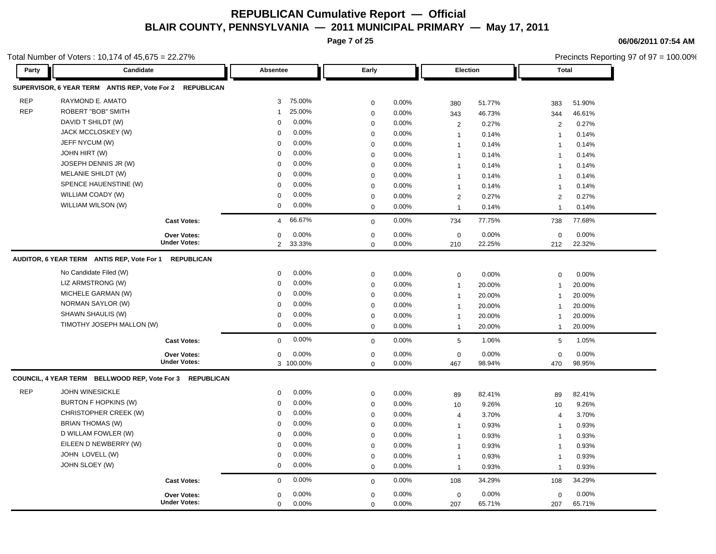**Page 7 of 25**

**06/06/2011 07:54 AM**

|            | Total Number of Voters: 10,174 of 45,675 = 22.27%        |                                    |                          |                            |                |                    |                 | Precincts Reporting 97 of 97 = 100.00% |                 |  |
|------------|----------------------------------------------------------|------------------------------------|--------------------------|----------------------------|----------------|--------------------|-----------------|----------------------------------------|-----------------|--|
| Party      | Candidate                                                |                                    | Absentee                 | Early                      |                | Election           |                 | <b>Total</b>                           |                 |  |
|            | SUPERVISOR, 6 YEAR TERM ANTIS REP, Vote For 2 REPUBLICAN |                                    |                          |                            |                |                    |                 |                                        |                 |  |
| <b>REP</b> | RAYMOND E. AMATO                                         |                                    | 75.00%<br>3              | 0                          | 0.00%          | 380                | 51.77%          | 383                                    | 51.90%          |  |
| <b>REP</b> | <b>ROBERT "BOB" SMITH</b>                                |                                    | 25.00%<br>-1             | $\boldsymbol{0}$           | 0.00%          | 343                | 46.73%          | 344                                    | 46.61%          |  |
|            | DAVID T SHILDT (W)                                       |                                    | 0.00%<br>0               | $\mathbf 0$                | 0.00%          | $\overline{2}$     | 0.27%           | $\overline{2}$                         | 0.27%           |  |
|            | JACK MCCLOSKEY (W)                                       |                                    | 0.00%<br>$\mathbf 0$     | $\mathbf 0$                | 0.00%          | $\overline{1}$     | 0.14%           | $\mathbf{1}$                           | 0.14%           |  |
|            | JEFF NYCUM (W)                                           |                                    | 0.00%<br>0               | $\mathbf 0$                | 0.00%          | $\mathbf 1$        | 0.14%           | $\overline{1}$                         | 0.14%           |  |
|            | JOHN HIRT (W)                                            |                                    | 0.00%<br>0               | $\mathbf 0$                | 0.00%          | $\overline{1}$     | 0.14%           | $\mathbf{1}$                           | 0.14%           |  |
|            | JOSEPH DENNIS JR (W)                                     |                                    | 0.00%<br>0               | $\mathbf 0$                | 0.00%          | $\overline{1}$     | 0.14%           | $\overline{1}$                         | 0.14%           |  |
|            | MELANIE SHILDT (W)                                       |                                    | 0.00%<br>0               | $\mathbf 0$                | 0.00%          | $\overline{1}$     | 0.14%           | $\mathbf{1}$                           | 0.14%           |  |
|            | SPENCE HAUENSTINE (W)                                    |                                    | 0.00%<br>$\Omega$        | $\mathbf 0$                | 0.00%          | $\overline{1}$     | 0.14%           | $\mathbf{1}$                           | 0.14%           |  |
|            | WILLIAM COADY (W)                                        |                                    | 0.00%<br>0               | $\mathbf 0$                | 0.00%          | 2                  | 0.27%           | $\overline{2}$                         | 0.27%           |  |
|            | WILLIAM WILSON (W)                                       |                                    | 0.00%<br>0               | $\mathbf 0$                | 0.00%          | $\overline{1}$     | 0.14%           | $\mathbf{1}$                           | 0.14%           |  |
|            |                                                          | <b>Cast Votes:</b>                 | 66.67%<br>$\overline{4}$ | $\mathbf 0$                | 0.00%          | 734                | 77.75%          | 738                                    | 77.68%          |  |
|            |                                                          |                                    |                          |                            |                |                    |                 |                                        |                 |  |
|            |                                                          | Over Votes:<br><b>Under Votes:</b> | 0.00%<br>0<br>2 33.33%   | $\mathbf 0$<br>$\mathbf 0$ | 0.00%<br>0.00% | $\mathbf 0$<br>210 | 0.00%<br>22.25% | $\mathbf 0$<br>212                     | 0.00%<br>22.32% |  |
|            | AUDITOR, 6 YEAR TERM ANTIS REP, Vote For 1 REPUBLICAN    |                                    |                          |                            |                |                    |                 |                                        |                 |  |
|            |                                                          |                                    |                          |                            |                |                    |                 |                                        |                 |  |
|            | No Candidate Filed (W)                                   |                                    | 0.00%<br>$\mathbf 0$     | $\mathbf 0$                | 0.00%          | $\pmb{0}$          | 0.00%           | $\mathbf 0$                            | 0.00%           |  |
|            | LIZ ARMSTRONG (W)                                        |                                    | 0.00%<br>0               | $\boldsymbol{0}$           | 0.00%          | $\overline{1}$     | 20.00%          | $\mathbf{1}$                           | 20.00%          |  |
|            | MICHELE GARMAN (W)                                       |                                    | 0.00%<br>0               | 0                          | 0.00%          | $\mathbf 1$        | 20.00%          | $\mathbf{1}$                           | 20.00%          |  |
|            | NORMAN SAYLOR (W)                                        |                                    | 0.00%<br>0               | $\mathbf 0$                | 0.00%          | $\overline{1}$     | 20.00%          | $\overline{1}$                         | 20.00%          |  |
|            | SHAWN SHAULIS (W)                                        |                                    | 0.00%<br>0               | $\mathbf 0$                | 0.00%          | $\overline{1}$     | 20.00%          | $\mathbf{1}$                           | 20.00%          |  |
|            | TIMOTHY JOSEPH MALLON (W)                                |                                    | 0.00%<br>$\mathbf 0$     | $\mathbf 0$                | 0.00%          | $\mathbf{1}$       | 20.00%          | $\mathbf{1}$                           | 20.00%          |  |
|            |                                                          | <b>Cast Votes:</b>                 | 0.00%<br>$\mathbf 0$     | $\mathbf 0$                | 0.00%          | 5                  | 1.06%           | 5                                      | 1.05%           |  |
|            |                                                          | Over Votes:                        | 0.00%<br>0               | 0                          | 0.00%          | $\mathbf 0$        | 0.00%           | $\mathbf 0$                            | 0.00%           |  |
|            |                                                          | <b>Under Votes:</b>                | 3 100.00%                | $\mathbf 0$                | 0.00%          | 467                | 98.94%          | 470                                    | 98.95%          |  |
|            | COUNCIL, 4 YEAR TERM BELLWOOD REP, Vote For 3 REPUBLICAN |                                    |                          |                            |                |                    |                 |                                        |                 |  |
| <b>REP</b> | <b>JOHN WINESICKLE</b>                                   |                                    | 0.00%<br>$\mathbf 0$     | $\mathbf 0$                | 0.00%          | 89                 | 82.41%          | 89                                     | 82.41%          |  |
|            | <b>BURTON F HOPKINS (W)</b>                              |                                    | 0.00%<br>0               | $\mathbf 0$                | 0.00%          | 10                 | 9.26%           | 10                                     | 9.26%           |  |
|            | CHRISTOPHER CREEK (W)                                    |                                    | 0.00%<br>0               | $\boldsymbol{0}$           | 0.00%          | $\overline{4}$     | 3.70%           | $\overline{4}$                         | 3.70%           |  |
|            | <b>BRIAN THOMAS (W)</b>                                  |                                    | 0.00%<br>0               | $\mathbf 0$                | 0.00%          | $\overline{1}$     | 0.93%           | $\mathbf{1}$                           | 0.93%           |  |
|            | D WILLAM FOWLER (W)                                      |                                    | 0.00%<br>0               | $\mathbf 0$                | 0.00%          | $\overline{1}$     | 0.93%           | $\mathbf{1}$                           | 0.93%           |  |
|            | EILEEN D NEWBERRY (W)                                    |                                    | 0.00%<br>$\Omega$        | $\mathbf 0$                | 0.00%          | $\overline{1}$     | 0.93%           | $\overline{1}$                         | 0.93%           |  |
|            | JOHN LOVELL (W)                                          |                                    | 0.00%<br>0               | $\mathbf 0$                | 0.00%          | $\mathbf 1$        | 0.93%           | $\mathbf{1}$                           | 0.93%           |  |
|            | JOHN SLOEY (W)                                           |                                    | 0.00%<br>0               | $\mathbf 0$                | 0.00%          | $\overline{1}$     | 0.93%           | $\mathbf{1}$                           | 0.93%           |  |
|            |                                                          | <b>Cast Votes:</b>                 | 0.00%<br>$\mathbf 0$     | $\mathbf 0$                | 0.00%          | 108                | 34.29%          | 108                                    | 34.29%          |  |
|            |                                                          | <b>Over Votes:</b>                 | 0.00%<br>0               | $\mathbf 0$                | 0.00%          | $\mathbf 0$        | 0.00%           | $\mathbf 0$                            | 0.00%           |  |
|            |                                                          | <b>Under Votes:</b>                | 0.00%<br>$\mathbf 0$     | $\mathbf 0$                | 0.00%          | 207                | 65.71%          | 207                                    | 65.71%          |  |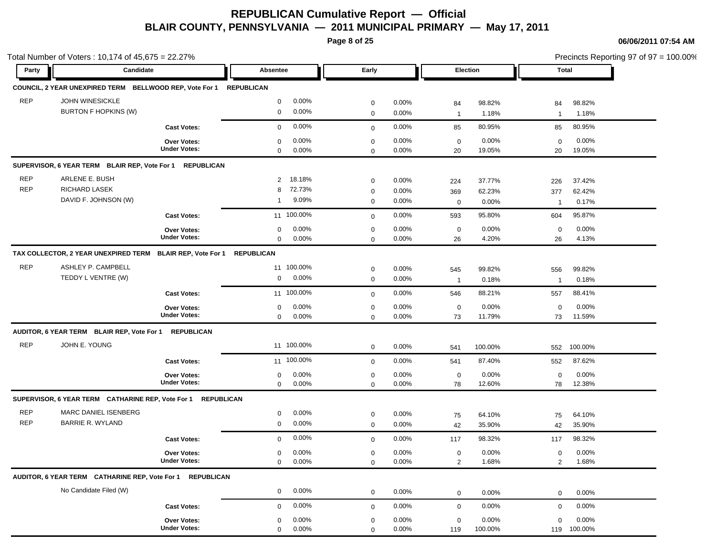**Page 8 of 25**

|            | Total Number of Voters: 10,174 of 45,675 = 22.27%                  |                                    |                   |            |                         |                      |                    |                  |                | Precincts Reporting 97 of 97 = 100.00% |
|------------|--------------------------------------------------------------------|------------------------------------|-------------------|------------|-------------------------|----------------------|--------------------|------------------|----------------|----------------------------------------|
| Party      | Candidate                                                          |                                    | Absentee          |            | Early                   |                      |                    | Election         |                | Total                                  |
|            | COUNCIL, 2 YEAR UNEXPIRED TERM BELLWOOD REP, Vote For 1 REPUBLICAN |                                    |                   |            |                         |                      |                    |                  |                |                                        |
| <b>REP</b> | <b>JOHN WINESICKLE</b>                                             |                                    | 0                 | $0.00\%$   | $\mathbf 0$             | 0.00%                | 84                 | 98.82%           | 84             | 98.82%                                 |
|            | <b>BURTON F HOPKINS (W)</b>                                        |                                    | 0                 | $0.00\%$   | $\mathbf 0$             | 0.00%                | $\mathbf{1}$       | 1.18%            | $\mathbf{1}$   | 1.18%                                  |
|            |                                                                    | <b>Cast Votes:</b>                 | $\mathbf 0$       | 0.00%      | $\mathbf 0$             | 0.00%                | 85                 | 80.95%           | 85             | 80.95%                                 |
|            |                                                                    | <b>Over Votes:</b>                 | $\mathbf 0$       | $0.00\%$   | $\mathbf 0$             | $0.00\%$             | $\mathbf 0$        | 0.00%            | $\mathbf 0$    | 0.00%                                  |
|            |                                                                    | <b>Under Votes:</b>                | 0                 | 0.00%      | $\mathbf 0$             | $0.00\%$             | 20                 | 19.05%           | 20             | 19.05%                                 |
|            | SUPERVISOR, 6 YEAR TERM BLAIR REP, Vote For 1                      | <b>REPUBLICAN</b>                  |                   |            |                         |                      |                    |                  |                |                                        |
| <b>REP</b> | ARLENE E. BUSH                                                     |                                    | 2                 | 18.18%     | $\mathbf 0$             | $0.00\%$             | 224                | 37.77%           | 226            | 37.42%                                 |
| <b>REP</b> | RICHARD LASEK                                                      |                                    | 8                 | 72.73%     | $\mathbf 0$             | 0.00%                | 369                | 62.23%           | 377            | 62.42%                                 |
|            | DAVID F. JOHNSON (W)                                               |                                    | $\mathbf{1}$      | 9.09%      | $\mathbf 0$             | 0.00%                | $\mathbf 0$        | 0.00%            | $\mathbf{1}$   | 0.17%                                  |
|            |                                                                    | <b>Cast Votes:</b>                 |                   | 11 100.00% | $\mathbf 0$             | 0.00%                | 593                | 95.80%           | 604            | 95.87%                                 |
|            |                                                                    | <b>Over Votes:</b>                 | 0                 | 0.00%      | $\mathbf 0$             | 0.00%                | $\mathbf 0$        | 0.00%            | $\mathbf 0$    | 0.00%                                  |
|            |                                                                    | <b>Under Votes:</b>                | $\mathbf 0$       | $0.00\%$   | $\mathbf 0$             | 0.00%                | 26                 | 4.20%            | 26             | 4.13%                                  |
|            | TAX COLLECTOR, 2 YEAR UNEXPIRED TERM BLAIR REP, Vote For 1         |                                    | <b>REPUBLICAN</b> |            |                         |                      |                    |                  |                |                                        |
| <b>REP</b> | ASHLEY P. CAMPBELL                                                 |                                    |                   | 11 100.00% | $\mathbf 0$             | $0.00\%$             | 545                | 99.82%           | 556            | 99.82%                                 |
|            | TEDDY L VENTRE (W)                                                 |                                    | 0                 | 0.00%      | $\mathbf 0$             | $0.00\%$             | $\overline{1}$     | 0.18%            | $\overline{1}$ | 0.18%                                  |
|            |                                                                    | <b>Cast Votes:</b>                 |                   | 11 100.00% | $\mathbf 0$             | 0.00%                | 546                | 88.21%           | 557            | 88.41%                                 |
|            |                                                                    | <b>Over Votes:</b>                 | 0                 | 0.00%      | $\mathbf 0$             | 0.00%                | $\mathbf 0$        | 0.00%            | $\mathbf 0$    | 0.00%                                  |
|            |                                                                    | <b>Under Votes:</b>                | 0                 | $0.00\%$   | $\mathbf 0$             | 0.00%                | 73                 | 11.79%           | 73             | 11.59%                                 |
|            | AUDITOR, 6 YEAR TERM BLAIR REP, Vote For 1 REPUBLICAN              |                                    |                   |            |                         |                      |                    |                  |                |                                        |
| <b>REP</b> | JOHN E. YOUNG                                                      |                                    |                   | 11 100.00% | $\mathbf 0$             | 0.00%                | 541                | 100.00%          | 552            | 100.00%                                |
|            |                                                                    | <b>Cast Votes:</b>                 |                   | 11 100.00% | $\mathbf 0$             | 0.00%                | 541                | 87.40%           | 552            | 87.62%                                 |
|            |                                                                    | <b>Over Votes:</b>                 | 0                 | $0.00\%$   | $\mathbf 0$             | 0.00%                | $\mathbf 0$        | 0.00%            | $\mathbf 0$    | 0.00%                                  |
|            |                                                                    | <b>Under Votes:</b>                | $\overline{0}$    | 0.00%      | $\mathbf 0$             | 0.00%                | 78                 | 12.60%           | 78             | 12.38%                                 |
|            | SUPERVISOR, 6 YEAR TERM CATHARINE REP, Vote For 1 REPUBLICAN       |                                    |                   |            |                         |                      |                    |                  |                |                                        |
| <b>REP</b> | MARC DANIEL ISENBERG                                               |                                    | 0                 | $0.00\%$   | $\mathbf 0$             | 0.00%                | 75                 | 64.10%           | 75             | 64.10%                                 |
| <b>REP</b> | <b>BARRIE R. WYLAND</b>                                            |                                    | 0                 | 0.00%      | $\mathbf 0$             | 0.00%                | 42                 | 35.90%           | 42             | 35.90%                                 |
|            |                                                                    | <b>Cast Votes:</b>                 | 0                 | 0.00%      | $\mathbf 0$             | 0.00%                | 117                | 98.32%           | 117            | 98.32%                                 |
|            |                                                                    | <b>Over Votes:</b>                 | 0                 | $0.00\%$   | 0                       | 0.00%                | $\mathbf 0$        | 0.00%            | 0              | 0.00%                                  |
|            |                                                                    | <b>Under Votes:</b>                | 0                 | 0.00%      | $\mathbf 0$             | 0.00%                | $\sqrt{2}$         | 1.68%            | $\overline{2}$ | 1.68%                                  |
|            | AUDITOR, 6 YEAR TERM CATHARINE REP, Vote For 1                     | <b>REPUBLICAN</b>                  |                   |            |                         |                      |                    |                  |                |                                        |
|            | No Candidate Filed (W)                                             |                                    | 0                 | 0.00%      | $\mathbf 0$             | 0.00%                | $\mathbf 0$        | $0.00\%$         | $\mathbf 0$    | 0.00%                                  |
|            |                                                                    | <b>Cast Votes:</b>                 | $\mathbf 0$       | 0.00%      | $\mathbf 0$             | 0.00%                | $\mathbf 0$        | 0.00%            | $\mathbf 0$    | 0.00%                                  |
|            |                                                                    |                                    |                   | 0.00%      |                         |                      |                    |                  | $\mathbf 0$    | 0.00%                                  |
|            |                                                                    | Over Votes:<br><b>Under Votes:</b> | 0<br>$\mathbf 0$  | 0.00%      | $\mathbf 0$<br>$\Omega$ | $0.00\%$<br>$0.00\%$ | $\mathbf 0$<br>119 | 0.00%<br>100.00% | 119            | 100.00%                                |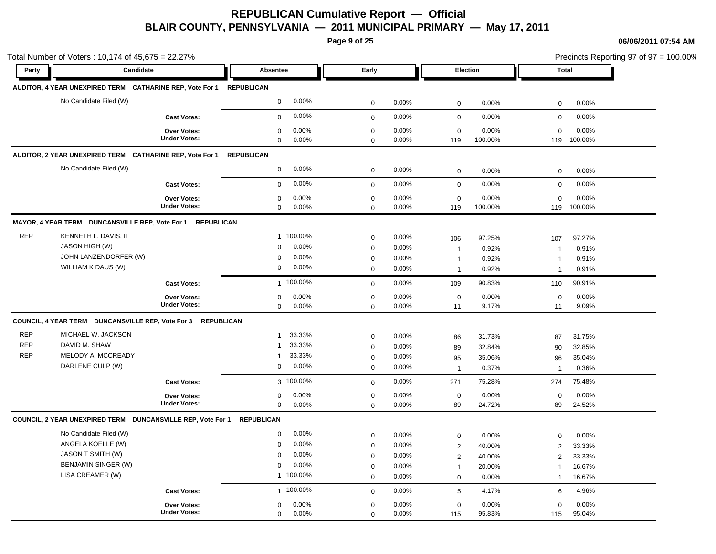**Page 9 of 25**

|            | Total Number of Voters: 10,174 of 45,675 = 22.27%<br>Candidate |                     |                        | Early        |       |                 | Election | <b>Total</b>   |         | Precincts Reporting 97 of 97 = 100.00% |
|------------|----------------------------------------------------------------|---------------------|------------------------|--------------|-------|-----------------|----------|----------------|---------|----------------------------------------|
| Party      |                                                                |                     | Absentee               |              |       |                 |          |                |         |                                        |
|            | AUDITOR, 4 YEAR UNEXPIRED TERM CATHARINE REP, Vote For 1       |                     | <b>REPUBLICAN</b>      |              |       |                 |          |                |         |                                        |
|            | No Candidate Filed (W)                                         |                     | 0.00%<br>$\mathbf 0$   | $\mathbf 0$  | 0.00% | $\mathbf 0$     | 0.00%    | $\mathbf 0$    | 0.00%   |                                        |
|            |                                                                | <b>Cast Votes:</b>  | 0.00%<br>$\mathbf 0$   | $\mathbf{0}$ | 0.00% | $\mathbf 0$     | 0.00%    | $\mathbf 0$    | 0.00%   |                                        |
|            |                                                                | Over Votes:         | $\pmb{0}$<br>0.00%     | $\mathbf 0$  | 0.00% | $\mathbf 0$     | 0.00%    | 0              | 0.00%   |                                        |
|            |                                                                | <b>Under Votes:</b> | $\mathbf 0$<br>0.00%   | $\mathbf 0$  | 0.00% | 119             | 100.00%  | 119            | 100.00% |                                        |
|            | AUDITOR, 2 YEAR UNEXPIRED TERM CATHARINE REP, Vote For 1       |                     | <b>REPUBLICAN</b>      |              |       |                 |          |                |         |                                        |
|            | No Candidate Filed (W)                                         |                     | 0.00%<br>$\mathbf 0$   | $\mathbf 0$  | 0.00% | $\mathbf 0$     | 0.00%    | $\mathbf 0$    | 0.00%   |                                        |
|            |                                                                | <b>Cast Votes:</b>  | 0.00%<br>$\mathbf 0$   | $\mathbf 0$  | 0.00% | $\mathbf 0$     | 0.00%    | $\mathbf 0$    | 0.00%   |                                        |
|            |                                                                | <b>Over Votes:</b>  | 0.00%<br>0             | $\mathbf 0$  | 0.00% | $\mathbf 0$     | 0.00%    | $\mathbf 0$    | 0.00%   |                                        |
|            |                                                                | <b>Under Votes:</b> | $\mathbf 0$<br>0.00%   | $\mathbf 0$  | 0.00% | 119             | 100.00%  | 119            | 100.00% |                                        |
|            | MAYOR, 4 YEAR TERM DUNCANSVILLE REP, Vote For 1 REPUBLICAN     |                     |                        |              |       |                 |          |                |         |                                        |
| <b>REP</b> | KENNETH L. DAVIS, II                                           |                     | 1 100.00%              | $\mathbf 0$  | 0.00% | 106             | 97.25%   | 107            | 97.27%  |                                        |
|            | <b>JASON HIGH (W)</b>                                          |                     | 0.00%<br>$\mathbf 0$   | $\mathbf 0$  | 0.00% | $\mathbf{1}$    | 0.92%    | $\overline{1}$ | 0.91%   |                                        |
|            | JOHN LANZENDORFER (W)                                          |                     | $\pmb{0}$<br>0.00%     | $\mathbf 0$  | 0.00% | $\mathbf{1}$    | 0.92%    | -1             | 0.91%   |                                        |
|            | WILLIAM K DAUS (W)                                             |                     | 0.00%<br>$\mathbf 0$   | $\mathbf 0$  | 0.00% | $\mathbf{1}$    | 0.92%    | $\mathbf{1}$   | 0.91%   |                                        |
|            |                                                                | <b>Cast Votes:</b>  | 1 100.00%              | $\mathbf 0$  | 0.00% | 109             | 90.83%   | 110            | 90.91%  |                                        |
|            |                                                                | Over Votes:         | 0.00%<br>$\mathbf 0$   | $\mathbf 0$  | 0.00% | $\mathbf 0$     | 0.00%    | $\mathbf 0$    | 0.00%   |                                        |
|            |                                                                | <b>Under Votes:</b> | $\mathbf 0$<br>0.00%   | $\mathbf 0$  | 0.00% | 11              | 9.17%    | 11             | 9.09%   |                                        |
|            | COUNCIL, 4 YEAR TERM DUNCANSVILLE REP, Vote For 3 REPUBLICAN   |                     |                        |              |       |                 |          |                |         |                                        |
| <b>REP</b> | MICHAEL W. JACKSON                                             |                     | 33.33%<br>$\mathbf{1}$ | $\mathbf 0$  | 0.00% | 86              | 31.73%   | 87             | 31.75%  |                                        |
| <b>REP</b> | DAVID M. SHAW                                                  |                     | 33.33%<br>$\mathbf{1}$ | $\mathbf 0$  | 0.00% | 89              | 32.84%   | 90             | 32.85%  |                                        |
| <b>REP</b> | MELODY A. MCCREADY                                             |                     | 33.33%<br>$\mathbf{1}$ | $\mathbf 0$  | 0.00% | 95              | 35.06%   | 96             | 35.04%  |                                        |
|            | DARLENE CULP (W)                                               |                     | 0.00%<br>$\mathbf 0$   | $\mathbf 0$  | 0.00% | $\mathbf{1}$    | 0.37%    | $\overline{1}$ | 0.36%   |                                        |
|            |                                                                | <b>Cast Votes:</b>  | 3 100.00%              | $\mathbf 0$  | 0.00% | 271             | 75.28%   | 274            | 75.48%  |                                        |
|            |                                                                | <b>Over Votes:</b>  | 0.00%<br>$\mathbf 0$   | $\mathbf 0$  | 0.00% | $\mathbf 0$     | 0.00%    | $\mathbf 0$    | 0.00%   |                                        |
|            |                                                                | <b>Under Votes:</b> | $\mathbf 0$<br>0.00%   | $\mathbf 0$  | 0.00% | 89              | 24.72%   | 89             | 24.52%  |                                        |
|            | COUNCIL, 2 YEAR UNEXPIRED TERM DUNCANSVILLE REP, Vote For 1    |                     | <b>REPUBLICAN</b>      |              |       |                 |          |                |         |                                        |
|            | No Candidate Filed (W)                                         |                     | 0.00%<br>$\mathbf 0$   | $\mathbf 0$  | 0.00% | $\mathbf 0$     | 0.00%    | $\mathbf 0$    | 0.00%   |                                        |
|            | ANGELA KOELLE (W)                                              |                     | 0.00%<br>$\mathbf 0$   | $\mathbf 0$  | 0.00% | $\overline{2}$  | 40.00%   | 2              | 33.33%  |                                        |
|            | JASON T SMITH (W)                                              |                     | 0.00%<br>$\mathbf 0$   | $\mathbf 0$  | 0.00% | $\overline{2}$  | 40.00%   | 2              | 33.33%  |                                        |
|            | <b>BENJAMIN SINGER (W)</b>                                     |                     | 0.00%<br>$\mathbf 0$   | $\mathbf 0$  | 0.00% | $\mathbf{1}$    | 20.00%   | $\mathbf{1}$   | 16.67%  |                                        |
|            | LISA CREAMER (W)                                               |                     | 1 100.00%              | $\mathbf 0$  | 0.00% | $\mathbf 0$     | 0.00%    | $\mathbf 1$    | 16.67%  |                                        |
|            |                                                                | <b>Cast Votes:</b>  | 1 100.00%              | $\mathbf 0$  | 0.00% | $5\phantom{.0}$ | 4.17%    | 6              | 4.96%   |                                        |
|            |                                                                | <b>Over Votes:</b>  | 0.00%<br>$\mathbf 0$   | $\mathbf 0$  | 0.00% | $\mathbf 0$     | 0.00%    | $\mathbf 0$    | 0.00%   |                                        |
|            |                                                                | <b>Under Votes:</b> | 0.00%<br>$\mathbf 0$   | $\mathbf 0$  | 0.00% | 115             | 95.83%   | 115            | 95.04%  |                                        |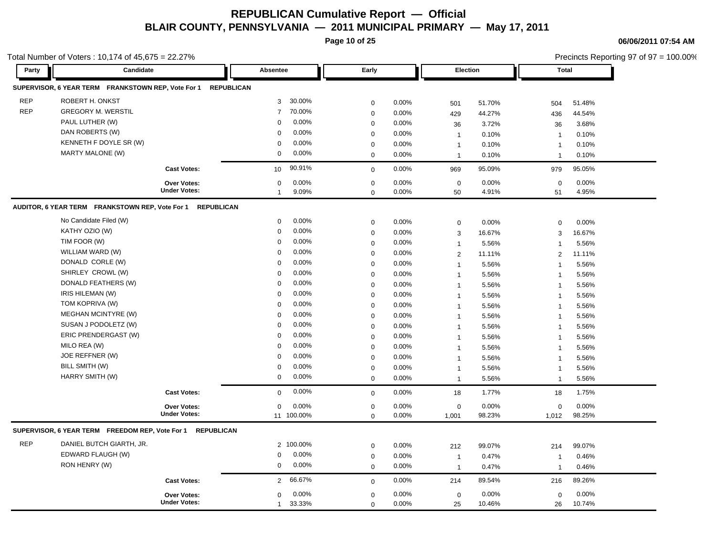**Page 10 of 25**

**06/06/2011 07:54 AM**

|            | Total Number of Voters: 10,174 of 45,675 = 22.27%          |                     |                          |             |       |                |        |                | Precincts Reporting 97 of 97 = 100.00% |  |
|------------|------------------------------------------------------------|---------------------|--------------------------|-------------|-------|----------------|--------|----------------|----------------------------------------|--|
| Party      | Candidate                                                  |                     | Absentee                 | Early       |       | Election       |        | <b>Total</b>   |                                        |  |
|            | SUPERVISOR, 6 YEAR TERM FRANKSTOWN REP, Vote For 1         | <b>REPUBLICAN</b>   |                          |             |       |                |        |                |                                        |  |
| <b>REP</b> | ROBERT H. ONKST                                            |                     | 30.00%<br>3              | 0           | 0.00% | 501            | 51.70% | 504            | 51.48%                                 |  |
| <b>REP</b> | <b>GREGORY M. WERSTIL</b>                                  |                     | 70.00%<br>$\overline{7}$ | $\mathbf 0$ | 0.00% | 429            | 44.27% | 436            | 44.54%                                 |  |
|            | PAUL LUTHER (W)                                            |                     | 0.00%<br>$\Omega$        | 0           | 0.00% | 36             | 3.72%  | 36             | 3.68%                                  |  |
|            | DAN ROBERTS (W)                                            |                     | 0.00%<br>$\Omega$        | 0           | 0.00% | $\overline{1}$ | 0.10%  | $\overline{1}$ | 0.10%                                  |  |
|            | KENNETH F DOYLE SR (W)                                     |                     | 0.00%<br>$\mathbf 0$     | 0           | 0.00% | $\mathbf{1}$   | 0.10%  | $\overline{1}$ | 0.10%                                  |  |
|            | MARTY MALONE (W)                                           |                     | 0.00%<br>$\mathbf 0$     | $\mathbf 0$ | 0.00% | $\mathbf{1}$   | 0.10%  | $\overline{1}$ | 0.10%                                  |  |
|            |                                                            | <b>Cast Votes:</b>  | 90.91%<br>10             | $\mathbf 0$ | 0.00% | 969            | 95.09% | 979            | 95.05%                                 |  |
|            |                                                            | Over Votes:         | 0.00%<br>$\Omega$        | $\mathbf 0$ | 0.00% | $\mathbf 0$    | 0.00%  | $\mathbf 0$    | 0.00%                                  |  |
|            |                                                            | <b>Under Votes:</b> | 9.09%<br>1               | $\mathbf 0$ | 0.00% | 50             | 4.91%  | 51             | 4.95%                                  |  |
|            | AUDITOR, 6 YEAR TERM FRANKSTOWN REP, Vote For 1            | <b>REPUBLICAN</b>   |                          |             |       |                |        |                |                                        |  |
|            | No Candidate Filed (W)                                     |                     | 0.00%<br>$\mathbf 0$     | 0           | 0.00% | $\mathbf 0$    | 0.00%  | $\mathbf 0$    | 0.00%                                  |  |
|            | KATHY OZIO (W)                                             |                     | 0.00%<br>$\Omega$        | $\mathbf 0$ | 0.00% | 3              | 16.67% | 3              | 16.67%                                 |  |
|            | TIM FOOR (W)                                               |                     | 0.00%<br>$\Omega$        | 0           | 0.00% | $\mathbf{1}$   | 5.56%  | $\overline{1}$ | 5.56%                                  |  |
|            | WILLIAM WARD (W)                                           |                     | 0.00%<br>$\Omega$        | $\mathbf 0$ | 0.00% | 2              | 11.11% | 2              | 11.11%                                 |  |
|            | DONALD CORLE (W)                                           |                     | 0.00%<br>$\Omega$        | 0           | 0.00% | $\mathbf{1}$   | 5.56%  | 1              | 5.56%                                  |  |
|            | SHIRLEY CROWL (W)                                          |                     | 0.00%<br>$\Omega$        | 0           | 0.00% | $\mathbf{1}$   | 5.56%  | $\overline{1}$ | 5.56%                                  |  |
|            | DONALD FEATHERS (W)                                        |                     | 0.00%<br>$\Omega$        | 0           | 0.00% | $\overline{1}$ | 5.56%  | $\overline{1}$ | 5.56%                                  |  |
|            | IRIS HILEMAN (W)                                           |                     | 0.00%<br>$\mathbf 0$     | 0           | 0.00% | $\mathbf 1$    | 5.56%  | $\overline{1}$ | 5.56%                                  |  |
|            | TOM KOPRIVA (W)                                            |                     | 0.00%<br>$\Omega$        | 0           | 0.00% | $\mathbf{1}$   | 5.56%  | $\overline{1}$ | 5.56%                                  |  |
|            | <b>MEGHAN MCINTYRE (W)</b>                                 |                     | 0.00%<br>$\Omega$        | $\mathbf 0$ | 0.00% | $\mathbf{1}$   | 5.56%  | $\overline{1}$ | 5.56%                                  |  |
|            | SUSAN J PODOLETZ (W)                                       |                     | 0.00%<br>0               | $\mathbf 0$ | 0.00% | $\overline{1}$ | 5.56%  | $\overline{1}$ | 5.56%                                  |  |
|            | ERIC PRENDERGAST (W)                                       |                     | 0.00%<br>$\Omega$        | 0           | 0.00% | $\mathbf{1}$   | 5.56%  | $\overline{1}$ | 5.56%                                  |  |
|            | MILO REA (W)                                               |                     | 0.00%<br>$\Omega$        | 0           | 0.00% | $\mathbf{1}$   | 5.56%  | $\overline{1}$ | 5.56%                                  |  |
|            | JOE REFFNER (W)                                            |                     | 0.00%<br>$\mathbf 0$     | 0           | 0.00% | $\overline{1}$ | 5.56%  | $\overline{1}$ | 5.56%                                  |  |
|            | BILL SMITH (W)                                             |                     | 0.00%<br>$\mathbf 0$     | $\Omega$    | 0.00% | $\mathbf{1}$   | 5.56%  | $\overline{1}$ | 5.56%                                  |  |
|            | HARRY SMITH (W)                                            |                     | 0.00%<br>$\mathbf 0$     | $\mathbf 0$ | 0.00% | $\mathbf{1}$   | 5.56%  | $\overline{1}$ | 5.56%                                  |  |
|            |                                                            | <b>Cast Votes:</b>  | 0.00%<br>$\mathbf 0$     | $\mathbf 0$ | 0.00% | 18             | 1.77%  | 18             | 1.75%                                  |  |
|            |                                                            | Over Votes:         | 0.00%<br>0               | 0           | 0.00% | $\mathbf 0$    | 0.00%  | 0              | 0.00%                                  |  |
|            |                                                            | <b>Under Votes:</b> | 11 100.00%               | $\mathbf 0$ | 0.00% | 1,001          | 98.23% | 1,012          | 98.25%                                 |  |
|            | SUPERVISOR, 6 YEAR TERM FREEDOM REP, Vote For 1 REPUBLICAN |                     |                          |             |       |                |        |                |                                        |  |
| <b>REP</b> | DANIEL BUTCH GIARTH, JR.                                   |                     | 2 100.00%                | 0           | 0.00% | 212            | 99.07% | 214            | 99.07%                                 |  |
|            | EDWARD FLAUGH (W)                                          |                     | 0.00%<br>$\mathbf 0$     | 0           | 0.00% | $\overline{1}$ | 0.47%  | $\overline{1}$ | 0.46%                                  |  |
|            | RON HENRY (W)                                              |                     | 0.00%<br>0               | $\mathbf 0$ | 0.00% | $\mathbf{1}$   | 0.47%  | $\overline{1}$ | 0.46%                                  |  |
|            |                                                            | <b>Cast Votes:</b>  | 66.67%<br>2              | $\mathbf 0$ | 0.00% | 214            | 89.54% | 216            | 89.26%                                 |  |
|            |                                                            | <b>Over Votes:</b>  | 0.00%<br>$\mathbf 0$     | $\mathbf 0$ | 0.00% | $\mathbf 0$    | 0.00%  | $\mathbf 0$    | 0.00%                                  |  |
|            |                                                            | <b>Under Votes:</b> | 33.33%<br>1              | $\mathbf 0$ | 0.00% | 25             | 10.46% | 26             | 10.74%                                 |  |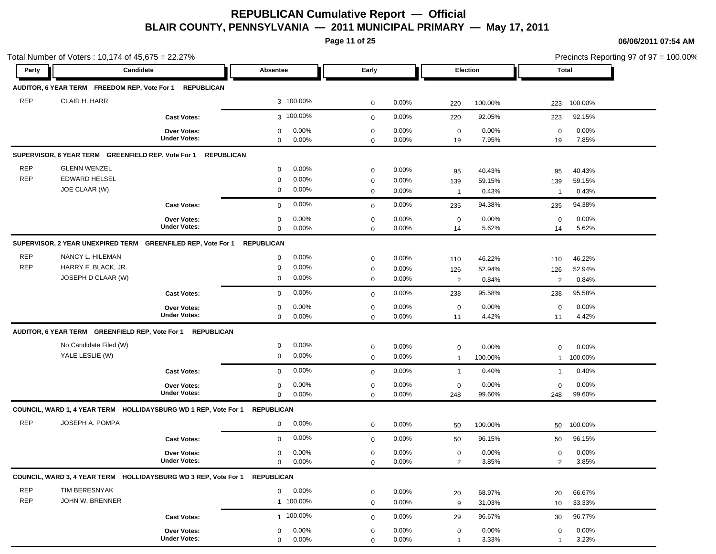**Page 11 of 25**

|                          | Total Number of Voters: 10,174 of 45,675 = 22.27%                          |                                           |                                          |                            |                   |                               |                  |                       | Precincts Reporting 97 of $97 = 100.00\%$ |
|--------------------------|----------------------------------------------------------------------------|-------------------------------------------|------------------------------------------|----------------------------|-------------------|-------------------------------|------------------|-----------------------|-------------------------------------------|
| Party                    | Candidate                                                                  |                                           | Absentee                                 | Early                      |                   | <b>Election</b>               |                  | Total                 |                                           |
|                          | AUDITOR, 6 YEAR TERM FREEDOM REP, Vote For 1                               | <b>REPUBLICAN</b>                         |                                          |                            |                   |                               |                  |                       |                                           |
| <b>REP</b>               | CLAIR H. HARR                                                              |                                           | 3 100.00%                                | $\mathbf 0$                | 0.00%             | 220                           | 100.00%          | 223                   | 100.00%                                   |
|                          |                                                                            | <b>Cast Votes:</b>                        | 3 100.00%                                | $\mathbf 0$                | $0.00\%$          | 220                           | 92.05%           | 223                   | 92.15%                                    |
|                          |                                                                            | <b>Over Votes:</b><br><b>Under Votes:</b> | 0<br>$0.00\%$<br>$0.00\%$<br>$\mathbf 0$ | $\mathbf 0$<br>$\mathbf 0$ | 0.00%<br>0.00%    | $\mathbf 0$<br>19             | 0.00%<br>7.95%   | $\mathbf 0$<br>19     | 0.00%<br>7.85%                            |
|                          | SUPERVISOR, 6 YEAR TERM GREENFIELD REP, Vote For 1                         | <b>REPUBLICAN</b>                         |                                          |                            |                   |                               |                  |                       |                                           |
| <b>REP</b>               | <b>GLENN WENZEL</b>                                                        |                                           | $0.00\%$<br>$\mathbf 0$                  | $\mathbf 0$                | 0.00%             | 95                            | 40.43%           | 95                    | 40.43%                                    |
| <b>REP</b>               | <b>EDWARD HELSEL</b><br>JOE CLAAR (W)                                      |                                           | 0.00%<br>0<br>$0.00\%$<br>0              | 0<br>$\mathbf 0$           | $0.00\%$<br>0.00% | 139<br>$\mathbf{1}$           | 59.15%<br>0.43%  | 139<br>$\overline{1}$ | 59.15%<br>0.43%                           |
|                          |                                                                            | <b>Cast Votes:</b>                        | 0.00%<br>$\mathbf 0$                     | $\mathbf 0$                | $0.00\%$          | 235                           | 94.38%           | 235                   | 94.38%                                    |
|                          |                                                                            | <b>Over Votes:</b><br><b>Under Votes:</b> | 0.00%<br>0<br>0.00%                      | $\mathbf 0$                | 0.00%             | $\mathbf 0$                   | 0.00%<br>5.62%   | $\mathbf 0$           | 0.00%<br>5.62%                            |
|                          |                                                                            |                                           | $\mathbf 0$                              | $\mathbf 0$                | 0.00%             | 14                            |                  | 14                    |                                           |
|                          | SUPERVISOR, 2 YEAR UNEXPIRED TERM GREENFILED REP, Vote For 1               |                                           | <b>REPUBLICAN</b>                        |                            |                   |                               |                  |                       |                                           |
| <b>REP</b><br><b>REP</b> | NANCY L. HILEMAN<br>HARRY F. BLACK, JR.                                    |                                           | 0.00%<br>0<br>0.00%                      | $\mathbf 0$                | 0.00%             | 110                           | 46.22%           | 110                   | 46.22%                                    |
|                          | JOSEPH D CLAAR (W)                                                         |                                           | 0<br>$0.00\%$<br>0                       | $\mathbf 0$<br>$\mathbf 0$ | 0.00%<br>0.00%    | 126<br>2                      | 52.94%<br>0.84%  | 126<br>$\overline{2}$ | 52.94%<br>0.84%                           |
|                          |                                                                            | <b>Cast Votes:</b>                        | $0.00\%$<br>$\mathbf 0$                  | $\mathbf 0$                | 0.00%             | 238                           | 95.58%           | 238                   | 95.58%                                    |
|                          |                                                                            | <b>Over Votes:</b>                        | $0.00\%$<br>$\mathbf 0$                  | $\mathbf 0$                | 0.00%             | $\mathbf 0$                   | 0.00%            | $\mathbf 0$           | 0.00%                                     |
|                          |                                                                            | <b>Under Votes:</b>                       | 0.00%<br>0                               | $\mathbf 0$                | 0.00%             | 11                            | 4.42%            | 11                    | 4.42%                                     |
|                          | AUDITOR, 6 YEAR TERM GREENFIELD REP, Vote For 1 REPUBLICAN                 |                                           |                                          |                            |                   |                               |                  |                       |                                           |
|                          | No Candidate Filed (W)                                                     |                                           | 0.00%<br>0                               | $\mathbf 0$                | 0.00%             | $\mathbf 0$                   | 0.00%            | $\mathbf 0$           | 0.00%                                     |
|                          | YALE LESLIE (W)                                                            |                                           | 0<br>$0.00\%$                            | $\mathbf 0$                | $0.00\%$          | $\mathbf{1}$                  | 100.00%          | $\mathbf{1}$          | 100.00%                                   |
|                          |                                                                            | <b>Cast Votes:</b>                        | $0.00\%$<br>$\mathbf 0$                  | $\mathbf 0$                | 0.00%             | $\mathbf{1}$                  | 0.40%            | 1                     | 0.40%                                     |
|                          |                                                                            | <b>Over Votes:</b>                        | 0<br>$0.00\%$                            | $\mathbf 0$                | 0.00%             | $\mathbf 0$                   | 0.00%            | $\mathbf 0$           | 0.00%                                     |
|                          |                                                                            | <b>Under Votes:</b>                       | 0.00%<br>0                               | $\mathbf 0$                | 0.00%             | 248                           | 99.60%           | 248                   | 99.60%                                    |
|                          | COUNCIL, WARD 1, 4 YEAR TERM HOLLIDAYSBURG WD 1 REP, Vote For 1 REPUBLICAN |                                           |                                          |                            |                   |                               |                  |                       |                                           |
| <b>REP</b>               | JOSEPH A. POMPA                                                            |                                           | 0.00%<br>0                               | $\mathbf 0$                | 0.00%             | 50                            | 100.00%          | 50                    | 100.00%                                   |
|                          |                                                                            | <b>Cast Votes:</b>                        | 0.00%<br>$\mathbf 0$                     | $\mathbf 0$                | 0.00%             | 50                            | 96.15%           | 50                    | 96.15%                                    |
|                          |                                                                            | Over Votes:<br><b>Under Votes:</b>        | 0.00%<br>$\mathbf 0$<br>0.00%<br>0       | $\mathbf 0$<br>$\mathbf 0$ | 0.00%<br>0.00%    | $\mathbf 0$<br>$\overline{2}$ | 0.00%<br>3.85%   | 0<br>$\overline{2}$   | 0.00%<br>3.85%                            |
|                          | COUNCIL, WARD 3, 4 YEAR TERM HOLLIDAYSBURG WD 3 REP, Vote For 1 REPUBLICAN |                                           |                                          |                            |                   |                               |                  |                       |                                           |
| <b>REP</b>               | TIM BERESNYAK                                                              |                                           | $0.00\%$<br>0                            |                            |                   |                               |                  |                       |                                           |
| <b>REP</b>               | JOHN W. BRENNER                                                            |                                           | 1 100.00%                                | $\mathbf 0$<br>$\mathbf 0$ | 0.00%<br>0.00%    | 20<br>9                       | 68.97%<br>31.03% | 20<br>10              | 66.67%<br>33.33%                          |
|                          |                                                                            | <b>Cast Votes:</b>                        | 1 100.00%                                | $\mathbf 0$                | 0.00%             | 29                            | 96.67%           | 30                    | 96.77%                                    |
|                          |                                                                            | Over Votes:                               | 0.00%<br>0                               | $\mathbf 0$                | 0.00%             | 0                             | 0.00%            | $\mathbf 0$           | 0.00%                                     |
|                          |                                                                            | <b>Under Votes:</b>                       | 0.00%<br>0                               | $\mathbf 0$                | 0.00%             | $\mathbf{1}$                  | 3.33%            | $\mathbf 1$           | 3.23%                                     |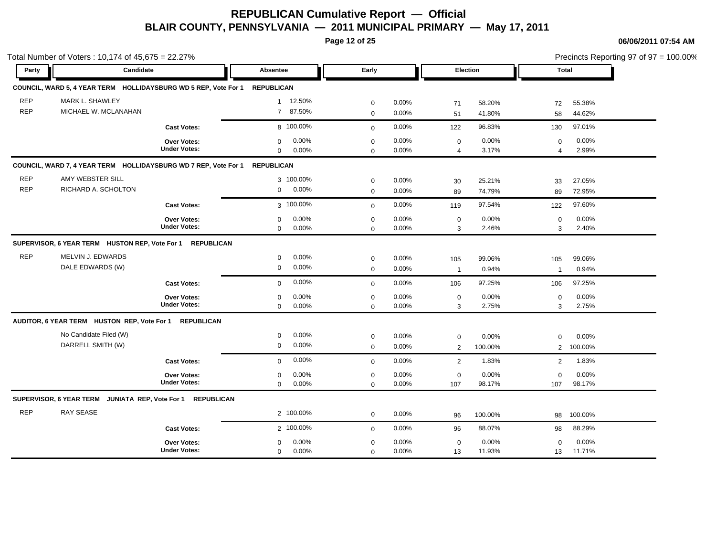**Page 12 of 25**

|                          | Total Number of Voters: 10,174 of 45,675 = 22.27%               |                                           |                                              |                            |                |                               |                  |                     | Precincts Reporting 97 of 97 = 100.00% |
|--------------------------|-----------------------------------------------------------------|-------------------------------------------|----------------------------------------------|----------------------------|----------------|-------------------------------|------------------|---------------------|----------------------------------------|
| Party                    | Candidate                                                       |                                           | Absentee                                     | Early                      |                |                               | Election         | Total               |                                        |
|                          | COUNCIL, WARD 5, 4 YEAR TERM HOLLIDAYSBURG WD 5 REP, Vote For 1 |                                           | <b>REPUBLICAN</b>                            |                            |                |                               |                  |                     |                                        |
| <b>REP</b>               | MARK L. SHAWLEY                                                 |                                           | 12.50%<br>$\mathbf{1}$                       | $\mathbf 0$                | 0.00%          | 71                            | 58.20%           | 72                  | 55.38%                                 |
| <b>REP</b>               | MICHAEL W. MCLANAHAN                                            |                                           | 87.50%<br>$7^{\circ}$                        | $\mathbf 0$                | 0.00%          | 51                            | 41.80%           | 58                  | 44.62%                                 |
|                          |                                                                 | <b>Cast Votes:</b>                        | 8 100.00%                                    | $\mathbf 0$                | 0.00%          | 122                           | 96.83%           | 130                 | 97.01%                                 |
|                          |                                                                 | <b>Over Votes:</b><br><b>Under Votes:</b> | 0.00%<br>$\mathbf 0$<br>0.00%<br>$\mathbf 0$ | $\mathbf 0$<br>$\mathbf 0$ | 0.00%<br>0.00% | $\mathbf 0$<br>$\overline{4}$ | 0.00%<br>3.17%   | $\mathbf 0$<br>4    | 0.00%<br>2.99%                         |
|                          | COUNCIL, WARD 7, 4 YEAR TERM HOLLIDAYSBURG WD 7 REP, Vote For 1 |                                           | <b>REPUBLICAN</b>                            |                            |                |                               |                  |                     |                                        |
| <b>REP</b><br><b>REP</b> | AMY WEBSTER SILL<br>RICHARD A. SCHOLTON                         |                                           | 3 100.00%<br>0.00%<br>$\mathbf 0$            | $\mathbf 0$<br>$\mathbf 0$ | 0.00%<br>0.00% | 30                            | 25.21%<br>74.79% | 33                  | 27.05%                                 |
|                          |                                                                 | <b>Cast Votes:</b>                        | 3 100.00%                                    | $\mathbf{0}$               | 0.00%          | 89<br>119                     | 97.54%           | 89<br>122           | 72.95%<br>97.60%                       |
|                          |                                                                 | Over Votes:<br><b>Under Votes:</b>        | 0.00%<br>$\mathbf 0$<br>0.00%<br>$\mathbf 0$ | $\mathbf 0$<br>$\mathbf 0$ | 0.00%<br>0.00% | $\mathbf 0$<br>3              | 0.00%<br>2.46%   | $\mathbf 0$<br>3    | 0.00%<br>2.40%                         |
|                          | SUPERVISOR, 6 YEAR TERM HUSTON REP, Vote For 1                  | <b>REPUBLICAN</b>                         |                                              |                            |                |                               |                  |                     |                                        |
| <b>REP</b>               | MELVIN J. EDWARDS<br>DALE EDWARDS (W)                           |                                           | 0.00%<br>$\mathbf 0$<br>0.00%<br>$\mathbf 0$ | $\mathbf 0$<br>$\mathbf 0$ | 0.00%<br>0.00% | 105<br>$\overline{1}$         | 99.06%<br>0.94%  | 105<br>$\mathbf{1}$ | 99.06%<br>0.94%                        |
|                          |                                                                 | <b>Cast Votes:</b>                        | 0.00%<br>$\mathbf 0$                         | $\mathbf{0}$               | 0.00%          | 106                           | 97.25%           | 106                 | 97.25%                                 |
|                          |                                                                 | <b>Over Votes:</b><br><b>Under Votes:</b> | 0.00%<br>$\mathbf 0$<br>$\mathbf 0$<br>0.00% | $\mathbf 0$<br>$\mathbf 0$ | 0.00%<br>0.00% | $\mathbf 0$<br>3              | 0.00%<br>2.75%   | $\mathbf 0$<br>3    | 0.00%<br>2.75%                         |
|                          | AUDITOR, 6 YEAR TERM HUSTON REP, Vote For 1 REPUBLICAN          |                                           |                                              |                            |                |                               |                  |                     |                                        |
|                          | No Candidate Filed (W)<br>DARRELL SMITH (W)                     |                                           | 0.00%<br>$\mathbf 0$<br>0.00%<br>$\mathbf 0$ | $\mathbf 0$<br>$\mathbf 0$ | 0.00%<br>0.00% | $\mathbf 0$<br>2              | 0.00%<br>100.00% | $\mathbf 0$<br>2    | 0.00%<br>100.00%                       |
|                          |                                                                 | <b>Cast Votes:</b>                        | 0.00%<br>$\mathbf 0$                         | $\mathbf 0$                | 0.00%          | 2                             | 1.83%            | 2                   | 1.83%                                  |
|                          |                                                                 | Over Votes:<br><b>Under Votes:</b>        | 0.00%<br>$\mathbf 0$<br>$\mathbf 0$<br>0.00% | $\mathbf 0$<br>$\mathbf 0$ | 0.00%<br>0.00% | $\mathbf 0$<br>107            | 0.00%<br>98.17%  | $\mathbf 0$<br>107  | 0.00%<br>98.17%                        |
|                          | SUPERVISOR, 6 YEAR TERM JUNIATA REP, Vote For 1 REPUBLICAN      |                                           |                                              |                            |                |                               |                  |                     |                                        |
| <b>REP</b>               | <b>RAY SEASE</b>                                                |                                           | 2 100.00%                                    | $\mathbf 0$                | 0.00%          | 96                            | 100.00%          | 98                  | 100.00%                                |
|                          |                                                                 | <b>Cast Votes:</b>                        | 2 100.00%                                    | $\mathbf 0$                | 0.00%          | 96                            | 88.07%           | 98                  | 88.29%                                 |
|                          |                                                                 | <b>Over Votes:</b><br><b>Under Votes:</b> | 0.00%<br>$\mathbf 0$<br>0.00%<br>$\Omega$    | $\mathbf 0$<br>$\Omega$    | 0.00%<br>0.00% | $\mathbf 0$<br>13             | 0.00%<br>11.93%  | $\mathbf 0$<br>13   | 0.00%<br>11.71%                        |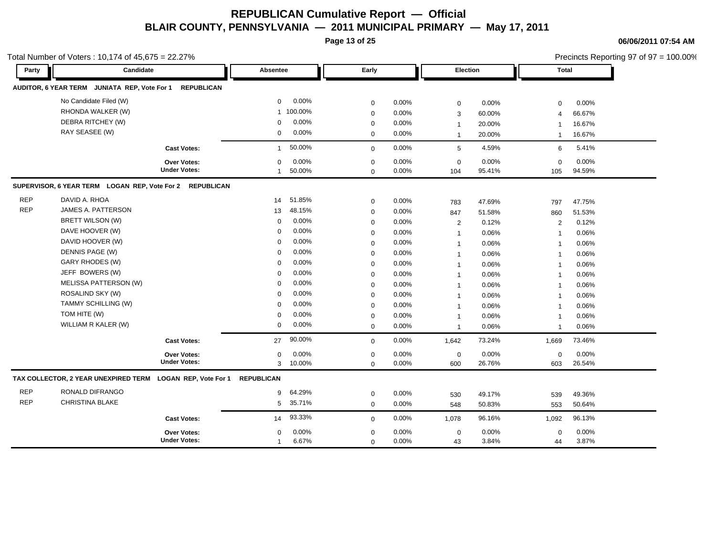**Page 13 of 25**

|            | Total Number of Voters: 10,174 of 45,675 = 22.27%          |                     |                   |         |                  |       |                 |        |                         | Precincts Reporting 97 of 97 = 100.00% |  |
|------------|------------------------------------------------------------|---------------------|-------------------|---------|------------------|-------|-----------------|--------|-------------------------|----------------------------------------|--|
| Party      | Candidate                                                  |                     | <b>Absentee</b>   |         | Early            |       | <b>Election</b> |        | Total                   |                                        |  |
|            | AUDITOR, 6 YEAR TERM JUNIATA REP, Vote For 1               | <b>REPUBLICAN</b>   |                   |         |                  |       |                 |        |                         |                                        |  |
|            | No Candidate Filed (W)                                     |                     | $\mathbf 0$       | 0.00%   | $\mathbf 0$      | 0.00% | $\mathbf 0$     | 0.00%  | $\mathbf 0$             | 0.00%                                  |  |
|            | RHONDA WALKER (W)                                          |                     | $\mathbf{1}$      | 100.00% | $\mathbf 0$      | 0.00% | 3               | 60.00% | $\overline{4}$          | 66.67%                                 |  |
|            | DEBRA RITCHEY (W)                                          |                     | 0                 | 0.00%   | 0                | 0.00% | $\mathbf{1}$    | 20.00% | -1                      | 16.67%                                 |  |
|            | RAY SEASEE (W)                                             |                     | $\mathbf 0$       | 0.00%   | $\mathbf 0$      | 0.00% | $\mathbf{1}$    | 20.00% | $\overline{1}$          | 16.67%                                 |  |
|            |                                                            | <b>Cast Votes:</b>  | $\mathbf{1}$      | 50.00%  | $\mathbf 0$      | 0.00% | 5               | 4.59%  | 6                       | 5.41%                                  |  |
|            |                                                            | Over Votes:         | 0                 | 0.00%   | $\boldsymbol{0}$ | 0.00% | $\mathbf 0$     | 0.00%  | $\mathbf 0$             | 0.00%                                  |  |
|            |                                                            | <b>Under Votes:</b> | $\mathbf{1}$      | 50.00%  | $\Omega$         | 0.00% | 104             | 95.41% | 105                     | 94.59%                                 |  |
|            | SUPERVISOR, 6 YEAR TERM LOGAN REP, Vote For 2 REPUBLICAN   |                     |                   |         |                  |       |                 |        |                         |                                        |  |
| <b>REP</b> | DAVID A. RHOA                                              |                     | 14                | 51.85%  | $\mathbf 0$      | 0.00% | 783             | 47.69% | 797                     | 47.75%                                 |  |
| <b>REP</b> | JAMES A. PATTERSON                                         |                     | 13                | 48.15%  | $\mathbf 0$      | 0.00% | 847             | 51.58% | 860                     | 51.53%                                 |  |
|            | <b>BRETT WILSON (W)</b>                                    |                     | 0                 | 0.00%   | $\mathbf 0$      | 0.00% | $\sqrt{2}$      | 0.12%  | $\overline{2}$          | 0.12%                                  |  |
|            | DAVE HOOVER (W)                                            |                     | $\mathbf 0$       | 0.00%   | $\mathbf 0$      | 0.00% | $\mathbf{1}$    | 0.06%  | $\overline{1}$          | 0.06%                                  |  |
|            | DAVID HOOVER (W)                                           |                     | $\mathbf 0$       | 0.00%   | $\mathbf 0$      | 0.00% | $\mathbf{1}$    | 0.06%  | $\overline{1}$          | 0.06%                                  |  |
|            | DENNIS PAGE (W)                                            |                     | $\mathbf 0$       | 0.00%   | $\mathbf 0$      | 0.00% | $\mathbf{1}$    | 0.06%  | $\overline{1}$          | 0.06%                                  |  |
|            | GARY RHODES (W)                                            |                     | $\mathbf 0$       | 0.00%   | $\mathbf 0$      | 0.00% | $\mathbf{1}$    | 0.06%  | $\overline{1}$          | 0.06%                                  |  |
|            | JEFF BOWERS (W)                                            |                     | $\mathbf 0$       | 0.00%   | $\mathbf 0$      | 0.00% | $\mathbf{1}$    | 0.06%  | $\overline{1}$          | 0.06%                                  |  |
|            | MELISSA PATTERSON (W)                                      |                     | 0                 | 0.00%   | $\mathbf 0$      | 0.00% | $\mathbf{1}$    | 0.06%  | $\overline{1}$          | 0.06%                                  |  |
|            | ROSALIND SKY (W)                                           |                     | $\mathbf 0$       | 0.00%   | $\mathbf 0$      | 0.00% | $\mathbf{1}$    | 0.06%  | $\overline{\mathbf{1}}$ | 0.06%                                  |  |
|            | TAMMY SCHILLING (W)                                        |                     | $\mathbf 0$       | 0.00%   | $\mathbf 0$      | 0.00% | $\mathbf{1}$    | 0.06%  | -1                      | 0.06%                                  |  |
|            | TOM HITE (W)                                               |                     | 0                 | 0.00%   | $\mathbf 0$      | 0.00% | $\mathbf{1}$    | 0.06%  | $\overline{\mathbf{1}}$ | 0.06%                                  |  |
|            | WILLIAM R KALER (W)                                        |                     | $\mathbf 0$       | 0.00%   | $\mathbf 0$      | 0.00% | $\mathbf{1}$    | 0.06%  | $\overline{1}$          | 0.06%                                  |  |
|            |                                                            | <b>Cast Votes:</b>  | 27                | 90.00%  | $\mathbf 0$      | 0.00% | 1,642           | 73.24% | 1,669                   | 73.46%                                 |  |
|            |                                                            | Over Votes:         | 0                 | 0.00%   | $\mathbf 0$      | 0.00% | $\mathbf 0$     | 0.00%  | $\mathbf 0$             | 0.00%                                  |  |
|            |                                                            | <b>Under Votes:</b> | 3                 | 10.00%  | $\mathbf 0$      | 0.00% | 600             | 26.76% | 603                     | 26.54%                                 |  |
|            | TAX COLLECTOR, 2 YEAR UNEXPIRED TERM LOGAN REP, Vote For 1 |                     | <b>REPUBLICAN</b> |         |                  |       |                 |        |                         |                                        |  |
| <b>REP</b> | RONALD DIFRANGO                                            |                     | 9                 | 64.29%  | $\mathbf 0$      | 0.00% | 530             | 49.17% | 539                     | 49.36%                                 |  |
| <b>REP</b> | <b>CHRISTINA BLAKE</b>                                     |                     | 5                 | 35.71%  | $\mathbf 0$      | 0.00% | 548             | 50.83% | 553                     | 50.64%                                 |  |
|            |                                                            | <b>Cast Votes:</b>  | 14                | 93.33%  | $\mathbf 0$      | 0.00% | 1,078           | 96.16% | 1,092                   | 96.13%                                 |  |
|            |                                                            | Over Votes:         | $\mathbf 0$       | 0.00%   | $\mathbf 0$      | 0.00% | $\mathbf 0$     | 0.00%  | $\mathbf 0$             | 0.00%                                  |  |
|            |                                                            | <b>Under Votes:</b> | $\mathbf{1}$      | 6.67%   | $\mathbf 0$      | 0.00% | 43              | 3.84%  | 44                      | 3.87%                                  |  |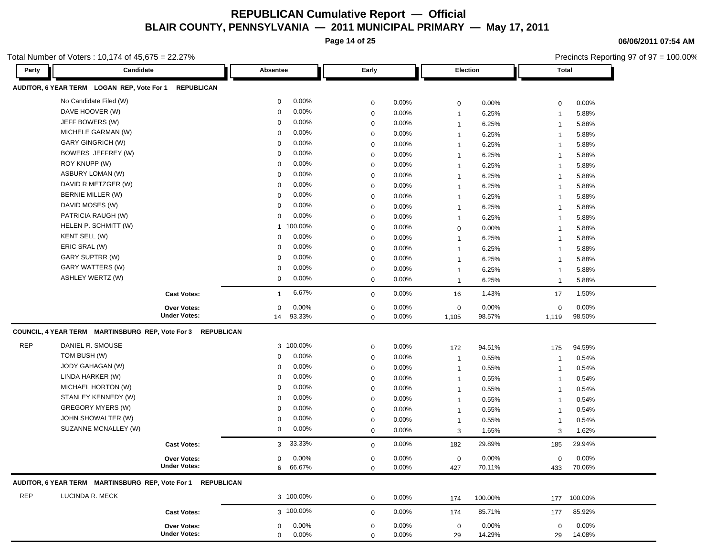**Page 14 of 25**

**06/06/2011 07:54 AM**

|            | Total Number of Voters: 10,174 of 45,675 = 22.27%<br>Candidate |                     |                       |             |       |                 |         | Precincts Reporting 97 of 97 = 100.00% |         |
|------------|----------------------------------------------------------------|---------------------|-----------------------|-------------|-------|-----------------|---------|----------------------------------------|---------|
| Party      |                                                                |                     | Absentee              | Early       |       | <b>Election</b> |         | <b>Total</b>                           |         |
|            | AUDITOR, 6 YEAR TERM LOGAN REP, Vote For 1 REPUBLICAN          |                     |                       |             |       |                 |         |                                        |         |
|            | No Candidate Filed (W)                                         |                     | 0.00%<br>$\mathbf 0$  | $\mathbf 0$ | 0.00% | $\mathbf 0$     | 0.00%   | 0                                      | 0.00%   |
|            | DAVE HOOVER (W)                                                |                     | 0.00%<br>0            | $\mathbf 0$ | 0.00% | $\mathbf{1}$    | 6.25%   | $\mathbf{1}$                           | 5.88%   |
|            | JEFF BOWERS (W)                                                |                     | 0.00%<br>0            | $\mathbf 0$ | 0.00% | $\mathbf{1}$    | 6.25%   | $\mathbf{1}$                           | 5.88%   |
|            | MICHELE GARMAN (W)                                             |                     | 0.00%<br>$\Omega$     | $\mathbf 0$ | 0.00% | $\mathbf{1}$    | 6.25%   | $\mathbf 1$                            | 5.88%   |
|            | <b>GARY GINGRICH (W)</b>                                       |                     | 0.00%<br>$\mathbf 0$  | $\mathbf 0$ | 0.00% | $\mathbf{1}$    | 6.25%   | $\mathbf 1$                            | 5.88%   |
|            | BOWERS JEFFREY (W)                                             |                     | 0.00%<br>0            | $\mathbf 0$ | 0.00% | $\mathbf{1}$    | 6.25%   | -1                                     | 5.88%   |
|            | ROY KNUPP (W)                                                  |                     | 0.00%<br>0            | $\mathbf 0$ | 0.00% | $\mathbf{1}$    | 6.25%   | $\mathbf 1$                            | 5.88%   |
|            | ASBURY LOMAN (W)                                               |                     | $0.00\%$<br>0         | $\mathbf 0$ | 0.00% | $\mathbf{1}$    | 6.25%   | 1                                      | 5.88%   |
|            | DAVID R METZGER (W)                                            |                     | 0.00%<br>0            | $\mathbf 0$ | 0.00% | $\mathbf{1}$    | 6.25%   | 1                                      | 5.88%   |
|            | <b>BERNIE MILLER (W)</b>                                       |                     | 0.00%<br>$\Omega$     | $\mathbf 0$ | 0.00% | $\mathbf{1}$    | 6.25%   | $\mathbf{1}$                           | 5.88%   |
|            | DAVID MOSES (W)                                                |                     | 0.00%<br>0            | $\mathbf 0$ | 0.00% | $\mathbf{1}$    | 6.25%   | $\mathbf{1}$                           | 5.88%   |
|            | PATRICIA RAUGH (W)                                             |                     | 0.00%<br>0            | $\mathbf 0$ | 0.00% | $\mathbf{1}$    | 6.25%   | $\mathbf{1}$                           | 5.88%   |
|            | HELEN P. SCHMITT (W)                                           |                     | 1 100.00%             | $\mathbf 0$ | 0.00% | $\mathbf 0$     | 0.00%   | $\mathbf{1}$                           | 5.88%   |
|            | KENT SELL (W)                                                  |                     | 0.00%<br>0            | $\mathbf 0$ | 0.00% | $\mathbf{1}$    | 6.25%   | $\mathbf{1}$                           | 5.88%   |
|            | ERIC SRAL (W)                                                  |                     | 0.00%<br>0            | $\mathbf 0$ | 0.00% | $\mathbf{1}$    | 6.25%   | $\mathbf{1}$                           | 5.88%   |
|            | GARY SUPTRR (W)                                                |                     | 0.00%<br>0            | $\mathbf 0$ | 0.00% | $\mathbf{1}$    | 6.25%   | $\mathbf 1$                            | 5.88%   |
|            | GARY WATTERS (W)                                               |                     | 0.00%<br>0            | $\mathbf 0$ | 0.00% | $\mathbf{1}$    | 6.25%   | $\mathbf 1$                            | 5.88%   |
|            | ASHLEY WERTZ (W)                                               |                     | 0.00%<br>0            | $\mathbf 0$ | 0.00% | $\mathbf{1}$    | 6.25%   | $\mathbf 1$                            | 5.88%   |
|            |                                                                | <b>Cast Votes:</b>  | 6.67%<br>$\mathbf{1}$ | $\mathbf 0$ | 0.00% | 16              | 1.43%   | 17                                     | 1.50%   |
|            |                                                                | <b>Over Votes:</b>  | 0.00%<br>0            | $\mathbf 0$ | 0.00% | $\mathbf 0$     | 0.00%   | $\mathbf 0$                            | 0.00%   |
|            |                                                                | <b>Under Votes:</b> | 93.33%<br>14          | $\mathbf 0$ | 0.00% | 1,105           | 98.57%  | 1,119                                  | 98.50%  |
|            | COUNCIL, 4 YEAR TERM MARTINSBURG REP, Vote For 3               | <b>REPUBLICAN</b>   |                       |             |       |                 |         |                                        |         |
| REP        | DANIEL R. SMOUSE                                               |                     | 3 100.00%             | $\mathbf 0$ | 0.00% | 172             | 94.51%  | 175                                    | 94.59%  |
|            | TOM BUSH (W)                                                   |                     | 0.00%<br>0            | $\mathbf 0$ | 0.00% | $\mathbf{1}$    | 0.55%   | $\mathbf{1}$                           | 0.54%   |
|            | JODY GAHAGAN (W)                                               |                     | 0.00%<br>0            | $\mathbf 0$ | 0.00% | $\mathbf{1}$    | 0.55%   | $\mathbf{1}$                           | 0.54%   |
|            | LINDA HARKER (W)                                               |                     | 0.00%<br>0            | $\mathbf 0$ | 0.00% | $\mathbf{1}$    | 0.55%   | $\mathbf{1}$                           | 0.54%   |
|            | MICHAEL HORTON (W)                                             |                     | 0.00%<br>0            | $\mathbf 0$ | 0.00% | $\mathbf{1}$    | 0.55%   | $\mathbf 1$                            | 0.54%   |
|            | STANLEY KENNEDY (W)                                            |                     | 0.00%<br>0            | $\mathbf 0$ | 0.00% | $\mathbf{1}$    | 0.55%   | $\mathbf 1$                            | 0.54%   |
|            | <b>GREGORY MYERS (W)</b>                                       |                     | 0.00%<br>0            | $\mathbf 0$ | 0.00% | $\mathbf{1}$    | 0.55%   | $\mathbf 1$                            | 0.54%   |
|            | JOHN SHOWALTER (W)                                             |                     | 0.00%<br>0            | $\mathbf 0$ | 0.00% | $\mathbf{1}$    | 0.55%   | -1                                     | 0.54%   |
|            | SUZANNE MCNALLEY (W)                                           |                     | 0.00%<br>$\mathbf 0$  | $\mathbf 0$ | 0.00% | 3               | 1.65%   | 3                                      | 1.62%   |
|            |                                                                | <b>Cast Votes:</b>  | 33.33%<br>3           | $\mathbf 0$ | 0.00% | 182             | 29.89%  | 185                                    | 29.94%  |
|            |                                                                | Over Votes:         | 0.00%<br>$\mathbf{0}$ | $\mathbf 0$ | 0.00% | $\mathbf 0$     | 0.00%   | $\mathbf 0$                            | 0.00%   |
|            |                                                                | <b>Under Votes:</b> | 6 66.67%              | $\mathbf 0$ | 0.00% | 427             | 70.11%  | 433                                    | 70.06%  |
|            | AUDITOR, 6 YEAR TERM MARTINSBURG REP, Vote For 1 REPUBLICAN    |                     |                       |             |       |                 |         |                                        |         |
| <b>REP</b> | LUCINDA R. MECK                                                |                     | 3 100.00%             | $\mathbf 0$ | 0.00% | 174             | 100.00% | 177                                    | 100.00% |
|            |                                                                | <b>Cast Votes:</b>  | 3 100.00%             | $\mathbf 0$ | 0.00% | 174             | 85.71%  | 177                                    | 85.92%  |
|            |                                                                | Over Votes:         | 0.00%<br>0            | $\mathbf 0$ | 0.00% | $\mathbf 0$     | 0.00%   | 0                                      | 0.00%   |
|            |                                                                | <b>Under Votes:</b> | 0.00%<br>$\mathbf 0$  | $\mathbf 0$ | 0.00% | 29              | 14.29%  | 29                                     | 14.08%  |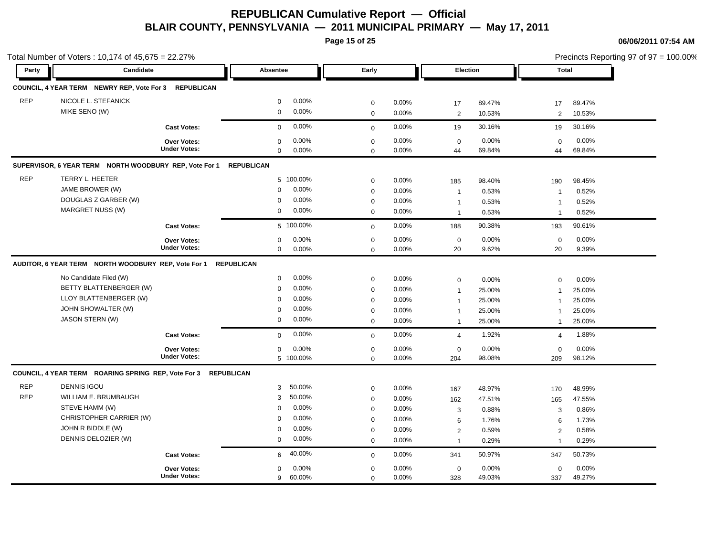**Page 15 of 25**

|            | Total Number of Voters: 10,174 of 45,675 = 22.27%              |                     |                      |              |       |                |        |                | Precincts Reporting 97 of 97 = 100.00% |
|------------|----------------------------------------------------------------|---------------------|----------------------|--------------|-------|----------------|--------|----------------|----------------------------------------|
| Party      | Candidate                                                      |                     | Absentee             | Early        |       | Election       |        | <b>Total</b>   |                                        |
|            | COUNCIL, 4 YEAR TERM NEWRY REP, Vote For 3 REPUBLICAN          |                     |                      |              |       |                |        |                |                                        |
| <b>REP</b> | NICOLE L. STEFANICK                                            |                     | 0.00%<br>$\mathbf 0$ | $\pmb{0}$    | 0.00% | 17             | 89.47% | 17             | 89.47%                                 |
|            | MIKE SENO (W)                                                  |                     | 0.00%<br>$\mathbf 0$ | $\mathbf 0$  | 0.00% | $\overline{2}$ | 10.53% | 2              | 10.53%                                 |
|            |                                                                | <b>Cast Votes:</b>  | 0.00%<br>$\mathbf 0$ | $\mathbf{0}$ | 0.00% | 19             | 30.16% | 19             | 30.16%                                 |
|            |                                                                | Over Votes:         | 0.00%<br>$\mathbf 0$ | $\pmb{0}$    | 0.00% | $\mathbf 0$    | 0.00%  | $\mathbf 0$    | 0.00%                                  |
|            |                                                                | <b>Under Votes:</b> | $\mathbf 0$<br>0.00% | $\Omega$     | 0.00% | 44             | 69.84% | 44             | 69.84%                                 |
|            | SUPERVISOR, 6 YEAR TERM NORTH WOODBURY REP, Vote For 1         |                     | <b>REPUBLICAN</b>    |              |       |                |        |                |                                        |
| <b>REP</b> | TERRY L. HEETER                                                |                     | 5 100.00%            | $\mathbf 0$  | 0.00% | 185            | 98.40% | 190            | 98.45%                                 |
|            | JAME BROWER (W)                                                |                     | 0.00%<br>$\mathbf 0$ | $\mathbf 0$  | 0.00% | $\overline{1}$ | 0.53%  | -1             | 0.52%                                  |
|            | DOUGLAS Z GARBER (W)                                           |                     | 0.00%<br>$\mathbf 0$ | $\mathbf 0$  | 0.00% | $\overline{1}$ | 0.53%  | $\overline{1}$ | 0.52%                                  |
|            | <b>MARGRET NUSS (W)</b>                                        |                     | 0.00%<br>$\mathbf 0$ | $\mathbf 0$  | 0.00% | $\overline{1}$ | 0.53%  | $\overline{1}$ | 0.52%                                  |
|            |                                                                | <b>Cast Votes:</b>  | 5 100.00%            | $\mathbf 0$  | 0.00% | 188            | 90.38% | 193            | 90.61%                                 |
|            |                                                                | Over Votes:         | 0.00%<br>$\mathbf 0$ | $\mathbf 0$  | 0.00% | $\mathbf 0$    | 0.00%  | $\mathbf 0$    | 0.00%                                  |
|            |                                                                | <b>Under Votes:</b> | $\mathbf 0$<br>0.00% | $\mathbf{0}$ | 0.00% | 20             | 9.62%  | 20             | 9.39%                                  |
|            | AUDITOR, 6 YEAR TERM NORTH WOODBURY REP, Vote For 1            |                     | <b>REPUBLICAN</b>    |              |       |                |        |                |                                        |
|            | No Candidate Filed (W)                                         |                     | 0.00%<br>$\mathbf 0$ | $\mathbf 0$  | 0.00% | $\mathbf 0$    | 0.00%  | 0              | 0.00%                                  |
|            | BETTY BLATTENBERGER (W)                                        |                     | 0.00%<br>$\mathbf 0$ | $\mathbf 0$  | 0.00% | $\overline{1}$ | 25.00% | $\overline{1}$ | 25.00%                                 |
|            | LLOY BLATTENBERGER (W)                                         |                     | 0.00%<br>$\mathbf 0$ | $\mathbf 0$  | 0.00% | $\mathbf 1$    | 25.00% | -1             | 25.00%                                 |
|            | JOHN SHOWALTER (W)                                             |                     | 0.00%<br>$\mathbf 0$ | $\mathbf 0$  | 0.00% | $\overline{1}$ | 25.00% | $\mathbf{1}$   | 25.00%                                 |
|            | <b>JASON STERN (W)</b>                                         |                     | 0.00%<br>$\mathbf 0$ | $\mathbf 0$  | 0.00% | $\mathbf{1}$   | 25.00% | 1              | 25.00%                                 |
|            |                                                                | <b>Cast Votes:</b>  | 0.00%<br>$\mathbf 0$ | $\mathbf{0}$ | 0.00% | $\overline{4}$ | 1.92%  | $\overline{4}$ | 1.88%                                  |
|            |                                                                | Over Votes:         | 0.00%<br>$\mathbf 0$ | $\pmb{0}$    | 0.00% | $\mathbf 0$    | 0.00%  | $\mathbf 0$    | 0.00%                                  |
|            |                                                                | <b>Under Votes:</b> | 5 100.00%            | $\Omega$     | 0.00% | 204            | 98.08% | 209            | 98.12%                                 |
|            | COUNCIL, 4 YEAR TERM ROARING SPRING REP, Vote For 3 REPUBLICAN |                     |                      |              |       |                |        |                |                                        |
| <b>REP</b> | <b>DENNIS IGOU</b>                                             |                     | 50.00%<br>3          | $\mathbf 0$  | 0.00% | 167            | 48.97% | 170            | 48.99%                                 |
| <b>REP</b> | WILLIAM E. BRUMBAUGH                                           |                     | 50.00%<br>3          | $\mathbf 0$  | 0.00% | 162            | 47.51% | 165            | 47.55%                                 |
|            | STEVE HAMM (W)                                                 |                     | 0.00%<br>$\mathbf 0$ | $\mathbf 0$  | 0.00% | 3              | 0.88%  | 3              | 0.86%                                  |
|            | CHRISTOPHER CARRIER (W)                                        |                     | 0.00%<br>$\mathbf 0$ | $\mathbf 0$  | 0.00% | 6              | 1.76%  | 6              | 1.73%                                  |
|            | JOHN R BIDDLE (W)                                              |                     | 0.00%<br>$\mathbf 0$ | $\mathbf 0$  | 0.00% | $\overline{2}$ | 0.59%  | $\overline{2}$ | 0.58%                                  |
|            | DENNIS DELOZIER (W)                                            |                     | $\mathbf 0$<br>0.00% | $\mathbf 0$  | 0.00% | $\overline{1}$ | 0.29%  | $\overline{1}$ | 0.29%                                  |
|            |                                                                | <b>Cast Votes:</b>  | 40.00%<br>6          | $\mathbf 0$  | 0.00% | 341            | 50.97% | 347            | 50.73%                                 |
|            |                                                                | <b>Over Votes:</b>  | 0.00%<br>$\mathbf 0$ | $\mathbf 0$  | 0.00% | $\mathbf 0$    | 0.00%  | 0              | 0.00%                                  |
|            |                                                                | <b>Under Votes:</b> | 60.00%<br>9          | $\mathbf 0$  | 0.00% | 328            | 49.03% | 337            | 49.27%                                 |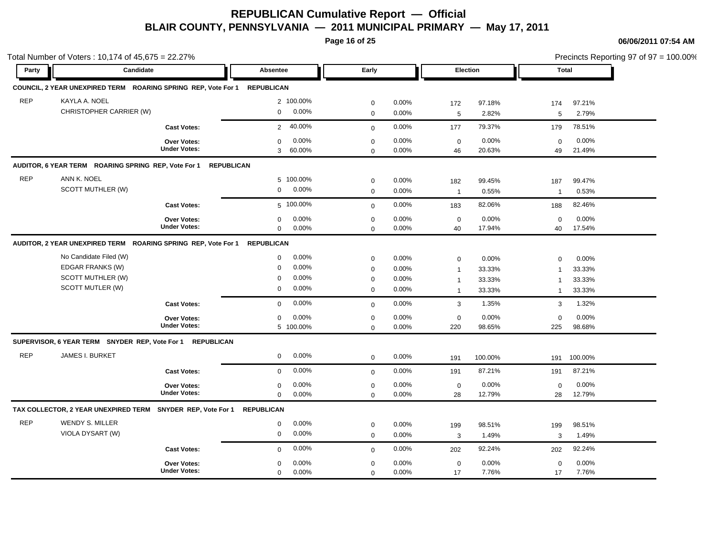**Page 16 of 25**

|            | Total Number of Voters: 10,174 of 45,675 = 22.27%                        |                     |                          |              |          |                |          |                | Precincts Reporting 97 of 97 = 100.00% |
|------------|--------------------------------------------------------------------------|---------------------|--------------------------|--------------|----------|----------------|----------|----------------|----------------------------------------|
| Party      | Candidate                                                                |                     | Absentee                 | Early        |          |                | Election |                | Total                                  |
|            | COUNCIL, 2 YEAR UNEXPIRED TERM ROARING SPRING REP, Vote For 1 REPUBLICAN |                     |                          |              |          |                |          |                |                                        |
| <b>REP</b> | KAYLA A. NOEL                                                            |                     | 2 100.00%                | $\mathbf 0$  | 0.00%    | 172            | 97.18%   | 174            | 97.21%                                 |
|            | CHRISTOPHER CARRIER (W)                                                  |                     | 0.00%<br>$\mathbf 0$     | $\mathbf 0$  | 0.00%    | 5              | 2.82%    | 5              | 2.79%                                  |
|            |                                                                          | <b>Cast Votes:</b>  | 40.00%<br>$\overline{2}$ | $\mathbf 0$  | 0.00%    | 177            | 79.37%   | 179            | 78.51%                                 |
|            |                                                                          | <b>Over Votes:</b>  | 0.00%<br>$\mathbf 0$     | 0            | 0.00%    | $\mathbf 0$    | 0.00%    | $\mathbf 0$    | 0.00%                                  |
|            |                                                                          | <b>Under Votes:</b> | 60.00%<br>3              | $\mathbf 0$  | 0.00%    | 46             | 20.63%   | 49             | 21.49%                                 |
|            | AUDITOR, 6 YEAR TERM ROARING SPRING REP, Vote For 1                      | <b>REPUBLICAN</b>   |                          |              |          |                |          |                |                                        |
| <b>REP</b> | ANN K. NOEL                                                              |                     | 5 100.00%                | $\mathbf 0$  | 0.00%    | 182            | 99.45%   | 187            | 99.47%                                 |
|            | SCOTT MUTHLER (W)                                                        |                     | 0.00%<br>$\mathbf{0}$    | 0            | 0.00%    | $\overline{1}$ | 0.55%    | $\overline{1}$ | 0.53%                                  |
|            |                                                                          | <b>Cast Votes:</b>  | 5 100.00%                | $\mathbf 0$  | 0.00%    | 183            | 82.06%   | 188            | 82.46%                                 |
|            |                                                                          | Over Votes:         | 0.00%<br>$\mathbf 0$     | $\mathbf 0$  | 0.00%    | $\mathbf 0$    | 0.00%    | $\mathbf 0$    | 0.00%                                  |
|            |                                                                          | <b>Under Votes:</b> | $\mathbf 0$<br>0.00%     | $\mathbf 0$  | 0.00%    | 40             | 17.94%   | 40             | 17.54%                                 |
|            | AUDITOR, 2 YEAR UNEXPIRED TERM ROARING SPRING REP, Vote For 1 REPUBLICAN |                     |                          |              |          |                |          |                |                                        |
|            | No Candidate Filed (W)                                                   |                     | $0.00\%$<br>0            | $\mathbf 0$  | 0.00%    | 0              | 0.00%    | $\mathbf 0$    | 0.00%                                  |
|            | EDGAR FRANKS (W)                                                         |                     | 0.00%<br>$\mathbf 0$     | 0            | 0.00%    | $\overline{1}$ | 33.33%   | $\overline{1}$ | 33.33%                                 |
|            | SCOTT MUTHLER (W)                                                        |                     | 0.00%<br>0               | $\mathbf 0$  | 0.00%    | $\overline{1}$ | 33.33%   | $\overline{1}$ | 33.33%                                 |
|            | SCOTT MUTLER (W)                                                         |                     | 0.00%<br>$\mathbf 0$     | $\mathbf 0$  | 0.00%    | $\overline{1}$ | 33.33%   | $\mathbf{1}$   | 33.33%                                 |
|            |                                                                          | <b>Cast Votes:</b>  | 0.00%<br>0               | $\mathbf 0$  | 0.00%    | 3              | 1.35%    | 3              | 1.32%                                  |
|            |                                                                          | <b>Over Votes:</b>  | 0.00%<br>0               | $\mathbf 0$  | $0.00\%$ | 0              | $0.00\%$ | $\Omega$       | 0.00%                                  |
|            |                                                                          | <b>Under Votes:</b> | 5 100.00%                | $\mathbf 0$  | 0.00%    | 220            | 98.65%   | 225            | 98.68%                                 |
|            | SUPERVISOR, 6 YEAR TERM SNYDER REP, Vote For 1 REPUBLICAN                |                     |                          |              |          |                |          |                |                                        |
| <b>REP</b> | JAMES I. BURKET                                                          |                     | 0.00%<br>$\mathbf 0$     | $\mathbf 0$  | 0.00%    | 191            | 100.00%  | 191            | 100.00%                                |
|            |                                                                          | <b>Cast Votes:</b>  | 0.00%<br>$\mathbf 0$     | $\mathbf{0}$ | 0.00%    | 191            | 87.21%   | 191            | 87.21%                                 |
|            |                                                                          | Over Votes:         | 0.00%<br>0               | $\mathbf 0$  | 0.00%    | $\mathbf 0$    | 0.00%    | 0              | 0.00%                                  |
|            |                                                                          | <b>Under Votes:</b> | $\mathbf 0$<br>$0.00\%$  | $\mathbf 0$  | 0.00%    | 28             | 12.79%   | 28             | 12.79%                                 |
|            | TAX COLLECTOR, 2 YEAR UNEXPIRED TERM SNYDER REP, Vote For 1              |                     | <b>REPUBLICAN</b>        |              |          |                |          |                |                                        |
| <b>REP</b> | <b>WENDY S. MILLER</b>                                                   |                     | 0.00%<br>$\mathbf 0$     | $\mathbf 0$  | 0.00%    | 199            | 98.51%   | 199            | 98.51%                                 |
|            | VIOLA DYSART (W)                                                         |                     | 0.00%<br>$\mathbf 0$     | $\mathbf 0$  | 0.00%    | 3              | 1.49%    | 3              | 1.49%                                  |
|            |                                                                          | <b>Cast Votes:</b>  | 0.00%<br>$\mathbf 0$     | $\mathbf 0$  | 0.00%    | 202            | 92.24%   | 202            | 92.24%                                 |
|            |                                                                          | <b>Over Votes:</b>  | $0.00\%$<br>$\mathbf{0}$ | $\mathbf 0$  | 0.00%    | $\mathbf 0$    | 0.00%    | $\mathbf 0$    | 0.00%                                  |
|            |                                                                          | <b>Under Votes:</b> | 0.00%<br>$\mathbf 0$     | $\mathbf 0$  | 0.00%    | 17             | 7.76%    | 17             | 7.76%                                  |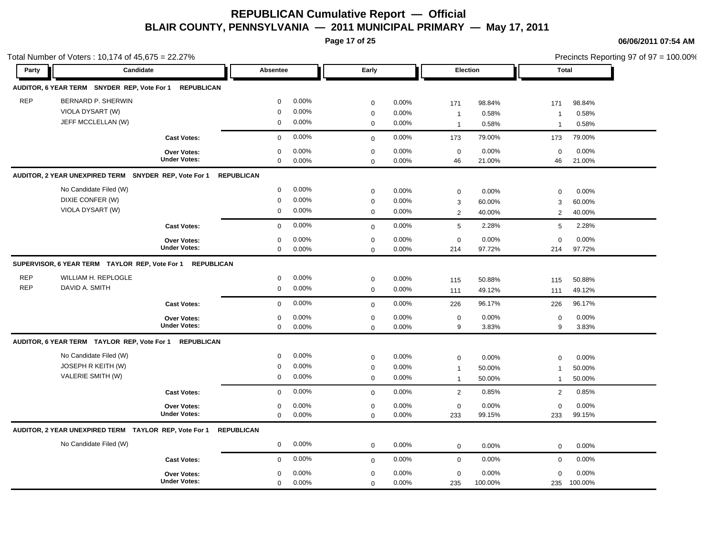**Page 17 of 25**

|            | Total Number of Voters: 10,174 of 45,675 = 22.27%         |                     |                   |       |              |       |                 |         |                |         | Precincts Reporting 97 of 97 = 100.00% |
|------------|-----------------------------------------------------------|---------------------|-------------------|-------|--------------|-------|-----------------|---------|----------------|---------|----------------------------------------|
| Party      | Candidate                                                 |                     | <b>Absentee</b>   |       | Early        |       | Election        |         | <b>Total</b>   |         |                                        |
|            | AUDITOR, 6 YEAR TERM SNYDER REP, Vote For 1 REPUBLICAN    |                     |                   |       |              |       |                 |         |                |         |                                        |
| <b>REP</b> | BERNARD P. SHERWIN                                        |                     | $\mathbf 0$       | 0.00% | $\mathbf 0$  | 0.00% | 171             | 98.84%  | 171            | 98.84%  |                                        |
|            | VIOLA DYSART (W)                                          |                     | $\Omega$          | 0.00% | $\mathbf 0$  | 0.00% | $\overline{1}$  | 0.58%   | $\overline{1}$ | 0.58%   |                                        |
|            | JEFF MCCLELLAN (W)                                        |                     | 0                 | 0.00% | $\mathbf 0$  | 0.00% | $\overline{1}$  | 0.58%   | $\overline{1}$ | 0.58%   |                                        |
|            |                                                           | <b>Cast Votes:</b>  | $\mathbf 0$       | 0.00% | $\mathbf{0}$ | 0.00% | 173             | 79.00%  | 173            | 79.00%  |                                        |
|            |                                                           | <b>Over Votes:</b>  | $\mathbf 0$       | 0.00% | $\mathbf 0$  | 0.00% | $\mathbf 0$     | 0.00%   | $\mathbf 0$    | 0.00%   |                                        |
|            |                                                           | <b>Under Votes:</b> | $\mathbf 0$       | 0.00% | $\mathbf 0$  | 0.00% | 46              | 21.00%  | 46             | 21.00%  |                                        |
|            | AUDITOR, 2 YEAR UNEXPIRED TERM SNYDER REP, Vote For 1     |                     | <b>REPUBLICAN</b> |       |              |       |                 |         |                |         |                                        |
|            | No Candidate Filed (W)                                    |                     | $\mathbf 0$       | 0.00% | $\mathbf 0$  | 0.00% | $\mathbf 0$     | 0.00%   | $\mathbf 0$    | 0.00%   |                                        |
|            | DIXIE CONFER (W)                                          |                     | $\mathbf 0$       | 0.00% | $\mathbf 0$  | 0.00% | $\mathbf{3}$    | 60.00%  | 3              | 60.00%  |                                        |
|            | VIOLA DYSART (W)                                          |                     | $\mathbf 0$       | 0.00% | $\mathbf 0$  | 0.00% | $\overline{2}$  | 40.00%  | $\overline{2}$ | 40.00%  |                                        |
|            |                                                           | <b>Cast Votes:</b>  | $\Omega$          | 0.00% | $\mathbf 0$  | 0.00% | $5\phantom{.0}$ | 2.28%   | 5              | 2.28%   |                                        |
|            |                                                           | Over Votes:         | $\mathbf 0$       | 0.00% | $\mathbf 0$  | 0.00% | $\mathbf 0$     | 0.00%   | $\mathbf 0$    | 0.00%   |                                        |
|            |                                                           | <b>Under Votes:</b> | $\mathbf 0$       | 0.00% | $\mathbf 0$  | 0.00% | 214             | 97.72%  | 214            | 97.72%  |                                        |
|            | SUPERVISOR, 6 YEAR TERM TAYLOR REP, Vote For 1 REPUBLICAN |                     |                   |       |              |       |                 |         |                |         |                                        |
| <b>REP</b> | WILLIAM H. REPLOGLE                                       |                     | $\mathbf 0$       | 0.00% | $\pmb{0}$    | 0.00% | 115             | 50.88%  | 115            | 50.88%  |                                        |
| <b>REP</b> | DAVID A. SMITH                                            |                     | 0                 | 0.00% | $\mathbf 0$  | 0.00% | 111             | 49.12%  | 111            | 49.12%  |                                        |
|            |                                                           | <b>Cast Votes:</b>  | $\mathbf 0$       | 0.00% | $\mathbf 0$  | 0.00% | 226             | 96.17%  | 226            | 96.17%  |                                        |
|            |                                                           | Over Votes:         | 0                 | 0.00% | $\pmb{0}$    | 0.00% | $\mathbf 0$     | 0.00%   | $\mathbf 0$    | 0.00%   |                                        |
|            |                                                           | <b>Under Votes:</b> | $\mathbf 0$       | 0.00% | $\mathbf 0$  | 0.00% | 9               | 3.83%   | 9              | 3.83%   |                                        |
|            | AUDITOR, 6 YEAR TERM TAYLOR REP, Vote For 1 REPUBLICAN    |                     |                   |       |              |       |                 |         |                |         |                                        |
|            | No Candidate Filed (W)                                    |                     | $\mathbf 0$       | 0.00% | $\mathbf 0$  | 0.00% | $\mathbf 0$     | 0.00%   | 0              | 0.00%   |                                        |
|            | JOSEPH R KEITH (W)                                        |                     | 0                 | 0.00% | $\mathbf 0$  | 0.00% | $\mathbf{1}$    | 50.00%  | $\mathbf{1}$   | 50.00%  |                                        |
|            | VALERIE SMITH (W)                                         |                     | $\mathbf 0$       | 0.00% | $\mathbf 0$  | 0.00% | $\overline{1}$  | 50.00%  | $\mathbf{1}$   | 50.00%  |                                        |
|            |                                                           | <b>Cast Votes:</b>  | $\mathbf 0$       | 0.00% | $\mathbf 0$  | 0.00% | $\overline{2}$  | 0.85%   | 2              | 0.85%   |                                        |
|            |                                                           | Over Votes:         | $\mathbf 0$       | 0.00% | $\mathbf 0$  | 0.00% | $\mathbf 0$     | 0.00%   | $\mathbf 0$    | 0.00%   |                                        |
|            |                                                           | <b>Under Votes:</b> | $\mathbf 0$       | 0.00% | $\mathbf 0$  | 0.00% | 233             | 99.15%  | 233            | 99.15%  |                                        |
|            | AUDITOR, 2 YEAR UNEXPIRED TERM TAYLOR REP, Vote For 1     |                     | <b>REPUBLICAN</b> |       |              |       |                 |         |                |         |                                        |
|            | No Candidate Filed (W)                                    |                     | $\mathbf 0$       | 0.00% | $\mathbf 0$  | 0.00% | $\mathbf 0$     | 0.00%   | $\mathbf 0$    | 0.00%   |                                        |
|            |                                                           | <b>Cast Votes:</b>  | $\mathbf 0$       | 0.00% | $\mathbf 0$  | 0.00% | $\mathbf 0$     | 0.00%   | $\mathbf 0$    | 0.00%   |                                        |
|            |                                                           | Over Votes:         | $\mathbf 0$       | 0.00% | $\pmb{0}$    | 0.00% | $\mathsf 0$     | 0.00%   | $\mathbf 0$    | 0.00%   |                                        |
|            |                                                           | <b>Under Votes:</b> | $\mathbf 0$       | 0.00% | $\mathbf 0$  | 0.00% | 235             | 100.00% | 235            | 100.00% |                                        |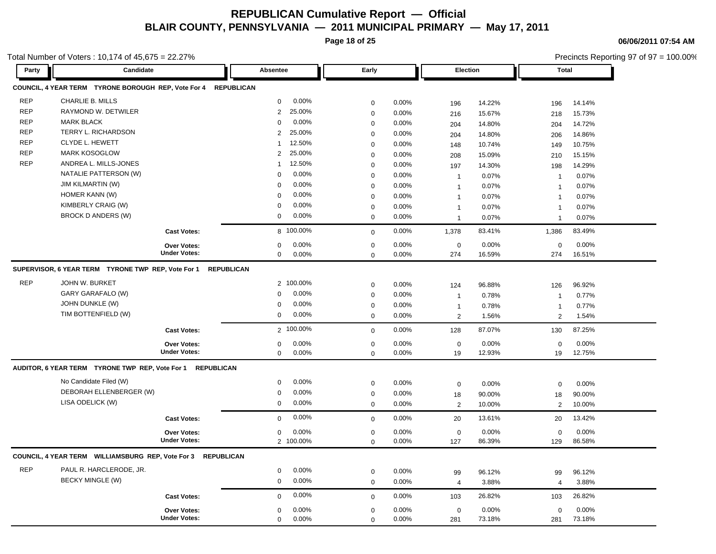**Page 18 of 25**

**06/06/2011 07:54 AM**

|            | Total Number of Voters: 10,174 of 45,675 = 22.27%             |                     |                          |                          |                |                     |        |                | Precincts Reporting 97 of 97 = 100.00% |
|------------|---------------------------------------------------------------|---------------------|--------------------------|--------------------------|----------------|---------------------|--------|----------------|----------------------------------------|
| Party      | Candidate                                                     |                     | Absentee                 | Early                    |                | Election            |        | <b>Total</b>   |                                        |
|            | COUNCIL, 4 YEAR TERM TYRONE BOROUGH REP, Vote For 4           |                     | <b>REPUBLICAN</b>        |                          |                |                     |        |                |                                        |
| <b>REP</b> | <b>CHARLIE B. MILLS</b>                                       |                     | 0.00%<br>$\mathbf 0$     | $\pmb{0}$                | 0.00%          | 196                 | 14.22% | 196            | 14.14%                                 |
| <b>REP</b> | RAYMOND W. DETWILER                                           |                     | 25.00%<br>2              | $\mathbf 0$              | 0.00%          | 216                 | 15.67% | 218            | 15.73%                                 |
| <b>REP</b> | <b>MARK BLACK</b>                                             |                     | 0.00%<br>$\Omega$        | $\mathbf 0$              | 0.00%          | 204                 | 14.80% | 204            | 14.72%                                 |
| <b>REP</b> | TERRY L. RICHARDSON                                           |                     | 25.00%<br>2              | $\mathbf 0$              | 0.00%          | 204                 | 14.80% | 206            | 14.86%                                 |
| <b>REP</b> | CLYDE L. HEWETT                                               |                     | 12.50%<br>1              | $\mathbf 0$              | 0.00%          | 148                 | 10.74% | 149            | 10.75%                                 |
| <b>REP</b> | <b>MARK KOSOGLOW</b>                                          |                     | $\overline{2}$<br>25.00% | $\mathbf 0$              | 0.00%          | 208                 | 15.09% | 210            | 15.15%                                 |
| <b>REP</b> | ANDREA L. MILLS-JONES                                         |                     | 12.50%<br>1              | $\mathbf 0$              | 0.00%          | 197                 | 14.30% | 198            | 14.29%                                 |
|            | NATALIE PATTERSON (W)                                         |                     | 0.00%<br>$\Omega$        | $\mathbf 0$              | 0.00%          | $\mathbf{1}$        | 0.07%  | $\mathbf{1}$   | 0.07%                                  |
|            | <b>JIM KILMARTIN (W)</b>                                      |                     | 0.00%<br>$\mathbf 0$     | $\mathbf 0$              | 0.00%          | $\mathbf{1}$        | 0.07%  | $\mathbf{1}$   | 0.07%                                  |
|            | HOMER KANN (W)                                                |                     | 0.00%<br>0               | $\mathbf 0$              | 0.00%          | $\mathbf{1}$        | 0.07%  | $\mathbf{1}$   | 0.07%                                  |
|            | KIMBERLY CRAIG (W)                                            |                     | 0.00%<br>$\mathbf 0$     | $\mathbf 0$              | 0.00%          | $\mathbf{1}$        | 0.07%  | $\overline{1}$ | 0.07%                                  |
|            | BROCK D ANDERS (W)                                            |                     | $\mathbf 0$<br>0.00%     | $\mathbf 0$              | 0.00%          | $\mathbf{1}$        | 0.07%  | $\mathbf{1}$   | 0.07%                                  |
|            |                                                               | <b>Cast Votes:</b>  | 8 100.00%                | $\mathbf 0$              | 0.00%          | 1,378               | 83.41% | 1,386          | 83.49%                                 |
|            |                                                               | <b>Over Votes:</b>  | 0.00%<br>$\mathbf 0$     | $\mathbf 0$              | 0.00%          | $\mathbf 0$         | 0.00%  | $\mathbf 0$    | 0.00%                                  |
|            |                                                               | <b>Under Votes:</b> | 0<br>0.00%               | $\mathbf 0$              | 0.00%          | 274                 | 16.59% | 274            | 16.51%                                 |
|            | SUPERVISOR, 6 YEAR TERM TYRONE TWP REP, Vote For 1 REPUBLICAN |                     |                          |                          |                |                     |        |                |                                        |
| <b>REP</b> | JOHN W. BURKET                                                |                     | 2 100.00%                | $\pmb{0}$                | 0.00%          | 124                 | 96.88% | 126            | 96.92%                                 |
|            | GARY GARAFALO (W)                                             |                     | 0.00%<br>$\Omega$        | $\mathbf 0$              | 0.00%          | $\mathbf{1}$        | 0.78%  | $\mathbf{1}$   | 0.77%                                  |
|            | JOHN DUNKLE (W)                                               |                     | 0.00%<br>$\mathbf 0$     | $\mathbf 0$              | 0.00%          | $\mathbf{1}$        | 0.78%  | $\mathbf{1}$   | 0.77%                                  |
|            | TIM BOTTENFIELD (W)                                           |                     | $\mathbf 0$<br>0.00%     | $\mathbf 0$              | 0.00%          | 2                   | 1.56%  | 2              | 1.54%                                  |
|            |                                                               | <b>Cast Votes:</b>  | 2 100.00%                | $\mathbf 0$              | 0.00%          | 128                 | 87.07% | 130            | 87.25%                                 |
|            |                                                               | Over Votes:         | 0.00%<br>0               | $\mathbf 0$              | 0.00%          | $\mathbf 0$         | 0.00%  | $\mathbf 0$    | 0.00%                                  |
|            |                                                               | <b>Under Votes:</b> | 0.00%<br>$\mathbf 0$     | $\mathbf 0$              | 0.00%          | 19                  | 12.93% | 19             | 12.75%                                 |
|            | AUDITOR, 6 YEAR TERM TYRONE TWP REP, Vote For 1 REPUBLICAN    |                     |                          |                          |                |                     |        |                |                                        |
|            | No Candidate Filed (W)                                        |                     | 0.00%<br>0               | $\pmb{0}$                | 0.00%          | $\mathsf{O}\xspace$ | 0.00%  | $\mathbf 0$    | 0.00%                                  |
|            | DEBORAH ELLENBERGER (W)                                       |                     | 0.00%<br>$\mathbf 0$     | $\mathbf 0$              | 0.00%          | 18                  | 90.00% | 18             | 90.00%                                 |
|            | LISA ODELICK (W)                                              |                     | 0.00%<br>$\mathbf 0$     | $\mathbf 0$              | 0.00%          | 2                   | 10.00% | 2              | 10.00%                                 |
|            |                                                               | <b>Cast Votes:</b>  | 0.00%<br>$\mathbf 0$     | $\mathbf 0$              | 0.00%          | 20                  | 13.61% | 20             | 13.42%                                 |
|            |                                                               | <b>Over Votes:</b>  | 0.00%<br>0               | $\mathbf 0$              | 0.00%          | $\mathbf 0$         | 0.00%  | $\mathbf 0$    | 0.00%                                  |
|            |                                                               | <b>Under Votes:</b> | 2 100.00%                | $\mathbf 0$              | 0.00%          | 127                 | 86.39% | 129            | 86.58%                                 |
|            | COUNCIL, 4 YEAR TERM WILLIAMSBURG REP, Vote For 3 REPUBLICAN  |                     |                          |                          |                |                     |        |                |                                        |
| <b>REP</b> | PAUL R. HARCLERODE, JR.                                       |                     | 0<br>0.00%               |                          |                |                     |        |                |                                        |
|            | <b>BECKY MINGLE (W)</b>                                       |                     | 0.00%<br>$\mathbf 0$     | $\pmb{0}$<br>$\mathbf 0$ | 0.00%<br>0.00% | 99                  | 96.12% | 99             | 96.12%                                 |
|            |                                                               |                     |                          |                          |                | $\overline{4}$      | 3.88%  | 4              | 3.88%                                  |
|            |                                                               | <b>Cast Votes:</b>  | 0.00%<br>$\mathbf 0$     | $\mathbf 0$              | 0.00%          | 103                 | 26.82% | 103            | 26.82%                                 |
|            |                                                               | <b>Over Votes:</b>  | 0.00%<br>$\mathbf 0$     | $\mathbf 0$              | 0.00%          | $\mathbf 0$         | 0.00%  | $\mathbf 0$    | 0.00%                                  |
|            |                                                               | <b>Under Votes:</b> | 0<br>0.00%               | $\mathbf 0$              | 0.00%          | 281                 | 73.18% | 281            | 73.18%                                 |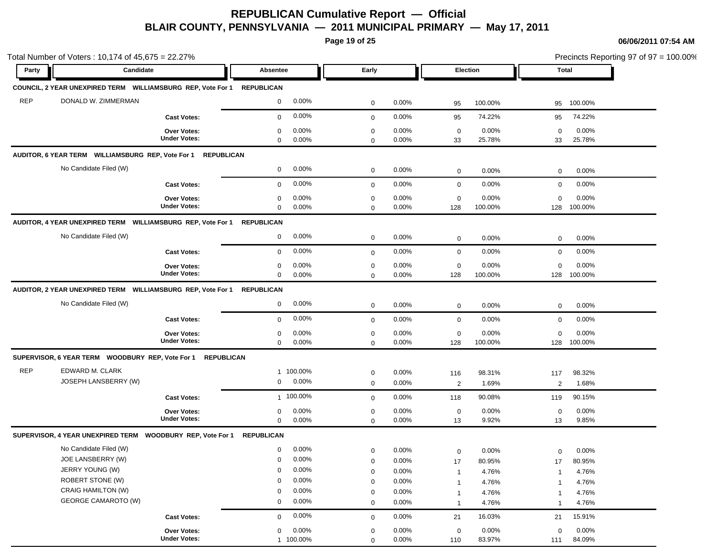**Page 19 of 25**

|            | Total Number of Voters: 10,174 of 45,675 = 22.27%                  |                     |                   |           |             |          |                         |         |                | Precincts Reporting 97 of 97 = 100.00% |
|------------|--------------------------------------------------------------------|---------------------|-------------------|-----------|-------------|----------|-------------------------|---------|----------------|----------------------------------------|
| Party      | Candidate                                                          |                     | Absentee          |           | Early       |          | Election                |         |                | Total                                  |
|            | COUNCIL, 2 YEAR UNEXPIRED TERM WILLIAMSBURG REP, Vote For 1        |                     | <b>REPUBLICAN</b> |           |             |          |                         |         |                |                                        |
| <b>REP</b> | DONALD W. ZIMMERMAN                                                |                     | $\mathbf 0$       | $0.00\%$  | 0           | 0.00%    | 95                      | 100.00% | 95             | 100.00%                                |
|            |                                                                    | <b>Cast Votes:</b>  | $\mathbf 0$       | $0.00\%$  | $\mathbf 0$ | 0.00%    | 95                      | 74.22%  | 95             | 74.22%                                 |
|            |                                                                    | <b>Over Votes:</b>  | 0                 | 0.00%     | $\mathbf 0$ | 0.00%    | $\mathbf 0$             | 0.00%   | $\mathbf 0$    | 0.00%                                  |
|            |                                                                    | <b>Under Votes:</b> | $\mathbf 0$       | 0.00%     | 0           | 0.00%    | 33                      | 25.78%  | 33             | 25.78%                                 |
|            | AUDITOR, 6 YEAR TERM    WILLIAMSBURG REP, Vote For 1    REPUBLICAN |                     |                   |           |             |          |                         |         |                |                                        |
|            | No Candidate Filed (W)                                             |                     | 0                 | $0.00\%$  | $\mathbf 0$ | 0.00%    | $\mathbf 0$             | 0.00%   | $\mathbf 0$    | 0.00%                                  |
|            |                                                                    | <b>Cast Votes:</b>  | $\mathbf{0}$      | 0.00%     | $\mathbf 0$ | 0.00%    | $\mathbf 0$             | 0.00%   | $\mathbf 0$    | 0.00%                                  |
|            |                                                                    | Over Votes:         | 0                 | 0.00%     | $\mathbf 0$ | 0.00%    | 0                       | 0.00%   | $\mathbf 0$    | 0.00%                                  |
|            |                                                                    | <b>Under Votes:</b> | 0                 | $0.00\%$  | $\mathbf 0$ | 0.00%    | 128                     | 100.00% | 128            | 100.00%                                |
|            | AUDITOR, 4 YEAR UNEXPIRED TERM WILLIAMSBURG REP, Vote For 1        |                     | <b>REPUBLICAN</b> |           |             |          |                         |         |                |                                        |
|            | No Candidate Filed (W)                                             |                     | $\mathbf 0$       | $0.00\%$  | $\mathbf 0$ | 0.00%    | $\mathbf 0$             | 0.00%   | $\mathbf 0$    | 0.00%                                  |
|            |                                                                    | <b>Cast Votes:</b>  | 0                 | 0.00%     | $\mathbf 0$ | 0.00%    | 0                       | 0.00%   | 0              | 0.00%                                  |
|            |                                                                    | <b>Over Votes:</b>  | 0                 | 0.00%     | $\mathbf 0$ | 0.00%    | $\mathbf 0$             | 0.00%   | $\mathbf 0$    | 0.00%                                  |
|            |                                                                    | <b>Under Votes:</b> | $\mathbf 0$       | $0.00\%$  | $\mathbf 0$ | $0.00\%$ | 128                     | 100.00% | 128            | 100.00%                                |
|            | AUDITOR, 2 YEAR UNEXPIRED TERM    WILLIAMSBURG REP, Vote For 1     |                     | <b>REPUBLICAN</b> |           |             |          |                         |         |                |                                        |
|            | No Candidate Filed (W)                                             |                     | $\mathbf 0$       | $0.00\%$  | $\mathbf 0$ | $0.00\%$ | $\mathbf 0$             | 0.00%   | 0              | 0.00%                                  |
|            |                                                                    | <b>Cast Votes:</b>  | $\mathbf 0$       | 0.00%     | $\mathbf 0$ | 0.00%    | $\mathbf 0$             | 0.00%   | $\mathbf 0$    | 0.00%                                  |
|            |                                                                    | <b>Over Votes:</b>  | 0                 | 0.00%     | 0           | $0.00\%$ | 0                       | 0.00%   | 0              | 0.00%                                  |
|            |                                                                    | <b>Under Votes:</b> | $\mathbf 0$       | $0.00\%$  | 0           | 0.00%    | 128                     | 100.00% | 128            | 100.00%                                |
|            |                                                                    |                     |                   |           |             |          |                         |         |                |                                        |
| <b>REP</b> | EDWARD M. CLARK                                                    |                     |                   | 1 100.00% | 0           | 0.00%    | 116                     | 98.31%  | 117            | 98.32%                                 |
|            | JOSEPH LANSBERRY (W)                                               |                     | $\mathbf 0$       | 0.00%     | $\mathbf 0$ | $0.00\%$ | $\overline{\mathbf{c}}$ | 1.69%   | 2              | 1.68%                                  |
|            |                                                                    | <b>Cast Votes:</b>  |                   | 1 100.00% | $\mathbf 0$ | $0.00\%$ | 118                     | 90.08%  | 119            | 90.15%                                 |
|            |                                                                    | <b>Over Votes:</b>  | 0                 | 0.00%     | $\mathbf 0$ | $0.00\%$ | $\mathbf 0$             | 0.00%   | $\mathbf 0$    | 0.00%                                  |
|            |                                                                    | <b>Under Votes:</b> | $\mathbf 0$       | $0.00\%$  | $\mathbf 0$ | $0.00\%$ | 13                      | 9.92%   | 13             | 9.85%                                  |
|            | SUPERVISOR, 4 YEAR UNEXPIRED TERM  WOODBURY REP, Vote For 1        |                     | <b>REPUBLICAN</b> |           |             |          |                         |         |                |                                        |
|            | No Candidate Filed (W)                                             |                     | $\mathbf 0$       | 0.00%     | $\mathbf 0$ | 0.00%    | 0                       | 0.00%   | 0              | 0.00%                                  |
|            | JOE LANSBERRY (W)                                                  |                     | 0                 | $0.00\%$  | 0           | 0.00%    | 17                      | 80.95%  | 17             | 80.95%                                 |
|            | JERRY YOUNG (W)                                                    |                     | $\mathbf 0$       | 0.00%     | 0           | 0.00%    | $\overline{1}$          | 4.76%   | $\overline{1}$ | 4.76%                                  |
|            | <b>ROBERT STONE (W)</b>                                            |                     | $\mathbf 0$       | $0.00\%$  | 0           | 0.00%    | $\overline{1}$          | 4.76%   | $\overline{1}$ | 4.76%                                  |
|            | <b>CRAIG HAMILTON (W)</b>                                          |                     | $\mathbf{0}$      | 0.00%     | 0           | 0.00%    | $\overline{1}$          | 4.76%   | $\overline{1}$ | 4.76%                                  |
|            | <b>GEORGE CAMAROTO (W)</b>                                         |                     | 0                 | $0.00\%$  | $\mathbf 0$ | 0.00%    | $\overline{1}$          | 4.76%   | $\overline{1}$ | 4.76%                                  |
|            |                                                                    | <b>Cast Votes:</b>  | $\mathbf{0}$      | 0.00%     | $\mathbf 0$ | 0.00%    | 21                      | 16.03%  | 21             | 15.91%                                 |
|            |                                                                    | Over Votes:         | $\mathbf 0$       | 0.00%     | $\mathbf 0$ | $0.00\%$ | $\mathbf 0$             | 0.00%   | $\mathbf 0$    | 0.00%                                  |
|            |                                                                    | <b>Under Votes:</b> |                   | 1 100.00% | $\Omega$    | $0.00\%$ | 110                     | 83.97%  | 111            | 84.09%                                 |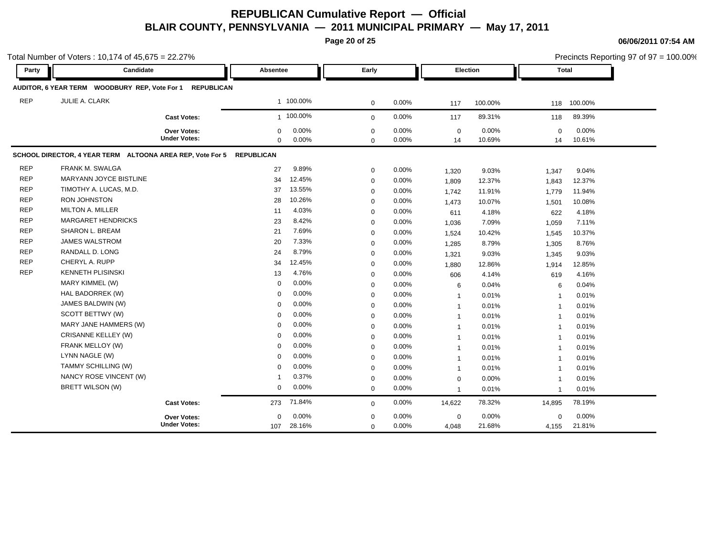**Page 20 of 25**

**06/06/2011 07:54 AM**

|            | Total Number of Voters: 10,174 of 45,675 = 22.27%         |                                           |                         |                |                         |                |                   |                 |                         | Precincts Reporting 97 of 97 = 100.00% |  |
|------------|-----------------------------------------------------------|-------------------------------------------|-------------------------|----------------|-------------------------|----------------|-------------------|-----------------|-------------------------|----------------------------------------|--|
| Party      | Candidate                                                 |                                           | Absentee                |                | Early                   |                | Election          |                 | <b>Total</b>            |                                        |  |
|            | AUDITOR, 6 YEAR TERM WOODBURY REP, Vote For 1 REPUBLICAN  |                                           |                         |                |                         |                |                   |                 |                         |                                        |  |
| <b>REP</b> | JULIE A. CLARK                                            |                                           |                         | 1 100.00%      | $\mathbf 0$             | 0.00%          | 117               | 100.00%         | 118                     | 100.00%                                |  |
|            |                                                           | <b>Cast Votes:</b>                        |                         | 1 100.00%      | $\mathbf 0$             | 0.00%          | 117               | 89.31%          | 118                     | 89.39%                                 |  |
|            |                                                           | <b>Over Votes:</b><br><b>Under Votes:</b> | $\mathbf 0$<br>$\Omega$ | 0.00%<br>0.00% | $\mathbf 0$<br>$\Omega$ | 0.00%<br>0.00% | $\mathbf 0$<br>14 | 0.00%<br>10.69% | $\mathbf 0$<br>14       | 0.00%<br>10.61%                        |  |
|            | SCHOOL DIRECTOR, 4 YEAR TERM ALTOONA AREA REP, Vote For 5 |                                           | <b>REPUBLICAN</b>       |                |                         |                |                   |                 |                         |                                        |  |
| <b>REP</b> | FRANK M. SWALGA                                           |                                           | 27                      | 9.89%          | $\mathbf 0$             | 0.00%          | 1,320             | 9.03%           | 1,347                   | 9.04%                                  |  |
| <b>REP</b> | MARYANN JOYCE BISTLINE                                    |                                           | 34                      | 12.45%         | $\mathbf 0$             | 0.00%          | 1,809             | 12.37%          | 1,843                   | 12.37%                                 |  |
| <b>REP</b> | TIMOTHY A. LUCAS, M.D.                                    |                                           | 37                      | 13.55%         | $\mathbf 0$             | 0.00%          | 1,742             | 11.91%          | 1,779                   | 11.94%                                 |  |
| <b>REP</b> | <b>RON JOHNSTON</b>                                       |                                           | 28                      | 10.26%         | $\mathbf 0$             | 0.00%          | 1,473             | 10.07%          | 1,501                   | 10.08%                                 |  |
| <b>REP</b> | <b>MILTON A. MILLER</b>                                   |                                           | 11                      | 4.03%          | $\mathbf 0$             | 0.00%          | 611               | 4.18%           | 622                     | 4.18%                                  |  |
| <b>REP</b> | <b>MARGARET HENDRICKS</b>                                 |                                           | 23                      | 8.42%          | $\Omega$                | 0.00%          | 1,036             | 7.09%           | 1,059                   | 7.11%                                  |  |
| <b>REP</b> | SHARON L. BREAM                                           |                                           | 21                      | 7.69%          | $\mathbf 0$             | 0.00%          | 1,524             | 10.42%          | 1,545                   | 10.37%                                 |  |
| <b>REP</b> | <b>JAMES WALSTROM</b>                                     |                                           | 20                      | 7.33%          | $\mathbf 0$             | 0.00%          | 1,285             | 8.79%           | 1,305                   | 8.76%                                  |  |
| <b>REP</b> | RANDALL D. LONG                                           |                                           | 24                      | 8.79%          | $\mathbf 0$             | 0.00%          | 1,321             | 9.03%           | 1,345                   | 9.03%                                  |  |
| <b>REP</b> | CHERYL A. RUPP                                            |                                           | 34                      | 12.45%         | $\mathbf 0$             | 0.00%          | 1,880             | 12.86%          | 1,914                   | 12.85%                                 |  |
| <b>REP</b> | <b>KENNETH PLISINSKI</b>                                  |                                           | 13                      | 4.76%          | $\mathbf 0$             | 0.00%          | 606               | 4.14%           | 619                     | 4.16%                                  |  |
|            | MARY KIMMEL (W)                                           |                                           | 0                       | 0.00%          | $\mathbf 0$             | 0.00%          | 6                 | 0.04%           | 6                       | 0.04%                                  |  |
|            | HAL BADORREK (W)                                          |                                           | $\Omega$                | 0.00%          | $\mathbf 0$             | 0.00%          | $\mathbf{1}$      | 0.01%           | $\mathbf{1}$            | 0.01%                                  |  |
|            | JAMES BALDWIN (W)                                         |                                           | $\Omega$                | 0.00%          | $\mathbf 0$             | 0.00%          | $\mathbf{1}$      | 0.01%           | $\mathbf{1}$            | 0.01%                                  |  |
|            | SCOTT BETTWY (W)                                          |                                           | $\mathbf 0$             | 0.00%          | $\mathbf 0$             | 0.00%          | $\mathbf{1}$      | 0.01%           | $\mathbf{1}$            | 0.01%                                  |  |
|            | MARY JANE HAMMERS (W)                                     |                                           | $\Omega$                | 0.00%          | 0                       | 0.00%          | $\mathbf{1}$      | 0.01%           | $\mathbf{1}$            | 0.01%                                  |  |
|            | CRISANNE KELLEY (W)                                       |                                           | $\Omega$                | 0.00%          | 0                       | 0.00%          | $\overline{1}$    | 0.01%           | $\overline{\mathbf{1}}$ | 0.01%                                  |  |
|            | FRANK MELLOY (W)                                          |                                           | 0                       | 0.00%          | $\mathbf 0$             | 0.00%          | $\mathbf{1}$      | 0.01%           | $\overline{1}$          | 0.01%                                  |  |
|            | LYNN NAGLE (W)                                            |                                           | $\Omega$                | 0.00%          | $\mathbf 0$             | 0.00%          | $\mathbf{1}$      | 0.01%           | $\overline{1}$          | 0.01%                                  |  |
|            | TAMMY SCHILLING (W)                                       |                                           | $\Omega$                | 0.00%          | $\mathbf 0$             | 0.00%          | $\mathbf{1}$      | 0.01%           | $\overline{1}$          | 0.01%                                  |  |
|            | NANCY ROSE VINCENT (W)                                    |                                           | -1                      | 0.37%          | $\mathbf 0$             | 0.00%          | $\mathbf 0$       | 0.00%           | $\mathbf{1}$            | 0.01%                                  |  |
|            | BRETT WILSON (W)                                          |                                           | 0                       | 0.00%          | $\mathbf 0$             | 0.00%          | $\mathbf{1}$      | 0.01%           | $\mathbf{1}$            | 0.01%                                  |  |
|            |                                                           | <b>Cast Votes:</b>                        | 273                     | 71.84%         | $\mathbf 0$             | 0.00%          | 14,622            | 78.32%          | 14,895                  | 78.19%                                 |  |
|            |                                                           | Over Votes:                               | 0                       | 0.00%          | $\mathbf 0$             | 0.00%          | $\mathbf 0$       | 0.00%           | $\mathbf 0$             | 0.00%                                  |  |
|            |                                                           | <b>Under Votes:</b>                       | 107                     | 28.16%         | $\mathbf 0$             | 0.00%          | 4,048             | 21.68%          | 4,155                   | 21.81%                                 |  |

Precincts Reporting 97 of 97 = 100.00%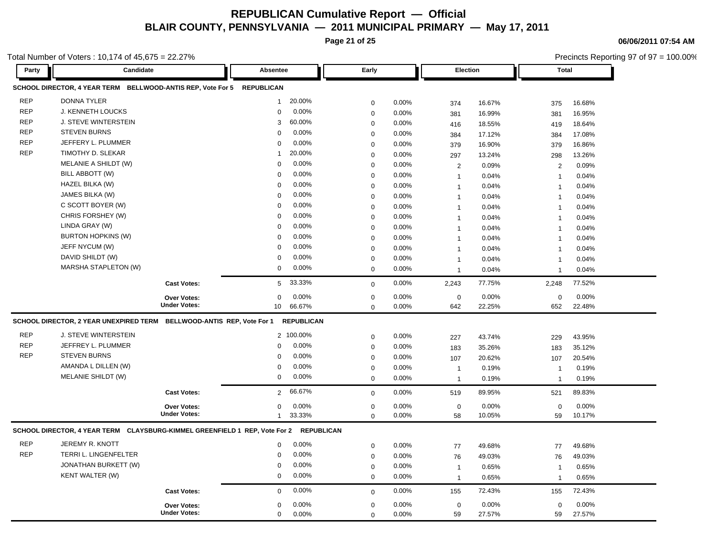**Page 21 of 25**

**06/06/2011 07:54 AM**

| Candidate<br>SCHOOL DIRECTOR, 4 YEAR TERM BELLWOOD-ANTIS REP, Vote For 5 REPUBLICAN<br><b>DONNA TYLER</b><br>J. KENNETH LOUCKS<br>J. STEVE WINTERSTEIN<br><b>STEVEN BURNS</b><br>JEFFERY L. PLUMMER<br>TIMOTHY D. SLEKAR |                                                                                                                                                     | Absentee<br>$\mathbf{1}$<br>0<br>3<br>$\mathbf 0$ | 20.00%<br>0.00%<br>60.00%                                                                 | Early<br>0<br>$\mathbf 0$                                                                              | 0.00%<br>0.00% | <b>Election</b><br>374 | 16.67%     | <b>Total</b><br>375 | 16.68%     |  |
|--------------------------------------------------------------------------------------------------------------------------------------------------------------------------------------------------------------------------|-----------------------------------------------------------------------------------------------------------------------------------------------------|---------------------------------------------------|-------------------------------------------------------------------------------------------|--------------------------------------------------------------------------------------------------------|----------------|------------------------|------------|---------------------|------------|--|
|                                                                                                                                                                                                                          |                                                                                                                                                     |                                                   |                                                                                           |                                                                                                        |                |                        |            |                     |            |  |
|                                                                                                                                                                                                                          |                                                                                                                                                     |                                                   |                                                                                           |                                                                                                        |                |                        |            |                     |            |  |
|                                                                                                                                                                                                                          |                                                                                                                                                     |                                                   |                                                                                           |                                                                                                        |                |                        |            |                     |            |  |
|                                                                                                                                                                                                                          |                                                                                                                                                     |                                                   |                                                                                           |                                                                                                        |                | 381                    | 16.99%     | 381                 | 16.95%     |  |
|                                                                                                                                                                                                                          |                                                                                                                                                     |                                                   |                                                                                           | $\mathbf 0$                                                                                            | 0.00%          | 416                    | 18.55%     | 419                 | 18.64%     |  |
|                                                                                                                                                                                                                          |                                                                                                                                                     |                                                   | 0.00%                                                                                     | $\mathbf 0$                                                                                            | 0.00%          | 384                    | 17.12%     | 384                 | 17.08%     |  |
|                                                                                                                                                                                                                          |                                                                                                                                                     | 0                                                 | 0.00%                                                                                     | $\mathbf 0$                                                                                            | 0.00%          | 379                    | 16.90%     | 379                 | 16.86%     |  |
|                                                                                                                                                                                                                          |                                                                                                                                                     | 1                                                 | 20.00%                                                                                    | $\mathbf 0$                                                                                            | 0.00%          | 297                    | 13.24%     | 298                 | 13.26%     |  |
| MELANIE A SHILDT (W)                                                                                                                                                                                                     |                                                                                                                                                     | 0                                                 | 0.00%                                                                                     | $\mathbf 0$                                                                                            | 0.00%          | 2                      | 0.09%      | 2                   | 0.09%      |  |
| BILL ABBOTT (W)                                                                                                                                                                                                          |                                                                                                                                                     | 0                                                 | 0.00%                                                                                     | $\mathbf 0$                                                                                            | 0.00%          | $\overline{1}$         | 0.04%      | $\mathbf{1}$        | 0.04%      |  |
| HAZEL BILKA (W)                                                                                                                                                                                                          |                                                                                                                                                     | 0                                                 | 0.00%                                                                                     | $\mathbf 0$                                                                                            | 0.00%          | $\mathbf 1$            | 0.04%      | $\overline{1}$      | 0.04%      |  |
| JAMES BILKA (W)                                                                                                                                                                                                          |                                                                                                                                                     | 0                                                 |                                                                                           | $\mathbf 0$                                                                                            | 0.00%          | $\overline{1}$         | 0.04%      | $\mathbf{1}$        | 0.04%      |  |
|                                                                                                                                                                                                                          |                                                                                                                                                     | 0                                                 |                                                                                           | $\Omega$                                                                                               | 0.00%          | $\mathbf 1$            | 0.04%      | $\mathbf{1}$        | 0.04%      |  |
|                                                                                                                                                                                                                          |                                                                                                                                                     | 0                                                 |                                                                                           | $\mathbf 0$                                                                                            | 0.00%          | $\overline{1}$         | 0.04%      | $\overline{1}$      | 0.04%      |  |
|                                                                                                                                                                                                                          |                                                                                                                                                     | 0                                                 |                                                                                           | $\mathbf 0$                                                                                            | 0.00%          | $\mathbf 1$            | 0.04%      | $\mathbf{1}$        | 0.04%      |  |
|                                                                                                                                                                                                                          |                                                                                                                                                     |                                                   |                                                                                           | $\Omega$                                                                                               | 0.00%          | $\mathbf 1$            | 0.04%      | $\overline{1}$      | 0.04%      |  |
|                                                                                                                                                                                                                          |                                                                                                                                                     |                                                   |                                                                                           | $\mathbf 0$                                                                                            | 0.00%          | $\mathbf{1}$           | 0.04%      | $\overline{1}$      | 0.04%      |  |
|                                                                                                                                                                                                                          |                                                                                                                                                     |                                                   |                                                                                           |                                                                                                        | 0.00%          | $\mathbf 1$            | 0.04%      | $\mathbf{1}$        | 0.04%      |  |
|                                                                                                                                                                                                                          |                                                                                                                                                     |                                                   |                                                                                           | $\mathbf 0$                                                                                            |                | $\overline{1}$         | 0.04%      | $\overline{1}$      | 0.04%      |  |
|                                                                                                                                                                                                                          | <b>Cast Votes:</b>                                                                                                                                  | 5                                                 | 33.33%                                                                                    | $\mathbf 0$                                                                                            | 0.00%          | 2,243                  | 77.75%     | 2,248               | 77.52%     |  |
|                                                                                                                                                                                                                          | Over Votes:                                                                                                                                         | $\mathbf 0$                                       | 0.00%                                                                                     | $\mathbf 0$                                                                                            | 0.00%          | $\mathbf 0$            | 0.00%      | $\mathbf 0$         | 0.00%      |  |
|                                                                                                                                                                                                                          |                                                                                                                                                     | 10                                                | 66.67%                                                                                    | $\mathbf 0$                                                                                            | 0.00%          | 642                    | 22.25%     | 652                 | 22.48%     |  |
|                                                                                                                                                                                                                          |                                                                                                                                                     |                                                   |                                                                                           |                                                                                                        |                |                        |            |                     |            |  |
| J. STEVE WINTERSTEIN                                                                                                                                                                                                     |                                                                                                                                                     |                                                   |                                                                                           | $\boldsymbol{0}$                                                                                       | 0.00%          |                        | 43.74%     |                     | 43.95%     |  |
| JEFFREY L. PLUMMER                                                                                                                                                                                                       |                                                                                                                                                     | 0                                                 | 0.00%                                                                                     | $\pmb{0}$                                                                                              | 0.00%          |                        | 35.26%     |                     | 35.12%     |  |
| <b>STEVEN BURNS</b>                                                                                                                                                                                                      |                                                                                                                                                     | $\mathbf 0$                                       | 0.00%                                                                                     | $\boldsymbol{0}$                                                                                       | 0.00%          | 107                    | 20.62%     | 107                 | 20.54%     |  |
| AMANDA L DILLEN (W)                                                                                                                                                                                                      |                                                                                                                                                     | $\mathbf 0$                                       | 0.00%                                                                                     | $\boldsymbol{0}$                                                                                       | 0.00%          | $\mathbf{1}$           | 0.19%      | $\mathbf{1}$        | 0.19%      |  |
| MELANIE SHILDT (W)                                                                                                                                                                                                       |                                                                                                                                                     | 0                                                 | 0.00%                                                                                     | $\boldsymbol{0}$                                                                                       | 0.00%          | $\mathbf{1}$           | 0.19%      | $\mathbf{1}$        | 0.19%      |  |
|                                                                                                                                                                                                                          | <b>Cast Votes:</b>                                                                                                                                  | $2^{\circ}$                                       | 66.67%                                                                                    | $\boldsymbol{0}$                                                                                       | 0.00%          | 519                    | 89.95%     | 521                 | 89.83%     |  |
|                                                                                                                                                                                                                          | Over Votes:                                                                                                                                         | 0                                                 | 0.00%                                                                                     | $\mathbf 0$                                                                                            | 0.00%          | $\pmb{0}$              | 0.00%      | $\mathbf 0$         | 0.00%      |  |
|                                                                                                                                                                                                                          | <b>Under Votes:</b>                                                                                                                                 | 1                                                 | 33.33%                                                                                    | $\Omega$                                                                                               | 0.00%          | 58                     | 10.05%     | 59                  | 10.17%     |  |
|                                                                                                                                                                                                                          | C SCOTT BOYER (W)<br>CHRIS FORSHEY (W)<br>LINDA GRAY (W)<br><b>BURTON HOPKINS (W)</b><br>JEFF NYCUM (W)<br>DAVID SHILDT (W)<br>MARSHA STAPLETON (W) | <b>Under Votes:</b>                               | 0<br>0<br>0<br>0<br>SCHOOL DIRECTOR, 2 YEAR UNEXPIRED TERM BELLWOOD-ANTIS REP, Vote For 1 | 0.00%<br>0.00%<br>0.00%<br>0.00%<br>0.00%<br>0.00%<br>0.00%<br>0.00%<br><b>REPUBLICAN</b><br>2 100.00% | $\mathbf 0$    | 0.00%                  | 227<br>183 |                     | 229<br>183 |  |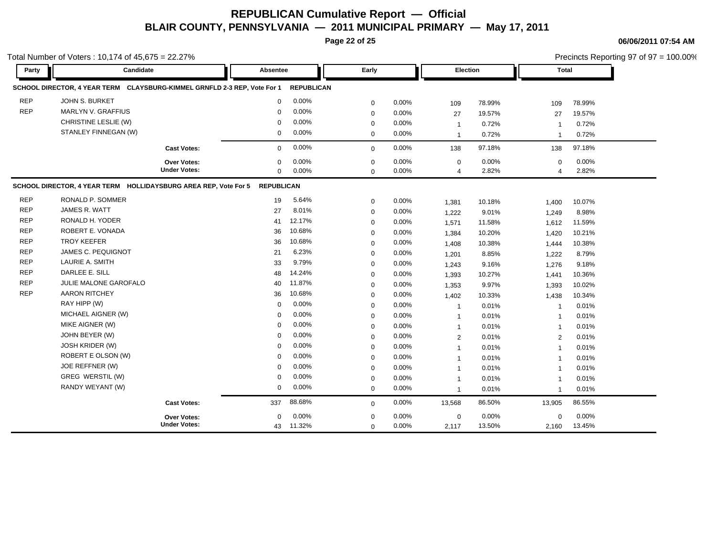**Page 22 of 25**

|            | Total Number of Voters: 10,174 of 45,675 = 22.27%                        |                     |                   |                   |             |       |                 |        |                |        | Precincts Reporting 97 of 97 = 100.00% |
|------------|--------------------------------------------------------------------------|---------------------|-------------------|-------------------|-------------|-------|-----------------|--------|----------------|--------|----------------------------------------|
| Party      | Candidate                                                                |                     | <b>Absentee</b>   |                   | Early       |       | <b>Election</b> |        | <b>Total</b>   |        |                                        |
|            | SCHOOL DIRECTOR, 4 YEAR TERM CLAYSBURG-KIMMEL GRNFLD 2-3 REP, Vote For 1 |                     |                   | <b>REPUBLICAN</b> |             |       |                 |        |                |        |                                        |
| <b>REP</b> | <b>JOHN S. BURKET</b>                                                    |                     | $\mathbf 0$       | 0.00%             | $\mathbf 0$ | 0.00% | 109             | 78.99% | 109            | 78.99% |                                        |
| <b>REP</b> | MARLYN V. GRAFFIUS                                                       |                     | $\Omega$          | 0.00%             | $\mathbf 0$ | 0.00% | 27              | 19.57% | 27             | 19.57% |                                        |
|            | CHRISTINE LESLIE (W)                                                     |                     | $\Omega$          | 0.00%             | $\mathbf 0$ | 0.00% | $\mathbf{1}$    | 0.72%  | $\mathbf 1$    | 0.72%  |                                        |
|            | STANLEY FINNEGAN (W)                                                     |                     | $\mathbf 0$       | 0.00%             | $\mathbf 0$ | 0.00% | $\mathbf{1}$    | 0.72%  | $\overline{1}$ | 0.72%  |                                        |
|            |                                                                          | <b>Cast Votes:</b>  | $\mathbf 0$       | 0.00%             | $\mathbf 0$ | 0.00% | 138             | 97.18% | 138            | 97.18% |                                        |
|            |                                                                          | Over Votes:         | $\mathbf 0$       | 0.00%             | $\mathbf 0$ | 0.00% | $\mathbf 0$     | 0.00%  | $\mathbf 0$    | 0.00%  |                                        |
|            |                                                                          | <b>Under Votes:</b> | $\mathbf 0$       | 0.00%             | $\mathbf 0$ | 0.00% | $\overline{4}$  | 2.82%  | $\overline{4}$ | 2.82%  |                                        |
|            | SCHOOL DIRECTOR, 4 YEAR TERM HOLLIDAYSBURG AREA REP, Vote For 5          |                     | <b>REPUBLICAN</b> |                   |             |       |                 |        |                |        |                                        |
| <b>REP</b> | RONALD P. SOMMER                                                         |                     | 19                | 5.64%             | $\mathbf 0$ | 0.00% | 1,381           | 10.18% | 1,400          | 10.07% |                                        |
| <b>REP</b> | JAMES R. WATT                                                            |                     | 27                | 8.01%             | $\mathbf 0$ | 0.00% | 1,222           | 9.01%  | 1,249          | 8.98%  |                                        |
| <b>REP</b> | RONALD H. YODER                                                          |                     | 41                | 12.17%            | $\mathbf 0$ | 0.00% | 1,571           | 11.58% | 1,612          | 11.59% |                                        |
| <b>REP</b> | ROBERT E. VONADA                                                         |                     | 36                | 10.68%            | $\mathbf 0$ | 0.00% | 1,384           | 10.20% | 1,420          | 10.21% |                                        |
| <b>REP</b> | <b>TROY KEEFER</b>                                                       |                     | 36                | 10.68%            | $\mathbf 0$ | 0.00% | 1,408           | 10.38% | 1,444          | 10.38% |                                        |
| <b>REP</b> | JAMES C. PEQUIGNOT                                                       |                     | 21                | 6.23%             | $\mathbf 0$ | 0.00% | 1,201           | 8.85%  | 1,222          | 8.79%  |                                        |
| <b>REP</b> | LAURIE A. SMITH                                                          |                     | 33                | 9.79%             | $\mathbf 0$ | 0.00% | 1,243           | 9.16%  | 1,276          | 9.18%  |                                        |
| <b>REP</b> | DARLEE E. SILL                                                           |                     | 48                | 14.24%            | $\mathbf 0$ | 0.00% | 1,393           | 10.27% | 1,441          | 10.36% |                                        |
| <b>REP</b> | JULIE MALONE GAROFALO                                                    |                     | 40                | 11.87%            | $\pmb{0}$   | 0.00% | 1,353           | 9.97%  | 1,393          | 10.02% |                                        |
| <b>REP</b> | <b>AARON RITCHEY</b>                                                     |                     | 36                | 10.68%            | $\mathbf 0$ | 0.00% | 1,402           | 10.33% | 1,438          | 10.34% |                                        |
|            | RAY HIPP (W)                                                             |                     | $\mathbf 0$       | 0.00%             | $\mathbf 0$ | 0.00% | -1              | 0.01%  | -1             | 0.01%  |                                        |
|            | MICHAEL AIGNER (W)                                                       |                     | $\mathbf 0$       | 0.00%             | $\mathbf 0$ | 0.00% | $\mathbf{1}$    | 0.01%  |                | 0.01%  |                                        |
|            | MIKE AIGNER (W)                                                          |                     | $\mathbf 0$       | 0.00%             | $\mathbf 0$ | 0.00% | $\mathbf{1}$    | 0.01%  | -1             | 0.01%  |                                        |
|            | JOHN BEYER (W)                                                           |                     | $\mathbf 0$       | 0.00%             | $\mathbf 0$ | 0.00% | 2               | 0.01%  | $\overline{2}$ | 0.01%  |                                        |
|            | JOSH KRIDER (W)                                                          |                     | $\mathbf 0$       | 0.00%             | $\mathbf 0$ | 0.00% | $\mathbf{1}$    | 0.01%  | $\mathbf 1$    | 0.01%  |                                        |
|            | ROBERT E OLSON (W)                                                       |                     | $\Omega$          | 0.00%             | $\mathbf 0$ | 0.00% | $\mathbf{1}$    | 0.01%  | $\mathbf 1$    | 0.01%  |                                        |
|            | JOE REFFNER (W)                                                          |                     | $\mathbf 0$       | 0.00%             | $\mathbf 0$ | 0.00% | $\mathbf{1}$    | 0.01%  | $\overline{1}$ | 0.01%  |                                        |
|            | GREG WERSTIL (W)                                                         |                     | 0                 | 0.00%             | $\mathbf 0$ | 0.00% | $\overline{1}$  | 0.01%  | $\overline{1}$ | 0.01%  |                                        |
|            | RANDY WEYANT (W)                                                         |                     | $\mathbf 0$       | 0.00%             | $\mathbf 0$ | 0.00% | $\mathbf{1}$    | 0.01%  | $\overline{1}$ | 0.01%  |                                        |
|            |                                                                          | <b>Cast Votes:</b>  | 337               | 88.68%            | $\mathbf 0$ | 0.00% | 13,568          | 86.50% | 13,905         | 86.55% |                                        |
|            |                                                                          | <b>Over Votes:</b>  | $\Omega$          | 0.00%             | $\mathbf 0$ | 0.00% | 0               | 0.00%  | $\mathbf 0$    | 0.00%  |                                        |
|            |                                                                          | <b>Under Votes:</b> | 43                | 11.32%            | $\mathbf 0$ | 0.00% | 2,117           | 13.50% | 2,160          | 13.45% |                                        |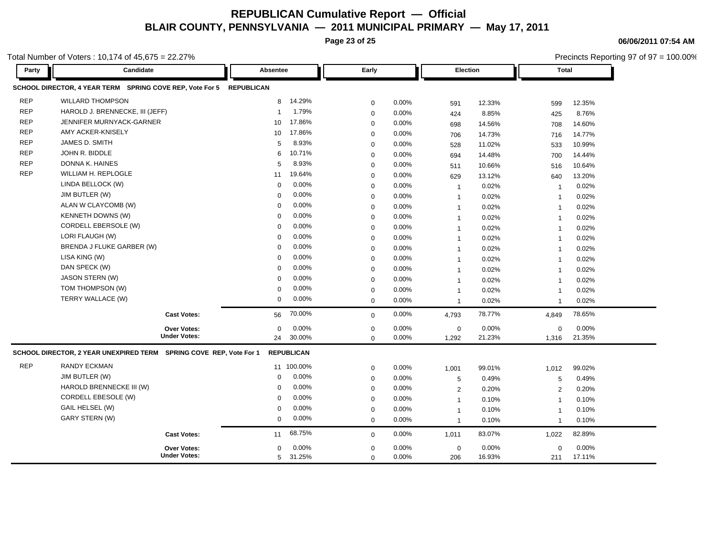**Page 23 of 25**

Precincts Reporting 97 of 97 = 100.00%

**06/06/2011 07:54 AM**

| Party      | Candidate                                                           | Absentee              | Early       |       | Election       |        | <b>Total</b>   |        |
|------------|---------------------------------------------------------------------|-----------------------|-------------|-------|----------------|--------|----------------|--------|
|            | SCHOOL DIRECTOR, 4 YEAR TERM SPRING COVE REP, Vote For 5 REPUBLICAN |                       |             |       |                |        |                |        |
| <b>REP</b> | <b>WILLARD THOMPSON</b>                                             | 14.29%<br>8           | $\mathbf 0$ | 0.00% | 591            | 12.33% | 599            | 12.35% |
| <b>REP</b> | HAROLD J. BRENNECKE, III (JEFF)                                     | 1.79%<br>$\mathbf{1}$ | $\mathbf 0$ | 0.00% | 424            | 8.85%  | 425            | 8.76%  |
| <b>REP</b> | JENNIFER MURNYACK-GARNER                                            | 17.86%<br>10          | $\mathbf 0$ | 0.00% | 698            | 14.56% | 708            | 14.60% |
| <b>REP</b> | AMY ACKER-KNISELY                                                   | 17.86%<br>10          | $\mathbf 0$ | 0.00% | 706            | 14.73% | 716            | 14.77% |
| <b>REP</b> | JAMES D. SMITH                                                      | 8.93%<br>5            | $\mathbf 0$ | 0.00% | 528            | 11.02% | 533            | 10.99% |
| <b>REP</b> | JOHN R. BIDDLE                                                      | 10.71%<br>6           | $\pmb{0}$   | 0.00% | 694            | 14.48% | 700            | 14.44% |
| <b>REP</b> | DONNA K. HAINES                                                     | 8.93%<br>5            | $\mathbf 0$ | 0.00% | 511            | 10.66% | 516            | 10.64% |
| <b>REP</b> | WILLIAM H. REPLOGLE                                                 | 19.64%<br>11          | $\mathbf 0$ | 0.00% | 629            | 13.12% | 640            | 13.20% |
|            | LINDA BELLOCK (W)                                                   | 0.00%<br>$\mathbf 0$  | $\mathbf 0$ | 0.00% | $\overline{1}$ | 0.02%  | $\mathbf{1}$   | 0.02%  |
|            | JIM BUTLER (W)                                                      | 0.00%<br>$\Omega$     | $\mathbf 0$ | 0.00% | $\overline{1}$ | 0.02%  | -1             | 0.02%  |
|            | ALAN W CLAYCOMB (W)                                                 | 0.00%<br>$\Omega$     | $\mathbf 0$ | 0.00% | $\overline{1}$ | 0.02%  | $\overline{1}$ | 0.02%  |
|            | <b>KENNETH DOWNS (W)</b>                                            | 0.00%<br>$\Omega$     | $\mathbf 0$ | 0.00% | $\overline{1}$ | 0.02%  | $\overline{1}$ | 0.02%  |
|            | CORDELL EBERSOLE (W)                                                | 0.00%<br>$\mathbf 0$  | $\mathbf 0$ | 0.00% | $\overline{1}$ | 0.02%  | $\mathbf{1}$   | 0.02%  |
|            | LORI FLAUGH (W)                                                     | 0.00%<br>$\Omega$     | $\mathbf 0$ | 0.00% | $\mathbf{1}$   | 0.02%  | $\overline{1}$ | 0.02%  |
|            | BRENDA J FLUKE GARBER (W)                                           | 0.00%<br>$\mathbf 0$  | $\mathbf 0$ | 0.00% | $\mathbf{1}$   | 0.02%  | 1              | 0.02%  |
|            | LISA KING (W)                                                       | 0.00%<br>$\Omega$     | $\mathbf 0$ | 0.00% | $\mathbf{1}$   | 0.02%  | $\overline{1}$ | 0.02%  |
|            | DAN SPECK (W)                                                       | 0.00%<br>$\Omega$     | $\mathbf 0$ | 0.00% | $\mathbf{1}$   | 0.02%  | $\overline{1}$ | 0.02%  |
|            | JASON STERN (W)                                                     | 0.00%<br>$\Omega$     | $\mathbf 0$ | 0.00% | $\overline{1}$ | 0.02%  | $\overline{1}$ | 0.02%  |
|            | TOM THOMPSON (W)                                                    | 0.00%<br>$\Omega$     | $\mathbf 0$ | 0.00% | $\overline{1}$ | 0.02%  | $\overline{1}$ | 0.02%  |
|            | TERRY WALLACE (W)                                                   | 0.00%<br>$\mathbf 0$  | $\mathbf 0$ | 0.00% | $\overline{1}$ | 0.02%  | $\overline{1}$ | 0.02%  |
|            | <b>Cast Votes:</b>                                                  | 70.00%<br>56          | $\mathbf 0$ | 0.00% | 4,793          | 78.77% | 4,849          | 78.65% |
|            | Over Votes:                                                         | 0.00%<br>$\Omega$     | $\mathbf 0$ | 0.00% | $\mathbf{0}$   | 0.00%  | $\mathbf 0$    | 0.00%  |
|            | <b>Under Votes:</b>                                                 | 30.00%<br>24          | $\Omega$    | 0.00% | 1,292          | 21.23% | 1,316          | 21.35% |
|            | SCHOOL DIRECTOR, 2 YEAR UNEXPIRED TERM SPRING COVE REP, Vote For 1  | <b>REPUBLICAN</b>     |             |       |                |        |                |        |
| <b>REP</b> | <b>RANDY ECKMAN</b>                                                 | 11 100.00%            | $\mathbf 0$ | 0.00% | 1,001          | 99.01% | 1,012          | 99.02% |
|            | JIM BUTLER (W)                                                      | 0.00%<br>0            | $\mathbf 0$ | 0.00% | 5              | 0.49%  | 5              | 0.49%  |
|            | HAROLD BRENNECKE III (W)                                            | 0.00%<br>$\Omega$     | $\mathbf 0$ | 0.00% | 2              | 0.20%  | 2              | 0.20%  |
|            | CORDELL EBESOLE (W)                                                 | 0.00%<br>$\Omega$     | $\mathbf 0$ | 0.00% | $\overline{1}$ | 0.10%  | $\overline{1}$ | 0.10%  |
|            | GAIL HELSEL (W)                                                     | 0.00%<br>$\Omega$     | $\mathbf 0$ | 0.00% | $\overline{1}$ | 0.10%  | $\overline{1}$ | 0.10%  |
|            | <b>GARY STERN (W)</b>                                               | 0.00%<br>0            | $\mathbf 0$ | 0.00% | $\overline{1}$ | 0.10%  | $\overline{1}$ | 0.10%  |
|            | <b>Cast Votes:</b>                                                  | 68.75%<br>11          | $\mathbf 0$ | 0.00% | 1,011          | 83.07% | 1,022          | 82.89% |
|            | <b>Over Votes:</b>                                                  | 0.00%<br>0            | $\mathbf 0$ | 0.00% | $\mathbf 0$    | 0.00%  | $\mathbf 0$    | 0.00%  |
|            | <b>Under Votes:</b>                                                 | 31.25%<br>5           | $\mathbf 0$ | 0.00% | 206            | 16.93% | 211            | 17.11% |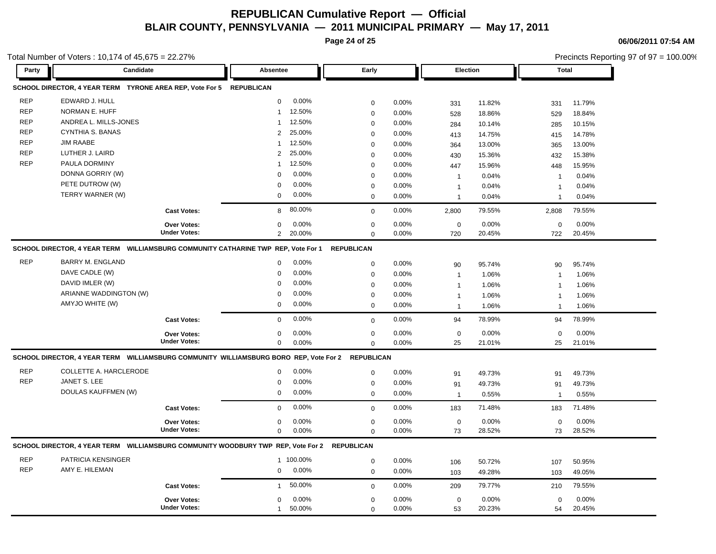**Page 24 of 25**

**06/06/2011 07:54 AM**

|            | Total Number of Voters : 10,174 of 45,675 = 22.27%<br>Candidate                   |                                           |                                                                                                  |                            |          |                    |        |                    | Precincts Reporting 97 of 97 = 100.00% |
|------------|-----------------------------------------------------------------------------------|-------------------------------------------|--------------------------------------------------------------------------------------------------|----------------------------|----------|--------------------|--------|--------------------|----------------------------------------|
| Party      |                                                                                   |                                           | Absentee                                                                                         | Early                      |          | Election           |        | <b>Total</b>       |                                        |
|            | SCHOOL DIRECTOR, 4 YEAR TERM TYRONE AREA REP, Vote For 5 REPUBLICAN               |                                           |                                                                                                  |                            |          |                    |        |                    |                                        |
| <b>REP</b> | EDWARD J. HULL                                                                    |                                           | 0.00%<br>$\mathbf 0$                                                                             | 0                          | 0.00%    | 331                | 11.82% | 331                | 11.79%                                 |
| <b>REP</b> | NORMAN E. HUFF                                                                    |                                           | 12.50%<br>1                                                                                      | $\mathbf 0$                | 0.00%    | 528                | 18.86% | 529                | 18.84%                                 |
| <b>REP</b> | ANDREA L. MILLS-JONES                                                             |                                           | 12.50%<br>1                                                                                      | $\mathbf 0$                | 0.00%    | 284                | 10.14% | 285                | 10.15%                                 |
| <b>REP</b> | <b>CYNTHIA S. BANAS</b>                                                           |                                           | 25.00%<br>$\overline{2}$                                                                         | $\mathbf 0$                | 0.00%    | 413                | 14.75% | 415                | 14.78%                                 |
| <b>REP</b> | <b>JIM RAABE</b>                                                                  |                                           | 12.50%<br>1                                                                                      | $\mathbf 0$                | 0.00%    | 364                | 13.00% | 365                | 13.00%                                 |
| <b>REP</b> | LUTHER J. LAIRD                                                                   |                                           | 25.00%<br>$\overline{2}$                                                                         | $\mathbf 0$                | 0.00%    | 430                | 15.36% | 432                | 15.38%                                 |
| <b>REP</b> | PAULA DORMINY                                                                     |                                           | 12.50%<br>1                                                                                      | $\mathbf 0$                | 0.00%    | 447                | 15.96% | 448                | 15.95%                                 |
|            | DONNA GORRIY (W)                                                                  |                                           | 0.00%<br>$\Omega$                                                                                | $\mathbf 0$                | 0.00%    | $\overline{1}$     | 0.04%  | $\mathbf{1}$       | 0.04%                                  |
|            | PETE DUTROW (W)                                                                   |                                           | 0.00%<br>0                                                                                       | $\mathbf 0$                | 0.00%    | $\mathbf 1$        | 0.04%  | $\overline{1}$     | 0.04%                                  |
|            | TERRY WARNER (W)                                                                  |                                           | 0.00%<br>$\mathbf 0$                                                                             | $\mathbf 0$                | 0.00%    | $\overline{1}$     | 0.04%  | $\mathbf{1}$       | 0.04%                                  |
|            |                                                                                   | <b>Cast Votes:</b>                        | 80.00%<br>8                                                                                      | $\mathbf 0$                | 0.00%    | 2,800              | 79.55% | 2,808              | 79.55%                                 |
|            |                                                                                   |                                           | 0                                                                                                |                            | $0.00\%$ |                    | 0.00%  |                    | 0.00%                                  |
|            |                                                                                   | <b>Over Votes:</b><br><b>Under Votes:</b> | 0.00%<br>$\overline{2}$<br>20.00%                                                                | $\mathbf 0$<br>$\mathbf 0$ | 0.00%    | $\mathbf 0$<br>720 | 20.45% | $\mathbf 0$<br>722 | 20.45%                                 |
|            | SCHOOL DIRECTOR, 4 YEAR TERM WILLIAMSBURG COMMUNITY CATHARINE TWP REP, Vote For 1 |                                           |                                                                                                  | <b>REPUBLICAN</b>          |          |                    |        |                    |                                        |
|            |                                                                                   |                                           |                                                                                                  |                            |          |                    |        |                    |                                        |
| <b>REP</b> | <b>BARRY M. ENGLAND</b>                                                           |                                           | 0.00%<br>0                                                                                       | $\mathbf 0$                | 0.00%    | 90                 | 95.74% | 90                 | 95.74%                                 |
|            | DAVE CADLE (W)                                                                    |                                           | 0.00%<br>$\mathbf 0$                                                                             | 0                          | 0.00%    | $\overline{1}$     | 1.06%  | $\mathbf{1}$       | 1.06%                                  |
|            | DAVID IMLER (W)                                                                   |                                           | 0.00%<br>0                                                                                       | $\mathbf 0$                | 0.00%    | $\overline{1}$     | 1.06%  | -1                 | 1.06%                                  |
|            | ARIANNE WADDINGTON (W)                                                            |                                           | 0.00%<br>0                                                                                       | $\mathbf 0$                | 0.00%    | $\mathbf{1}$       | 1.06%  | $\mathbf{1}$       | 1.06%                                  |
|            | AMYJO WHITE (W)                                                                   |                                           | 0.00%<br>$\mathbf 0$                                                                             | $\mathbf 0$                | 0.00%    | $\mathbf{1}$       | 1.06%  | $\mathbf{1}$       | 1.06%                                  |
|            |                                                                                   | <b>Cast Votes:</b>                        | 0.00%<br>0                                                                                       | $\mathbf 0$                | 0.00%    | 94                 | 78.99% | 94                 | 78.99%                                 |
|            |                                                                                   | <b>Over Votes:</b>                        | 0.00%<br>0                                                                                       | 0                          | 0.00%    | $\mathbf 0$        | 0.00%  | $\mathbf 0$        | 0.00%                                  |
|            |                                                                                   | <b>Under Votes:</b>                       | 0<br>0.00%                                                                                       | $\mathbf 0$                | 0.00%    | 25                 | 21.01% | 25                 | 21.01%                                 |
|            |                                                                                   |                                           | SCHOOL DIRECTOR, 4 YEAR TERM WILLIAMSBURG COMMUNITY WILLIAMSBURG BORO REP, Vote For 2 REPUBLICAN |                            |          |                    |        |                    |                                        |
| REP        | COLLETTE A. HARCLERODE                                                            |                                           | 0.00%<br>0                                                                                       | 0                          | 0.00%    | 91                 | 49.73% | 91                 | 49.73%                                 |
| <b>REP</b> | JANET S. LEE                                                                      |                                           | 0.00%<br>0                                                                                       | $\mathbf 0$                | 0.00%    | 91                 | 49.73% | 91                 | 49.73%                                 |
|            | DOULAS KAUFFMEN (W)                                                               |                                           | 0.00%<br>0                                                                                       | $\mathbf 0$                | 0.00%    |                    | 0.55%  | $\overline{1}$     | 0.55%                                  |
|            |                                                                                   |                                           | 0.00%                                                                                            |                            |          | $\mathbf{1}$       |        |                    | 71.48%                                 |
|            |                                                                                   | <b>Cast Votes:</b>                        | 0                                                                                                | $\mathbf 0$                | 0.00%    | 183                | 71.48% | 183                |                                        |
|            |                                                                                   | <b>Over Votes:</b><br><b>Under Votes:</b> | 0<br>0.00%                                                                                       | $\mathbf 0$                | 0.00%    | $\mathbf 0$        | 0.00%  | $\mathbf 0$        | 0.00%                                  |
|            |                                                                                   |                                           | $\mathbf 0$<br>0.00%                                                                             | $\mathbf 0$                | 0.00%    | 73                 | 28.52% | 73                 | 28.52%                                 |
|            | SCHOOL DIRECTOR, 4 YEAR TERM WILLIAMSBURG COMMUNITY WOODBURY TWP REP, Vote For 2  |                                           |                                                                                                  | <b>REPUBLICAN</b>          |          |                    |        |                    |                                        |
| <b>REP</b> | PATRICIA KENSINGER                                                                |                                           | 1 100.00%                                                                                        | $\mathbf 0$                | 0.00%    | 106                | 50.72% | 107                | 50.95%                                 |
| <b>REP</b> | AMY E. HILEMAN                                                                    |                                           | 0.00%<br>0                                                                                       | $\mathbf 0$                | 0.00%    | 103                | 49.28% | 103                | 49.05%                                 |
|            |                                                                                   | <b>Cast Votes:</b>                        | 50.00%<br>-1                                                                                     | $\mathbf 0$                | 0.00%    | 209                | 79.77% | 210                | 79.55%                                 |
|            |                                                                                   |                                           |                                                                                                  |                            |          |                    |        |                    |                                        |
|            |                                                                                   | <b>Over Votes:</b>                        | 0.00%<br>$\mathbf 0$                                                                             | $\mathbf 0$                | 0.00%    | $\pmb{0}$          | 0.00%  | $\mathbf 0$        | 0.00%                                  |